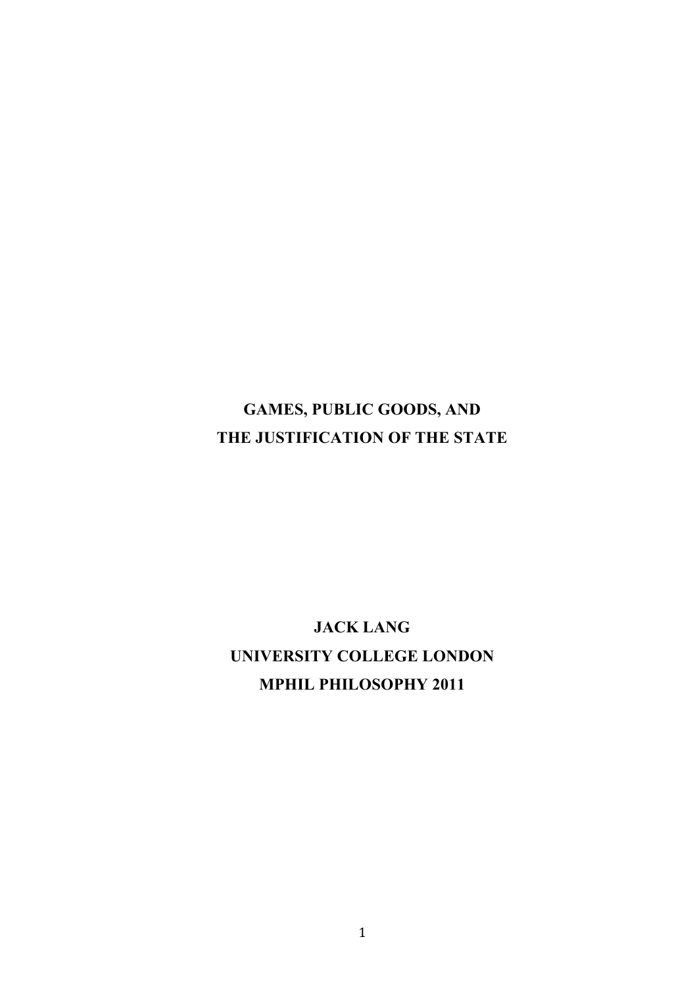## **GAMES, PUBLIC GOODS, AND THE JUSTIFICATION OF THE STATE**

# **JACK LANG UNIVERSITY COLLEGE LONDON MPHIL PHILOSOPHY 2011**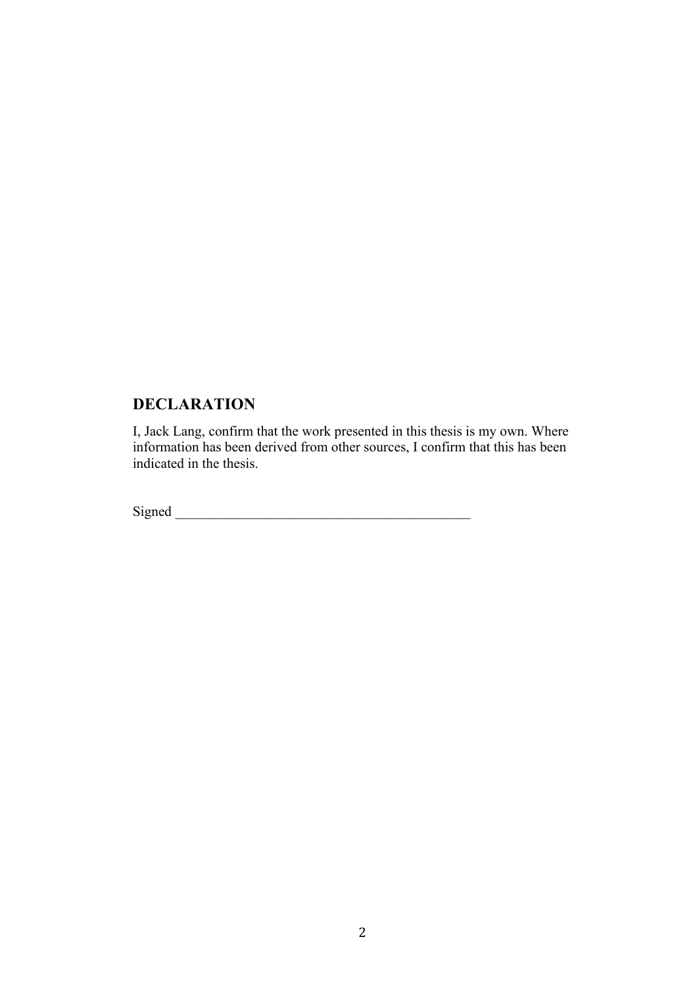### **DECLARATION**

I, Jack Lang, confirm that the work presented in this thesis is my own. Where information has been derived from other sources, I confirm that this has been indicated in the thesis.

Signed \_\_\_\_\_\_\_\_\_\_\_\_\_\_\_\_\_\_\_\_\_\_\_\_\_\_\_\_\_\_\_\_\_\_\_\_\_\_\_\_\_\_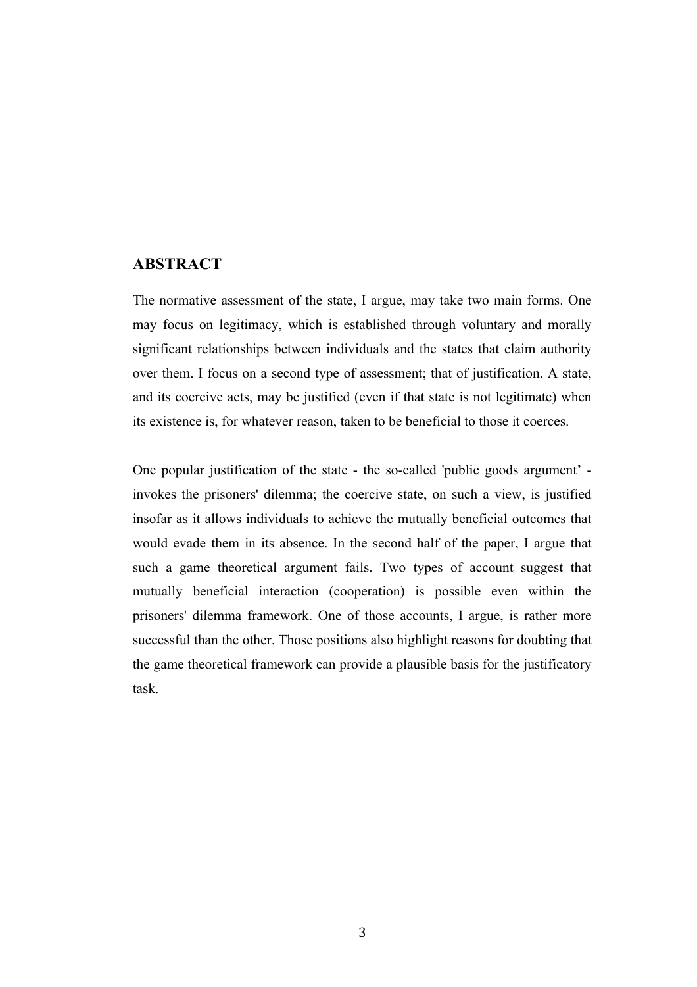### **ABSTRACT**

The normative assessment of the state, I argue, may take two main forms. One may focus on legitimacy, which is established through voluntary and morally significant relationships between individuals and the states that claim authority over them. I focus on a second type of assessment; that of justification. A state, and its coercive acts, may be justified (even if that state is not legitimate) when its existence is, for whatever reason, taken to be beneficial to those it coerces.

One popular justification of the state - the so-called 'public goods argument' invokes the prisoners' dilemma; the coercive state, on such a view, is justified insofar as it allows individuals to achieve the mutually beneficial outcomes that would evade them in its absence. In the second half of the paper, I argue that such a game theoretical argument fails. Two types of account suggest that mutually beneficial interaction (cooperation) is possible even within the prisoners' dilemma framework. One of those accounts, I argue, is rather more successful than the other. Those positions also highlight reasons for doubting that the game theoretical framework can provide a plausible basis for the justificatory task.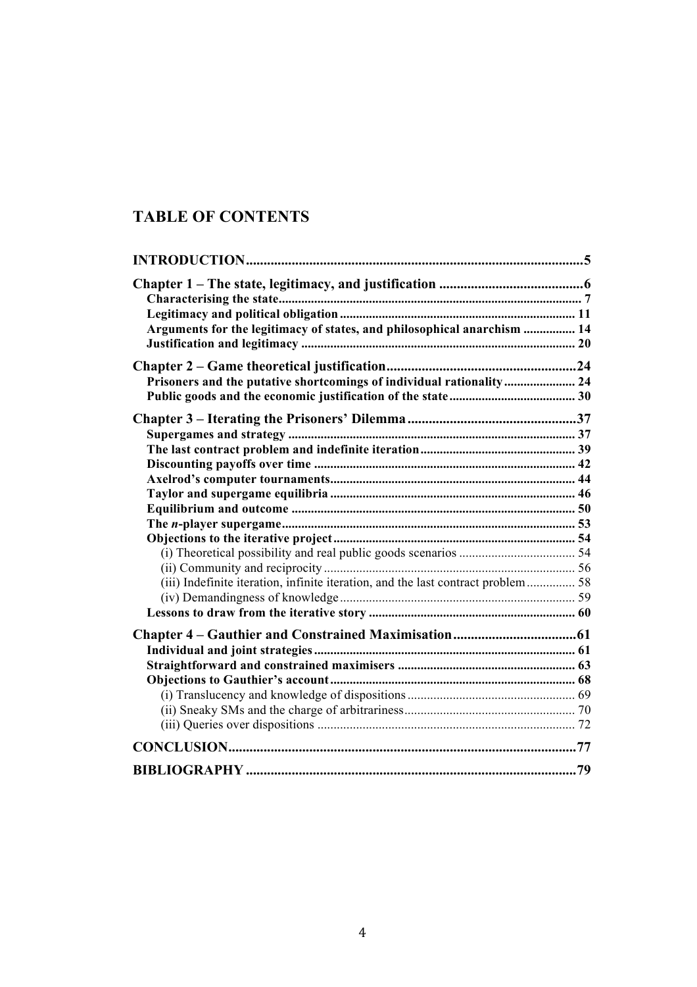### **TABLE OF CONTENTS**

| Arguments for the legitimacy of states, and philosophical anarchism  14           |  |
|-----------------------------------------------------------------------------------|--|
|                                                                                   |  |
|                                                                                   |  |
| Prisoners and the putative shortcomings of individual rationality 24              |  |
|                                                                                   |  |
|                                                                                   |  |
|                                                                                   |  |
|                                                                                   |  |
|                                                                                   |  |
|                                                                                   |  |
|                                                                                   |  |
|                                                                                   |  |
|                                                                                   |  |
|                                                                                   |  |
|                                                                                   |  |
| (iii) Indefinite iteration, infinite iteration, and the last contract problem  58 |  |
|                                                                                   |  |
|                                                                                   |  |
|                                                                                   |  |
|                                                                                   |  |
|                                                                                   |  |
|                                                                                   |  |
|                                                                                   |  |
|                                                                                   |  |
|                                                                                   |  |
|                                                                                   |  |
|                                                                                   |  |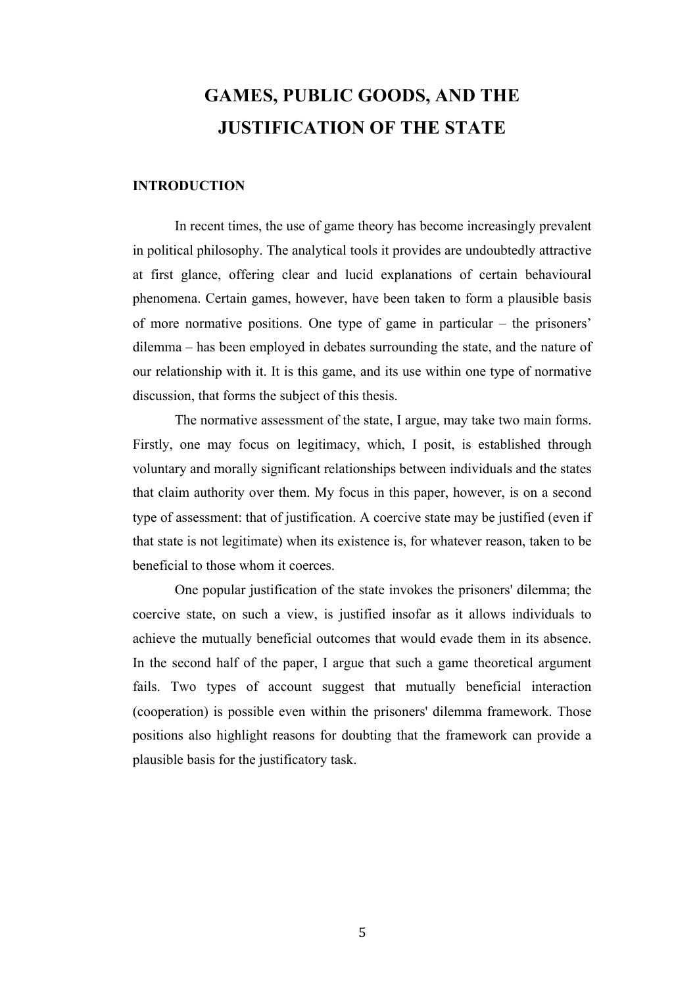# **GAMES, PUBLIC GOODS, AND THE JUSTIFICATION OF THE STATE**

#### **INTRODUCTION**

In recent times, the use of game theory has become increasingly prevalent in political philosophy. The analytical tools it provides are undoubtedly attractive at first glance, offering clear and lucid explanations of certain behavioural phenomena. Certain games, however, have been taken to form a plausible basis of more normative positions. One type of game in particular – the prisoners' dilemma – has been employed in debates surrounding the state, and the nature of our relationship with it. It is this game, and its use within one type of normative discussion, that forms the subject of this thesis.

The normative assessment of the state, I argue, may take two main forms. Firstly, one may focus on legitimacy, which, I posit, is established through voluntary and morally significant relationships between individuals and the states that claim authority over them. My focus in this paper, however, is on a second type of assessment: that of justification. A coercive state may be justified (even if that state is not legitimate) when its existence is, for whatever reason, taken to be beneficial to those whom it coerces.

One popular justification of the state invokes the prisoners' dilemma; the coercive state, on such a view, is justified insofar as it allows individuals to achieve the mutually beneficial outcomes that would evade them in its absence. In the second half of the paper, I argue that such a game theoretical argument fails. Two types of account suggest that mutually beneficial interaction (cooperation) is possible even within the prisoners' dilemma framework. Those positions also highlight reasons for doubting that the framework can provide a plausible basis for the justificatory task.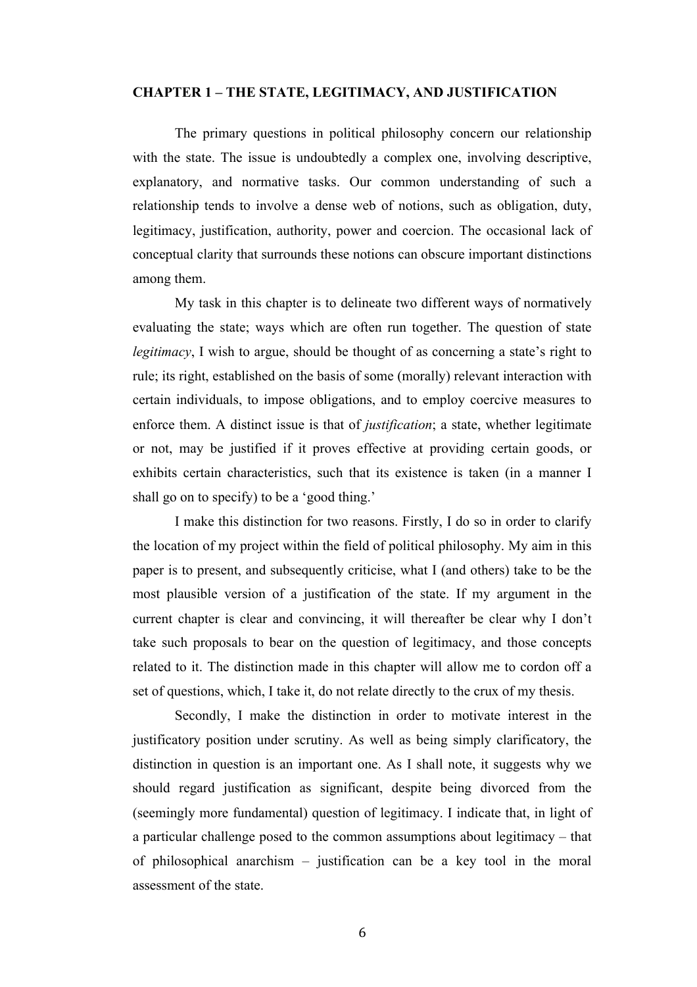#### **CHAPTER 1 – THE STATE, LEGITIMACY, AND JUSTIFICATION**

The primary questions in political philosophy concern our relationship with the state. The issue is undoubtedly a complex one, involving descriptive, explanatory, and normative tasks. Our common understanding of such a relationship tends to involve a dense web of notions, such as obligation, duty, legitimacy, justification, authority, power and coercion. The occasional lack of conceptual clarity that surrounds these notions can obscure important distinctions among them.

My task in this chapter is to delineate two different ways of normatively evaluating the state; ways which are often run together. The question of state *legitimacy*, I wish to argue, should be thought of as concerning a state's right to rule; its right, established on the basis of some (morally) relevant interaction with certain individuals, to impose obligations, and to employ coercive measures to enforce them. A distinct issue is that of *justification*; a state, whether legitimate or not, may be justified if it proves effective at providing certain goods, or exhibits certain characteristics, such that its existence is taken (in a manner I shall go on to specify) to be a 'good thing.'

I make this distinction for two reasons. Firstly, I do so in order to clarify the location of my project within the field of political philosophy. My aim in this paper is to present, and subsequently criticise, what I (and others) take to be the most plausible version of a justification of the state. If my argument in the current chapter is clear and convincing, it will thereafter be clear why I don't take such proposals to bear on the question of legitimacy, and those concepts related to it. The distinction made in this chapter will allow me to cordon off a set of questions, which, I take it, do not relate directly to the crux of my thesis.

Secondly, I make the distinction in order to motivate interest in the justificatory position under scrutiny. As well as being simply clarificatory, the distinction in question is an important one. As I shall note, it suggests why we should regard justification as significant, despite being divorced from the (seemingly more fundamental) question of legitimacy. I indicate that, in light of a particular challenge posed to the common assumptions about legitimacy – that of philosophical anarchism – justification can be a key tool in the moral assessment of the state.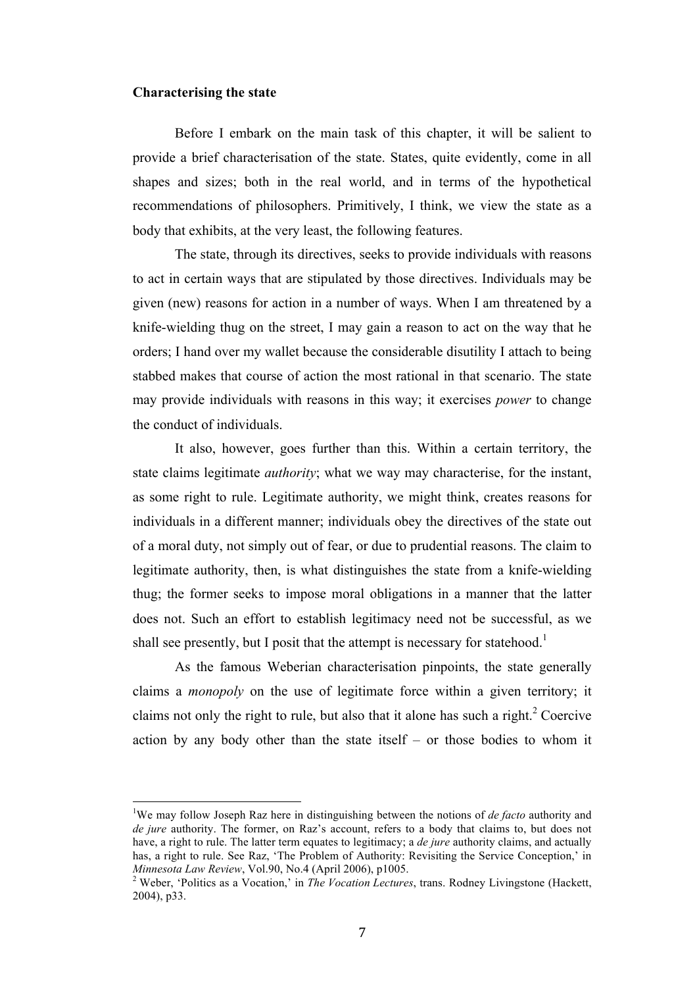#### **Characterising the state**

Before I embark on the main task of this chapter, it will be salient to provide a brief characterisation of the state. States, quite evidently, come in all shapes and sizes; both in the real world, and in terms of the hypothetical recommendations of philosophers. Primitively, I think, we view the state as a body that exhibits, at the very least, the following features.

The state, through its directives, seeks to provide individuals with reasons to act in certain ways that are stipulated by those directives. Individuals may be given (new) reasons for action in a number of ways. When I am threatened by a knife-wielding thug on the street, I may gain a reason to act on the way that he orders; I hand over my wallet because the considerable disutility I attach to being stabbed makes that course of action the most rational in that scenario. The state may provide individuals with reasons in this way; it exercises *power* to change the conduct of individuals.

It also, however, goes further than this. Within a certain territory, the state claims legitimate *authority*; what we way may characterise, for the instant, as some right to rule. Legitimate authority, we might think, creates reasons for individuals in a different manner; individuals obey the directives of the state out of a moral duty, not simply out of fear, or due to prudential reasons. The claim to legitimate authority, then, is what distinguishes the state from a knife-wielding thug; the former seeks to impose moral obligations in a manner that the latter does not. Such an effort to establish legitimacy need not be successful, as we shall see presently, but I posit that the attempt is necessary for statehood.<sup>1</sup>

As the famous Weberian characterisation pinpoints, the state generally claims a *monopoly* on the use of legitimate force within a given territory; it claims not only the right to rule, but also that it alone has such a right. $2$  Coercive action by any body other than the state itself – or those bodies to whom it

<sup>&</sup>lt;sup>1</sup>We may follow Joseph Raz here in distinguishing between the notions of *de facto* authority and *de jure* authority. The former, on Raz's account, refers to a body that claims to, but does not have, a right to rule. The latter term equates to legitimacy; a *de jure* authority claims, and actually has, a right to rule. See Raz, 'The Problem of Authority: Revisiting the Service Conception,' in<br>Minnesota Law Review. Vol.90. No.4 (April 2006). p1005.

<sup>&</sup>lt;sup>2</sup> Weber, 'Politics as a Vocation,' in *The Vocation Lectures*, trans. Rodney Livingstone (Hackett, 2004), p33.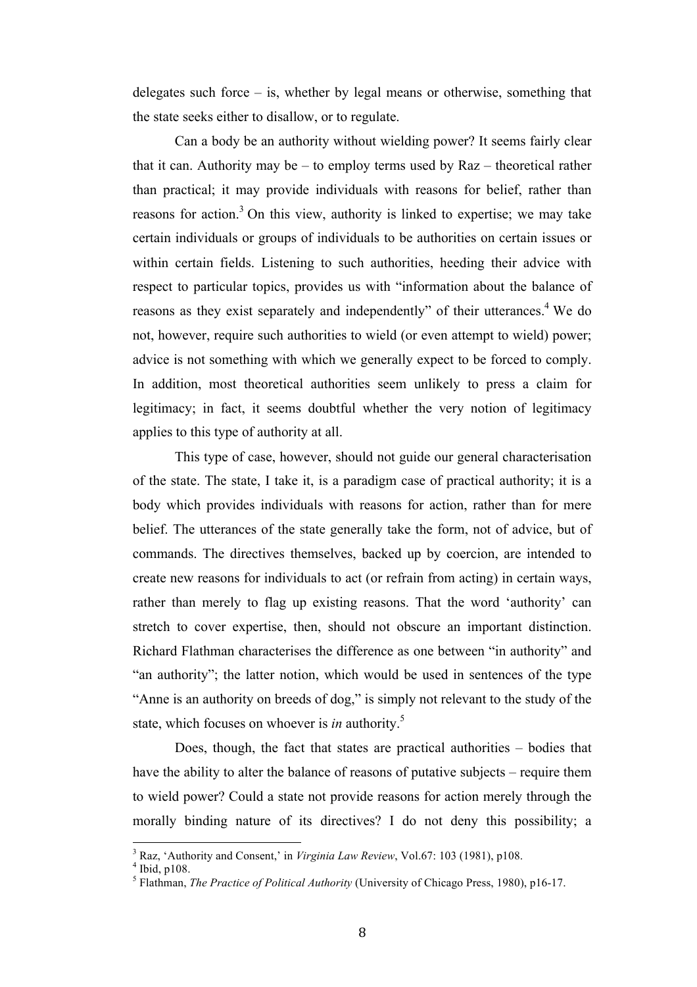delegates such force – is, whether by legal means or otherwise, something that the state seeks either to disallow, or to regulate.

Can a body be an authority without wielding power? It seems fairly clear that it can. Authority may be – to employ terms used by Raz – theoretical rather than practical; it may provide individuals with reasons for belief, rather than reasons for action.<sup>3</sup> On this view, authority is linked to expertise; we may take certain individuals or groups of individuals to be authorities on certain issues or within certain fields. Listening to such authorities, heeding their advice with respect to particular topics, provides us with "information about the balance of reasons as they exist separately and independently" of their utterances.<sup>4</sup> We do not, however, require such authorities to wield (or even attempt to wield) power; advice is not something with which we generally expect to be forced to comply. In addition, most theoretical authorities seem unlikely to press a claim for legitimacy; in fact, it seems doubtful whether the very notion of legitimacy applies to this type of authority at all.

This type of case, however, should not guide our general characterisation of the state. The state, I take it, is a paradigm case of practical authority; it is a body which provides individuals with reasons for action, rather than for mere belief. The utterances of the state generally take the form, not of advice, but of commands. The directives themselves, backed up by coercion, are intended to create new reasons for individuals to act (or refrain from acting) in certain ways, rather than merely to flag up existing reasons. That the word 'authority' can stretch to cover expertise, then, should not obscure an important distinction. Richard Flathman characterises the difference as one between "in authority" and "an authority"; the latter notion, which would be used in sentences of the type "Anne is an authority on breeds of dog," is simply not relevant to the study of the state, which focuses on whoever is *in* authority.<sup>5</sup>

Does, though, the fact that states are practical authorities – bodies that have the ability to alter the balance of reasons of putative subjects – require them to wield power? Could a state not provide reasons for action merely through the morally binding nature of its directives? I do not deny this possibility; a

 $1<sup>3</sup>$  Raz, 'Authority and Consent,' in *Virginia Law Review*, Vol.67: 103 (1981), p108.  $4<sup>4</sup>$  Ibid, p108.

<sup>5</sup> Flathman, *The Practice of Political Authority* (University of Chicago Press, 1980), p16-17.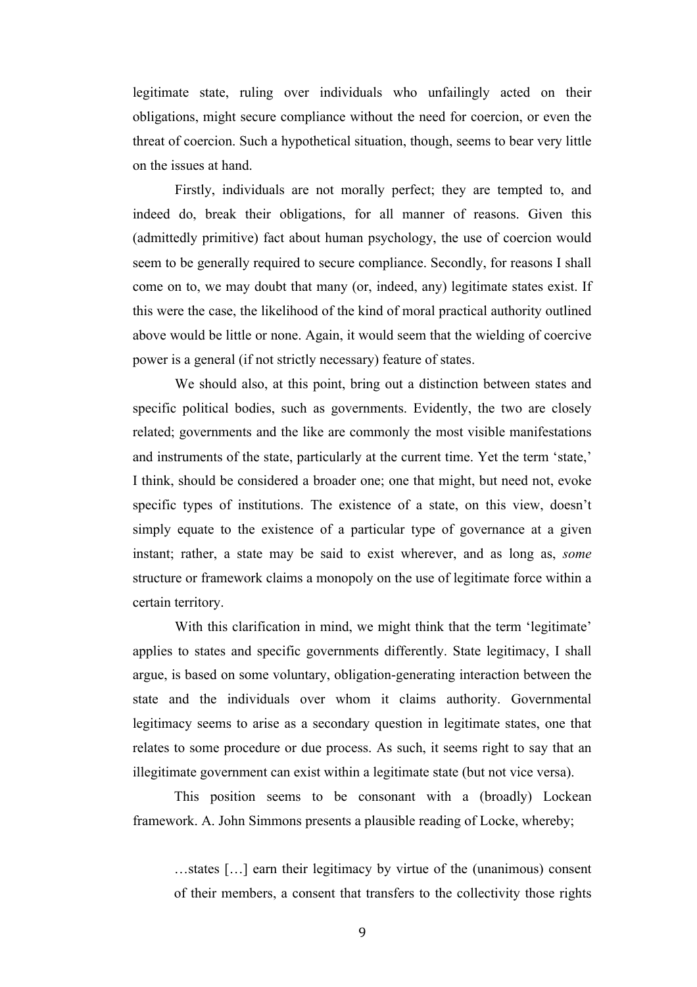legitimate state, ruling over individuals who unfailingly acted on their obligations, might secure compliance without the need for coercion, or even the threat of coercion. Such a hypothetical situation, though, seems to bear very little on the issues at hand.

Firstly, individuals are not morally perfect; they are tempted to, and indeed do, break their obligations, for all manner of reasons. Given this (admittedly primitive) fact about human psychology, the use of coercion would seem to be generally required to secure compliance. Secondly, for reasons I shall come on to, we may doubt that many (or, indeed, any) legitimate states exist. If this were the case, the likelihood of the kind of moral practical authority outlined above would be little or none. Again, it would seem that the wielding of coercive power is a general (if not strictly necessary) feature of states.

We should also, at this point, bring out a distinction between states and specific political bodies, such as governments. Evidently, the two are closely related; governments and the like are commonly the most visible manifestations and instruments of the state, particularly at the current time. Yet the term 'state,' I think, should be considered a broader one; one that might, but need not, evoke specific types of institutions. The existence of a state, on this view, doesn't simply equate to the existence of a particular type of governance at a given instant; rather, a state may be said to exist wherever, and as long as, *some* structure or framework claims a monopoly on the use of legitimate force within a certain territory.

With this clarification in mind, we might think that the term 'legitimate' applies to states and specific governments differently. State legitimacy, I shall argue, is based on some voluntary, obligation-generating interaction between the state and the individuals over whom it claims authority. Governmental legitimacy seems to arise as a secondary question in legitimate states, one that relates to some procedure or due process. As such, it seems right to say that an illegitimate government can exist within a legitimate state (but not vice versa).

This position seems to be consonant with a (broadly) Lockean framework. A. John Simmons presents a plausible reading of Locke, whereby;

…states […] earn their legitimacy by virtue of the (unanimous) consent of their members, a consent that transfers to the collectivity those rights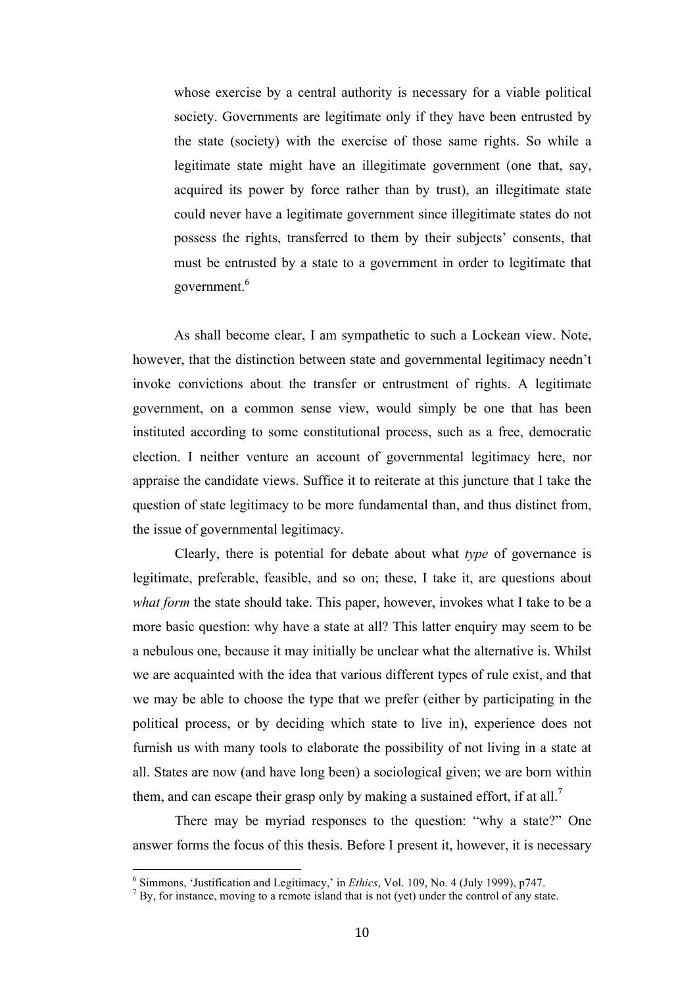whose exercise by a central authority is necessary for a viable political society. Governments are legitimate only if they have been entrusted by the state (society) with the exercise of those same rights. So while a legitimate state might have an illegitimate government (one that, say, acquired its power by force rather than by trust), an illegitimate state could never have a legitimate government since illegitimate states do not possess the rights, transferred to them by their subjects' consents, that must be entrusted by a state to a government in order to legitimate that government.6

As shall become clear, I am sympathetic to such a Lockean view. Note, however, that the distinction between state and governmental legitimacy needn't invoke convictions about the transfer or entrustment of rights. A legitimate government, on a common sense view, would simply be one that has been instituted according to some constitutional process, such as a free, democratic election. I neither venture an account of governmental legitimacy here, nor appraise the candidate views. Suffice it to reiterate at this juncture that I take the question of state legitimacy to be more fundamental than, and thus distinct from, the issue of governmental legitimacy.

Clearly, there is potential for debate about what *type* of governance is legitimate, preferable, feasible, and so on; these, I take it, are questions about *what form* the state should take. This paper, however, invokes what I take to be a more basic question: why have a state at all? This latter enquiry may seem to be a nebulous one, because it may initially be unclear what the alternative is. Whilst we are acquainted with the idea that various different types of rule exist, and that we may be able to choose the type that we prefer (either by participating in the political process, or by deciding which state to live in), experience does not furnish us with many tools to elaborate the possibility of not living in a state at all. States are now (and have long been) a sociological given; we are born within them, and can escape their grasp only by making a sustained effort, if at all.<sup>7</sup>

There may be myriad responses to the question: "why a state?" One answer forms the focus of this thesis. Before I present it, however, it is necessary

<sup>&</sup>lt;sup>6</sup> Simmons, 'Justification and Legitimacy,' in *Ethics*, Vol. 109, No. 4 (July 1999), p747.<br><sup>7</sup> By, for instance, moving to a remote island that is not (yet) under the control of any state.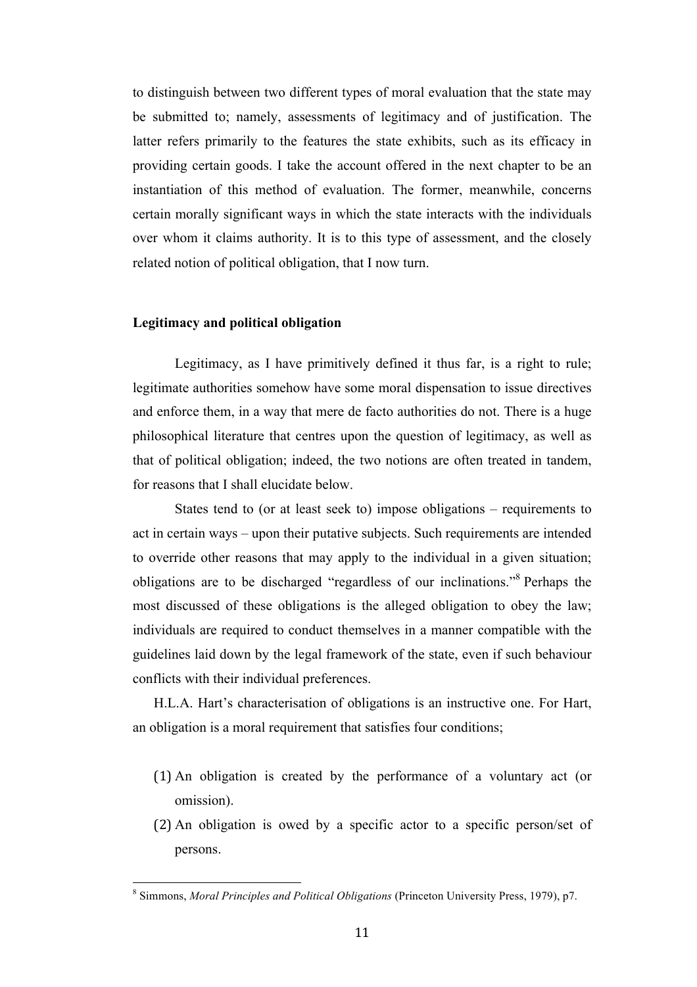to distinguish between two different types of moral evaluation that the state may be submitted to; namely, assessments of legitimacy and of justification. The latter refers primarily to the features the state exhibits, such as its efficacy in providing certain goods. I take the account offered in the next chapter to be an instantiation of this method of evaluation. The former, meanwhile, concerns certain morally significant ways in which the state interacts with the individuals over whom it claims authority. It is to this type of assessment, and the closely related notion of political obligation, that I now turn.

#### **Legitimacy and political obligation**

Legitimacy, as I have primitively defined it thus far, is a right to rule; legitimate authorities somehow have some moral dispensation to issue directives and enforce them, in a way that mere de facto authorities do not. There is a huge philosophical literature that centres upon the question of legitimacy, as well as that of political obligation; indeed, the two notions are often treated in tandem, for reasons that I shall elucidate below.

States tend to (or at least seek to) impose obligations – requirements to act in certain ways – upon their putative subjects. Such requirements are intended to override other reasons that may apply to the individual in a given situation; obligations are to be discharged "regardless of our inclinations."<sup>8</sup> Perhaps the most discussed of these obligations is the alleged obligation to obey the law; individuals are required to conduct themselves in a manner compatible with the guidelines laid down by the legal framework of the state, even if such behaviour conflicts with their individual preferences.

H.L.A. Hart's characterisation of obligations is an instructive one. For Hart, an obligation is a moral requirement that satisfies four conditions;

- (1) An obligation is created by the performance of a voluntary act (or omission).
- (2) An obligation is owed by a specific actor to a specific person/set of persons.

<sup>&</sup>lt;sup>8</sup> Simmons, *Moral Principles and Political Obligations* (Princeton University Press, 1979), p7.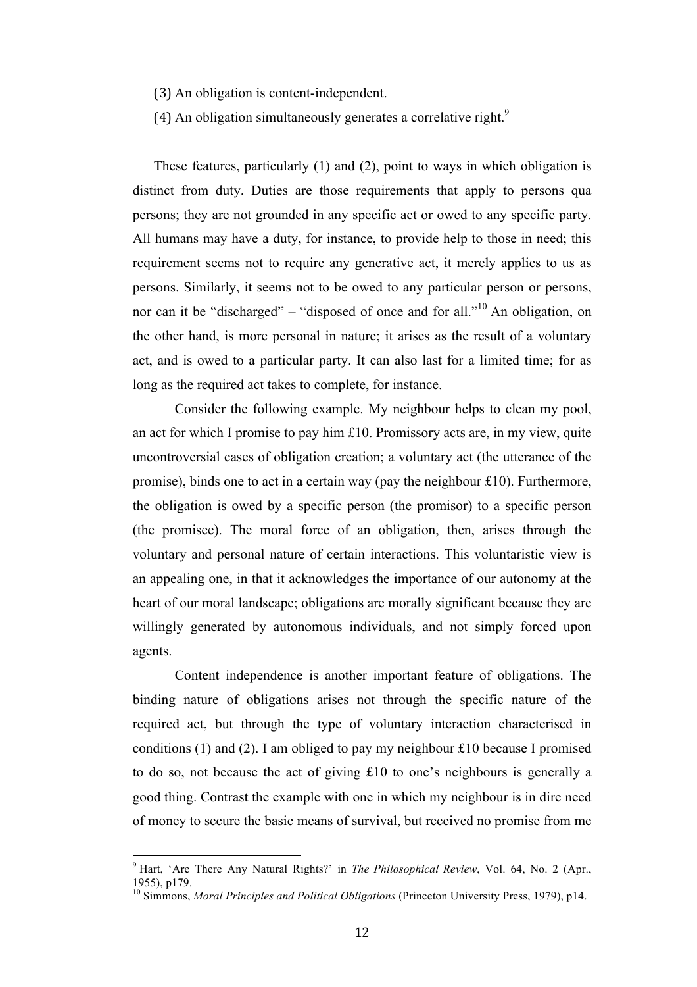- (3) An obligation is content-independent.
- (4) An obligation simultaneously generates a correlative right.<sup>9</sup>

These features, particularly (1) and (2), point to ways in which obligation is distinct from duty. Duties are those requirements that apply to persons qua persons; they are not grounded in any specific act or owed to any specific party. All humans may have a duty, for instance, to provide help to those in need; this requirement seems not to require any generative act, it merely applies to us as persons. Similarly, it seems not to be owed to any particular person or persons, nor can it be "discharged" – "disposed of once and for all."<sup>10</sup> An obligation, on the other hand, is more personal in nature; it arises as the result of a voluntary act, and is owed to a particular party. It can also last for a limited time; for as long as the required act takes to complete, for instance.

Consider the following example. My neighbour helps to clean my pool, an act for which I promise to pay him £10. Promissory acts are, in my view, quite uncontroversial cases of obligation creation; a voluntary act (the utterance of the promise), binds one to act in a certain way (pay the neighbour £10). Furthermore, the obligation is owed by a specific person (the promisor) to a specific person (the promisee). The moral force of an obligation, then, arises through the voluntary and personal nature of certain interactions. This voluntaristic view is an appealing one, in that it acknowledges the importance of our autonomy at the heart of our moral landscape; obligations are morally significant because they are willingly generated by autonomous individuals, and not simply forced upon agents.

Content independence is another important feature of obligations. The binding nature of obligations arises not through the specific nature of the required act, but through the type of voluntary interaction characterised in conditions (1) and (2). I am obliged to pay my neighbour £10 because I promised to do so, not because the act of giving £10 to one's neighbours is generally a good thing. Contrast the example with one in which my neighbour is in dire need of money to secure the basic means of survival, but received no promise from me

<sup>&</sup>lt;sup>9</sup> Hart, 'Are There Any Natural Rights?' in *The Philosophical Review*, Vol. 64, No. 2 (Apr., 1955), p179.<br><sup>10</sup> Simmons, *Moral Principles and Political Obligations* (Princeton University Press, 1979), p14.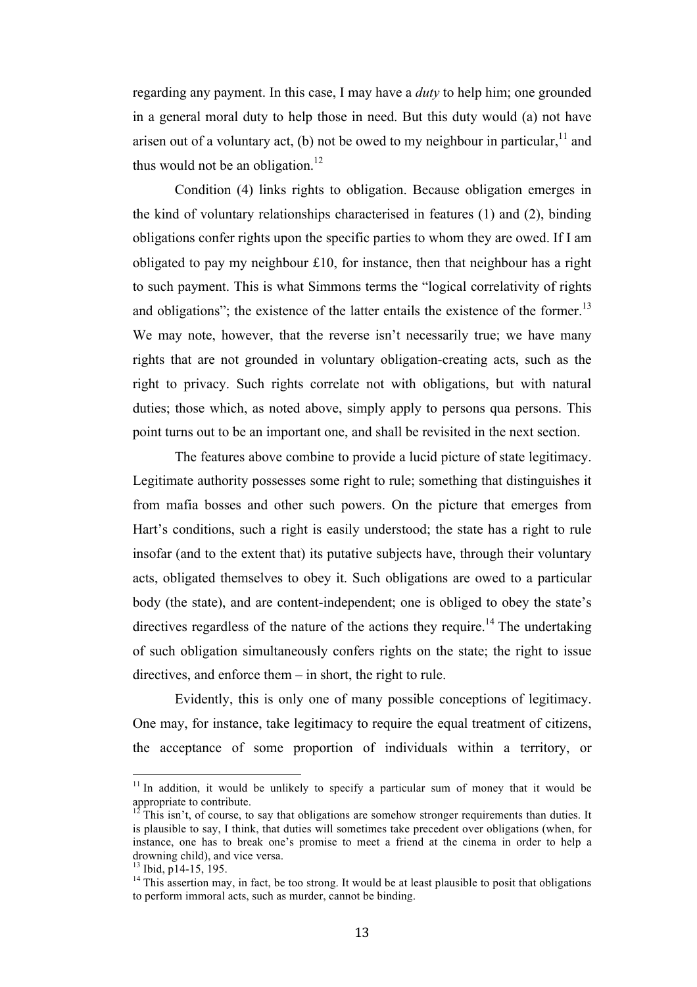regarding any payment. In this case, I may have a *duty* to help him; one grounded in a general moral duty to help those in need. But this duty would (a) not have arisen out of a voluntary act, (b) not be owed to my neighbour in particular,  $11$  and thus would not be an obligation.<sup>12</sup>

Condition (4) links rights to obligation. Because obligation emerges in the kind of voluntary relationships characterised in features (1) and (2), binding obligations confer rights upon the specific parties to whom they are owed. If I am obligated to pay my neighbour £10, for instance, then that neighbour has a right to such payment. This is what Simmons terms the "logical correlativity of rights and obligations"; the existence of the latter entails the existence of the former.<sup>13</sup> We may note, however, that the reverse isn't necessarily true; we have many rights that are not grounded in voluntary obligation-creating acts, such as the right to privacy. Such rights correlate not with obligations, but with natural duties; those which, as noted above, simply apply to persons qua persons. This point turns out to be an important one, and shall be revisited in the next section.

The features above combine to provide a lucid picture of state legitimacy. Legitimate authority possesses some right to rule; something that distinguishes it from mafia bosses and other such powers. On the picture that emerges from Hart's conditions, such a right is easily understood; the state has a right to rule insofar (and to the extent that) its putative subjects have, through their voluntary acts, obligated themselves to obey it. Such obligations are owed to a particular body (the state), and are content-independent; one is obliged to obey the state's directives regardless of the nature of the actions they require.<sup>14</sup> The undertaking of such obligation simultaneously confers rights on the state; the right to issue directives, and enforce them – in short, the right to rule.

Evidently, this is only one of many possible conceptions of legitimacy. One may, for instance, take legitimacy to require the equal treatment of citizens, the acceptance of some proportion of individuals within a territory, or

 $11$  In addition, it would be unlikely to specify a particular sum of money that it would be appropriate to contribute.

 $12$ <sup>12</sup> This isn't, of course, to say that obligations are somehow stronger requirements than duties. It is plausible to say, I think, that duties will sometimes take precedent over obligations (when, for instance, one has to break one's promise to meet a friend at the cinema in order to help a drowning child), and vice versa.<br><sup>13</sup> Ibid. p14-15, 195.

 $14$  This assertion may, in fact, be too strong. It would be at least plausible to posit that obligations to perform immoral acts, such as murder, cannot be binding.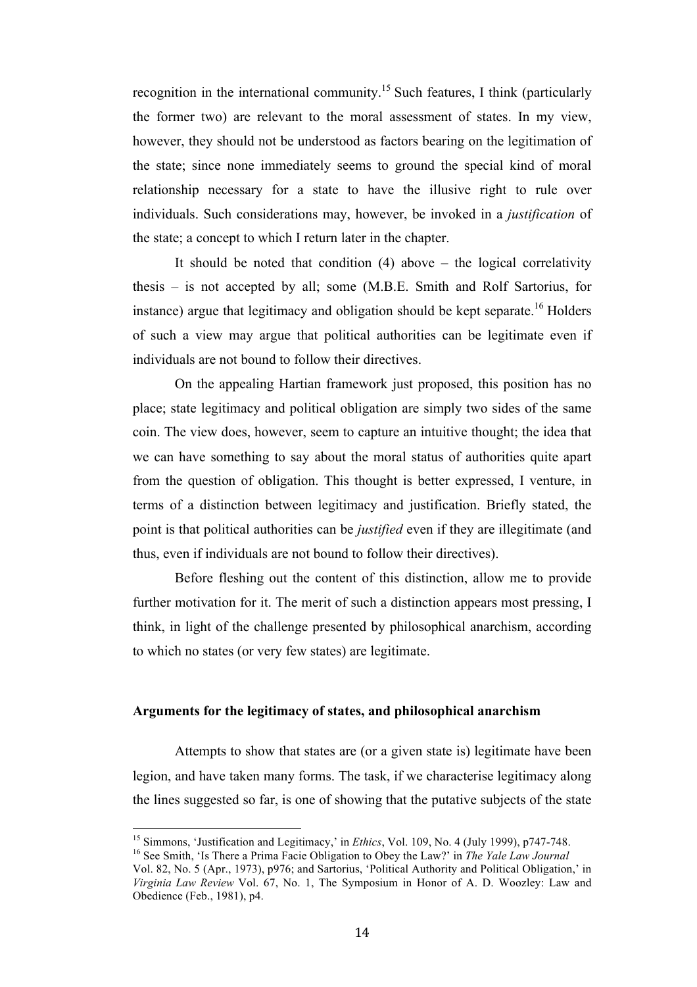recognition in the international community.<sup>15</sup> Such features, I think (particularly the former two) are relevant to the moral assessment of states. In my view, however, they should not be understood as factors bearing on the legitimation of the state; since none immediately seems to ground the special kind of moral relationship necessary for a state to have the illusive right to rule over individuals. Such considerations may, however, be invoked in a *justification* of the state; a concept to which I return later in the chapter.

It should be noted that condition  $(4)$  above – the logical correlativity thesis – is not accepted by all; some (M.B.E. Smith and Rolf Sartorius, for instance) argue that legitimacy and obligation should be kept separate.<sup>16</sup> Holders of such a view may argue that political authorities can be legitimate even if individuals are not bound to follow their directives.

On the appealing Hartian framework just proposed, this position has no place; state legitimacy and political obligation are simply two sides of the same coin. The view does, however, seem to capture an intuitive thought; the idea that we can have something to say about the moral status of authorities quite apart from the question of obligation. This thought is better expressed, I venture, in terms of a distinction between legitimacy and justification. Briefly stated, the point is that political authorities can be *justified* even if they are illegitimate (and thus, even if individuals are not bound to follow their directives).

Before fleshing out the content of this distinction, allow me to provide further motivation for it. The merit of such a distinction appears most pressing, I think, in light of the challenge presented by philosophical anarchism, according to which no states (or very few states) are legitimate.

#### **Arguments for the legitimacy of states, and philosophical anarchism**

Attempts to show that states are (or a given state is) legitimate have been legion, and have taken many forms. The task, if we characterise legitimacy along the lines suggested so far, is one of showing that the putative subjects of the state

<sup>&</sup>lt;sup>15</sup> Simmons, 'Justification and Legitimacy,' in *Ethics*, Vol. 109, No. 4 (July 1999), p747-748.<br><sup>16</sup> See Smith. 'Is There a Prima Facie Obligation to Obey the Law?' in *The Yale Law Journal* 

Vol. 82, No. 5 (Apr., 1973), p976; and Sartorius, 'Political Authority and Political Obligation,' in *Virginia Law Review* Vol. 67, No. 1, The Symposium in Honor of A. D. Woozley: Law and Obedience (Feb., 1981), p4.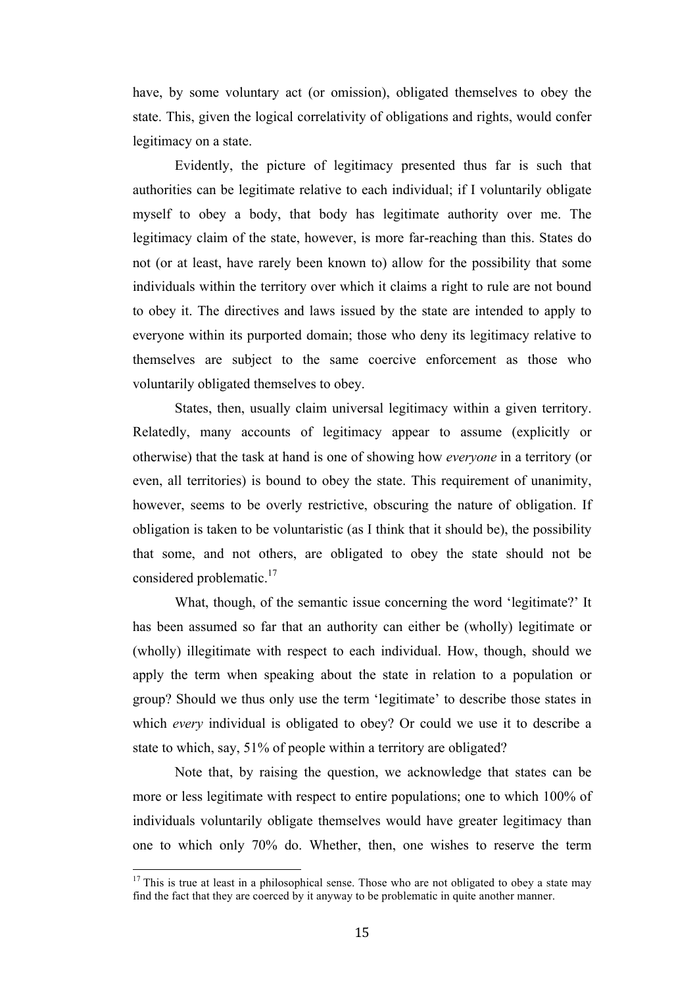have, by some voluntary act (or omission), obligated themselves to obey the state. This, given the logical correlativity of obligations and rights, would confer legitimacy on a state.

Evidently, the picture of legitimacy presented thus far is such that authorities can be legitimate relative to each individual; if I voluntarily obligate myself to obey a body, that body has legitimate authority over me. The legitimacy claim of the state, however, is more far-reaching than this. States do not (or at least, have rarely been known to) allow for the possibility that some individuals within the territory over which it claims a right to rule are not bound to obey it. The directives and laws issued by the state are intended to apply to everyone within its purported domain; those who deny its legitimacy relative to themselves are subject to the same coercive enforcement as those who voluntarily obligated themselves to obey.

States, then, usually claim universal legitimacy within a given territory. Relatedly, many accounts of legitimacy appear to assume (explicitly or otherwise) that the task at hand is one of showing how *everyone* in a territory (or even, all territories) is bound to obey the state. This requirement of unanimity, however, seems to be overly restrictive, obscuring the nature of obligation. If obligation is taken to be voluntaristic (as I think that it should be), the possibility that some, and not others, are obligated to obey the state should not be considered problematic.<sup>17</sup>

What, though, of the semantic issue concerning the word 'legitimate?' It has been assumed so far that an authority can either be (wholly) legitimate or (wholly) illegitimate with respect to each individual. How, though, should we apply the term when speaking about the state in relation to a population or group? Should we thus only use the term 'legitimate' to describe those states in which *every* individual is obligated to obey? Or could we use it to describe a state to which, say, 51% of people within a territory are obligated?

Note that, by raising the question, we acknowledge that states can be more or less legitimate with respect to entire populations; one to which 100% of individuals voluntarily obligate themselves would have greater legitimacy than one to which only 70% do. Whether, then, one wishes to reserve the term

 $17$  This is true at least in a philosophical sense. Those who are not obligated to obey a state may find the fact that they are coerced by it anyway to be problematic in quite another manner.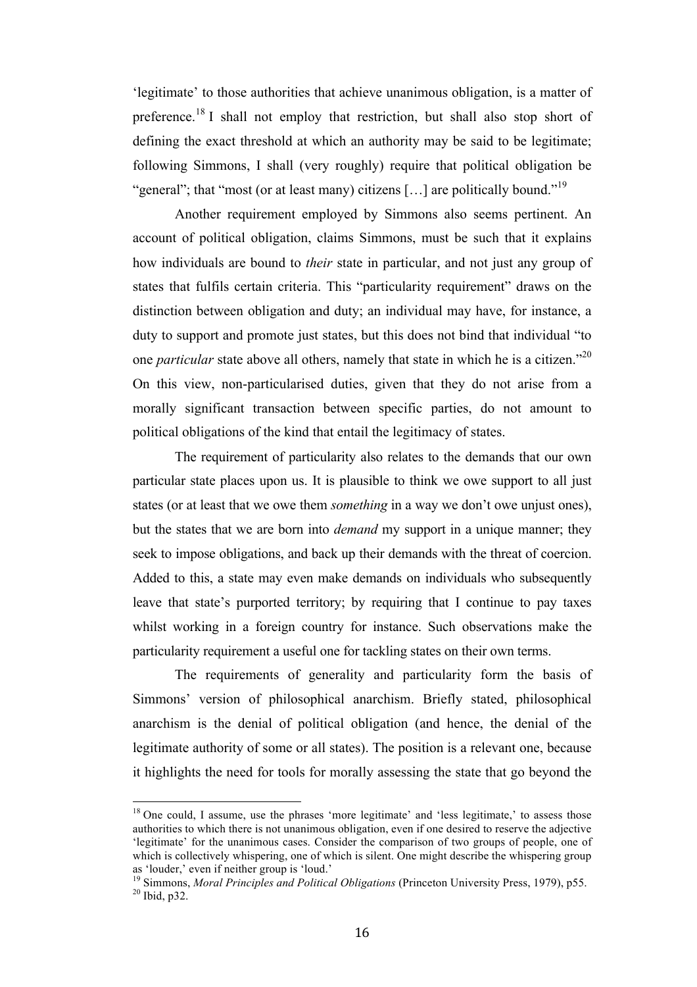'legitimate' to those authorities that achieve unanimous obligation, is a matter of preference.<sup>18</sup> I shall not employ that restriction, but shall also stop short of defining the exact threshold at which an authority may be said to be legitimate; following Simmons, I shall (very roughly) require that political obligation be "general"; that "most (or at least many) citizens [...] are politically bound."<sup>19</sup>

Another requirement employed by Simmons also seems pertinent. An account of political obligation, claims Simmons, must be such that it explains how individuals are bound to *their* state in particular, and not just any group of states that fulfils certain criteria. This "particularity requirement" draws on the distinction between obligation and duty; an individual may have, for instance, a duty to support and promote just states, but this does not bind that individual "to one *particular* state above all others, namely that state in which he is a citizen."<sup>20</sup> On this view, non-particularised duties, given that they do not arise from a morally significant transaction between specific parties, do not amount to political obligations of the kind that entail the legitimacy of states.

The requirement of particularity also relates to the demands that our own particular state places upon us. It is plausible to think we owe support to all just states (or at least that we owe them *something* in a way we don't owe unjust ones), but the states that we are born into *demand* my support in a unique manner; they seek to impose obligations, and back up their demands with the threat of coercion. Added to this, a state may even make demands on individuals who subsequently leave that state's purported territory; by requiring that I continue to pay taxes whilst working in a foreign country for instance. Such observations make the particularity requirement a useful one for tackling states on their own terms.

The requirements of generality and particularity form the basis of Simmons' version of philosophical anarchism. Briefly stated, philosophical anarchism is the denial of political obligation (and hence, the denial of the legitimate authority of some or all states). The position is a relevant one, because it highlights the need for tools for morally assessing the state that go beyond the

 $18$  One could, I assume, use the phrases 'more legitimate' and 'less legitimate,' to assess those authorities to which there is not unanimous obligation, even if one desired to reserve the adjective 'legitimate' for the unanimous cases. Consider the comparison of two groups of people, one of which is collectively whispering, one of which is silent. One might describe the whispering group as 'louder,' even if neither group is 'loud.'

<sup>&</sup>lt;sup>19</sup> Simmons, *Moral Principles and Political Obligations* (Princeton University Press, 1979), p55.<br><sup>20</sup> Ibid. p32.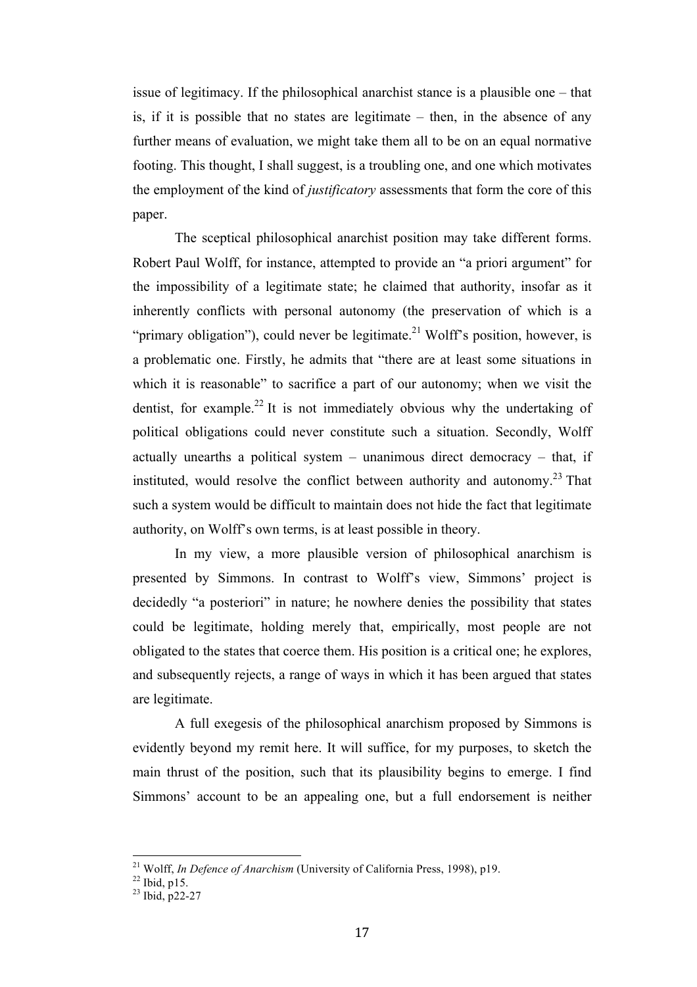issue of legitimacy. If the philosophical anarchist stance is a plausible one – that is, if it is possible that no states are legitimate – then, in the absence of any further means of evaluation, we might take them all to be on an equal normative footing. This thought, I shall suggest, is a troubling one, and one which motivates the employment of the kind of *justificatory* assessments that form the core of this paper.

The sceptical philosophical anarchist position may take different forms. Robert Paul Wolff, for instance, attempted to provide an "a priori argument" for the impossibility of a legitimate state; he claimed that authority, insofar as it inherently conflicts with personal autonomy (the preservation of which is a "primary obligation"), could never be legitimate.<sup>21</sup> Wolff's position, however, is a problematic one. Firstly, he admits that "there are at least some situations in which it is reasonable" to sacrifice a part of our autonomy; when we visit the dentist, for example.<sup>22</sup> It is not immediately obvious why the undertaking of political obligations could never constitute such a situation. Secondly, Wolff actually unearths a political system  $-$  unanimous direct democracy  $-$  that, if instituted, would resolve the conflict between authority and autonomy.<sup>23</sup> That such a system would be difficult to maintain does not hide the fact that legitimate authority, on Wolff's own terms, is at least possible in theory.

In my view, a more plausible version of philosophical anarchism is presented by Simmons. In contrast to Wolff's view, Simmons' project is decidedly "a posteriori" in nature; he nowhere denies the possibility that states could be legitimate, holding merely that, empirically, most people are not obligated to the states that coerce them. His position is a critical one; he explores, and subsequently rejects, a range of ways in which it has been argued that states are legitimate.

A full exegesis of the philosophical anarchism proposed by Simmons is evidently beyond my remit here. It will suffice, for my purposes, to sketch the main thrust of the position, such that its plausibility begins to emerge. I find Simmons' account to be an appealing one, but a full endorsement is neither

<sup>&</sup>lt;sup>21</sup> Wolff, *In Defence of Anarchism* (University of California Press, 1998), p19.<br><sup>22</sup> Ibid, p15. <sup>23</sup> Ibid, p22-27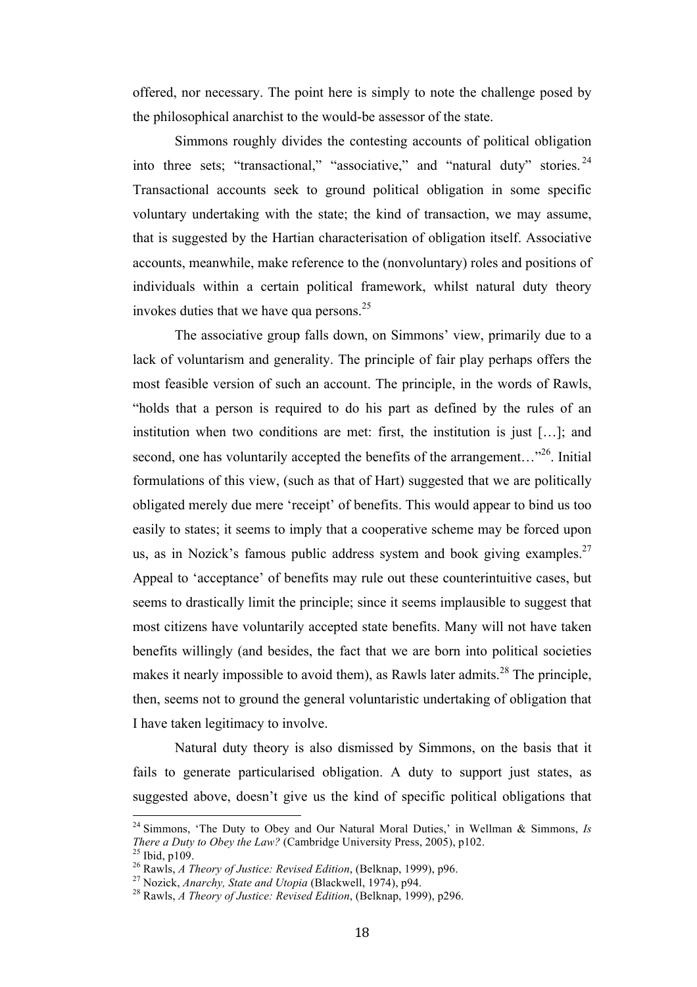offered, nor necessary. The point here is simply to note the challenge posed by the philosophical anarchist to the would-be assessor of the state.

Simmons roughly divides the contesting accounts of political obligation into three sets; "transactional," "associative," and "natural duty" stories.<sup>24</sup> Transactional accounts seek to ground political obligation in some specific voluntary undertaking with the state; the kind of transaction, we may assume, that is suggested by the Hartian characterisation of obligation itself. Associative accounts, meanwhile, make reference to the (nonvoluntary) roles and positions of individuals within a certain political framework, whilst natural duty theory invokes duties that we have qua persons. $25$ 

The associative group falls down, on Simmons' view, primarily due to a lack of voluntarism and generality. The principle of fair play perhaps offers the most feasible version of such an account. The principle, in the words of Rawls, "holds that a person is required to do his part as defined by the rules of an institution when two conditions are met: first, the institution is just […]; and second, one has voluntarily accepted the benefits of the arrangement... $^{326}$ . Initial formulations of this view, (such as that of Hart) suggested that we are politically obligated merely due mere 'receipt' of benefits. This would appear to bind us too easily to states; it seems to imply that a cooperative scheme may be forced upon us, as in Nozick's famous public address system and book giving examples.<sup>27</sup> Appeal to 'acceptance' of benefits may rule out these counterintuitive cases, but seems to drastically limit the principle; since it seems implausible to suggest that most citizens have voluntarily accepted state benefits. Many will not have taken benefits willingly (and besides, the fact that we are born into political societies makes it nearly impossible to avoid them), as Rawls later admits.<sup>28</sup> The principle, then, seems not to ground the general voluntaristic undertaking of obligation that I have taken legitimacy to involve.

Natural duty theory is also dismissed by Simmons, on the basis that it fails to generate particularised obligation. A duty to support just states, as suggested above, doesn't give us the kind of specific political obligations that

<sup>&</sup>lt;sup>24</sup> Simmons, 'The Duty to Obey and Our Natural Moral Duties,' in Wellman & Simmons, *Is* There a Duty to Obey the Law? (Cambridge University Press, 2005), p102.<br><sup>25</sup> Ibid, p109.<br><sup>26</sup> Rawls, *A Theory of Justice: Revised Edition*, (Belknap, 1999), p96.<br><sup>27</sup> Nozick, *Anarchy, State and Utopia* (Blackwell, 1974),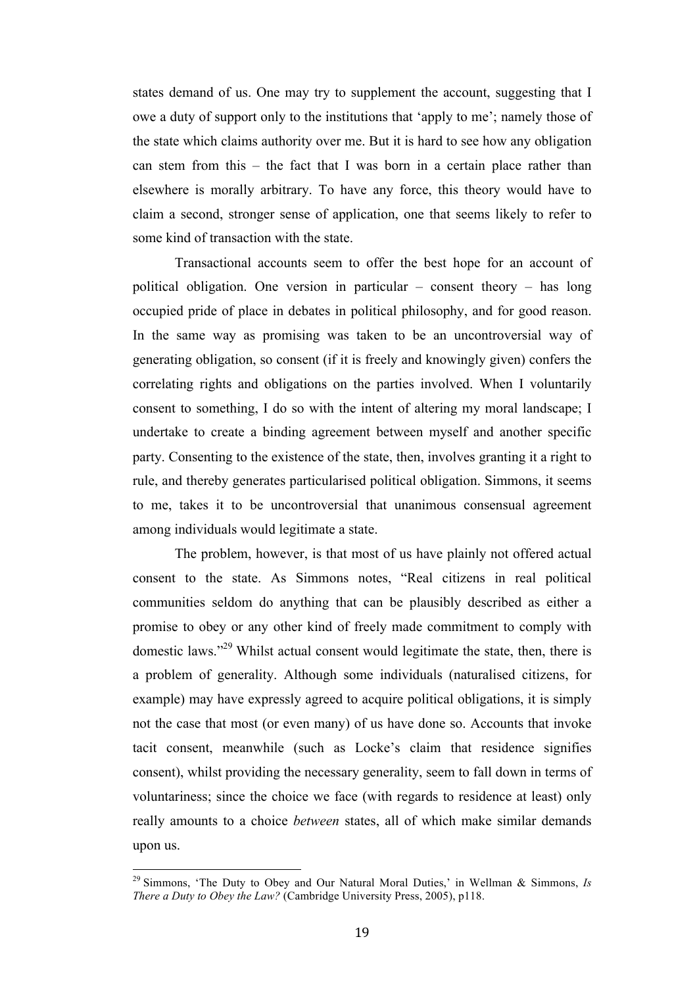states demand of us. One may try to supplement the account, suggesting that I owe a duty of support only to the institutions that 'apply to me'; namely those of the state which claims authority over me. But it is hard to see how any obligation can stem from this – the fact that I was born in a certain place rather than elsewhere is morally arbitrary. To have any force, this theory would have to claim a second, stronger sense of application, one that seems likely to refer to some kind of transaction with the state.

Transactional accounts seem to offer the best hope for an account of political obligation. One version in particular – consent theory – has long occupied pride of place in debates in political philosophy, and for good reason. In the same way as promising was taken to be an uncontroversial way of generating obligation, so consent (if it is freely and knowingly given) confers the correlating rights and obligations on the parties involved. When I voluntarily consent to something, I do so with the intent of altering my moral landscape; I undertake to create a binding agreement between myself and another specific party. Consenting to the existence of the state, then, involves granting it a right to rule, and thereby generates particularised political obligation. Simmons, it seems to me, takes it to be uncontroversial that unanimous consensual agreement among individuals would legitimate a state.

The problem, however, is that most of us have plainly not offered actual consent to the state. As Simmons notes, "Real citizens in real political communities seldom do anything that can be plausibly described as either a promise to obey or any other kind of freely made commitment to comply with domestic laws."29 Whilst actual consent would legitimate the state, then, there is a problem of generality. Although some individuals (naturalised citizens, for example) may have expressly agreed to acquire political obligations, it is simply not the case that most (or even many) of us have done so. Accounts that invoke tacit consent, meanwhile (such as Locke's claim that residence signifies consent), whilst providing the necessary generality, seem to fall down in terms of voluntariness; since the choice we face (with regards to residence at least) only really amounts to a choice *between* states, all of which make similar demands upon us.

<sup>&</sup>lt;sup>29</sup> Simmons, 'The Duty to Obey and Our Natural Moral Duties,' in Wellman & Simmons, *Is There a Duty to Obey the Law?* (Cambridge University Press, 2005), p118.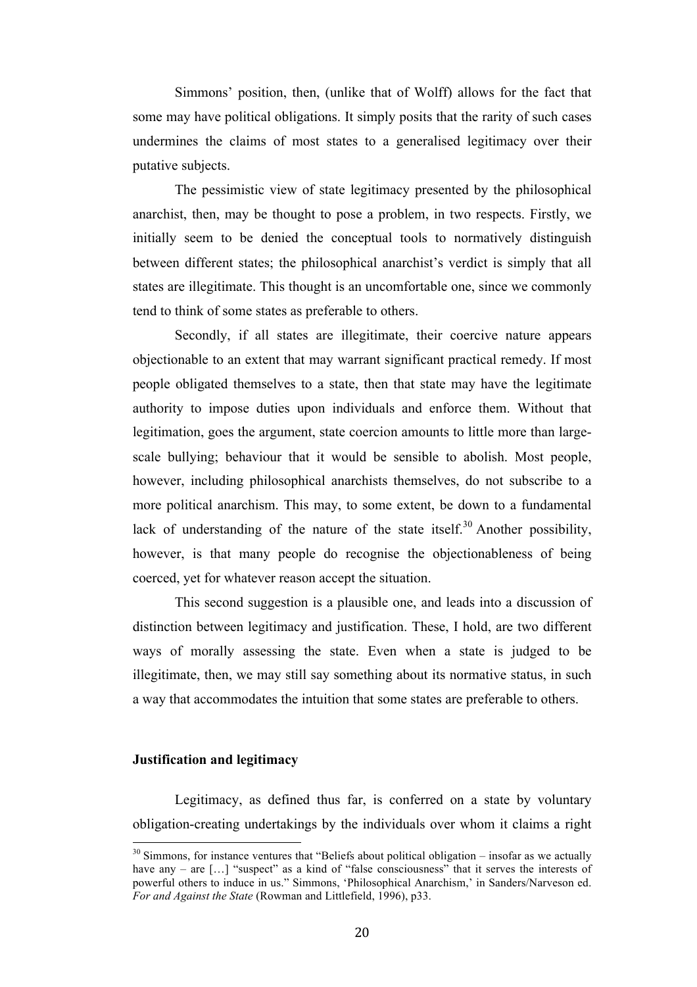Simmons' position, then, (unlike that of Wolff) allows for the fact that some may have political obligations. It simply posits that the rarity of such cases undermines the claims of most states to a generalised legitimacy over their putative subjects.

The pessimistic view of state legitimacy presented by the philosophical anarchist, then, may be thought to pose a problem, in two respects. Firstly, we initially seem to be denied the conceptual tools to normatively distinguish between different states; the philosophical anarchist's verdict is simply that all states are illegitimate. This thought is an uncomfortable one, since we commonly tend to think of some states as preferable to others.

Secondly, if all states are illegitimate, their coercive nature appears objectionable to an extent that may warrant significant practical remedy. If most people obligated themselves to a state, then that state may have the legitimate authority to impose duties upon individuals and enforce them. Without that legitimation, goes the argument, state coercion amounts to little more than largescale bullying; behaviour that it would be sensible to abolish. Most people, however, including philosophical anarchists themselves, do not subscribe to a more political anarchism. This may, to some extent, be down to a fundamental lack of understanding of the nature of the state itself.<sup>30</sup> Another possibility, however, is that many people do recognise the objectionableness of being coerced, yet for whatever reason accept the situation.

This second suggestion is a plausible one, and leads into a discussion of distinction between legitimacy and justification. These, I hold, are two different ways of morally assessing the state. Even when a state is judged to be illegitimate, then, we may still say something about its normative status, in such a way that accommodates the intuition that some states are preferable to others.

#### **Justification and legitimacy**

Legitimacy, as defined thus far, is conferred on a state by voluntary obligation-creating undertakings by the individuals over whom it claims a right

 $30$  Simmons, for instance ventures that "Beliefs about political obligation – insofar as we actually have any – are [...] "suspect" as a kind of "false consciousness" that it serves the interests of powerful others to induce in us." Simmons, 'Philosophical Anarchism,' in Sanders/Narveson ed. *For and Against the State* (Rowman and Littlefield, 1996), p33.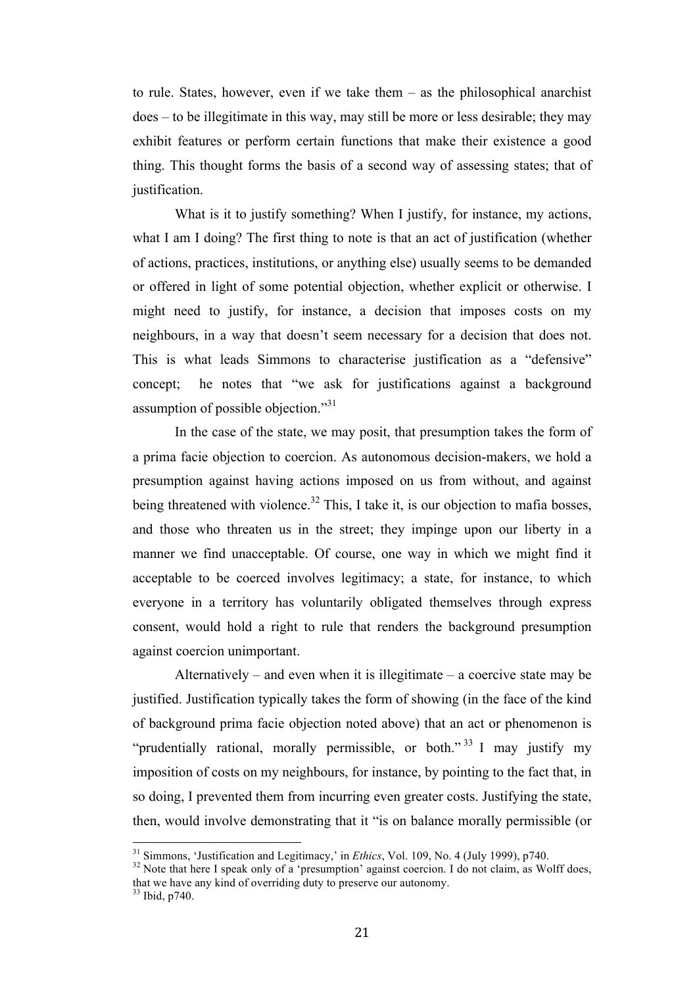to rule. States, however, even if we take them – as the philosophical anarchist does – to be illegitimate in this way, may still be more or less desirable; they may exhibit features or perform certain functions that make their existence a good thing. This thought forms the basis of a second way of assessing states; that of justification.

What is it to justify something? When I justify, for instance, my actions, what I am I doing? The first thing to note is that an act of justification (whether of actions, practices, institutions, or anything else) usually seems to be demanded or offered in light of some potential objection, whether explicit or otherwise. I might need to justify, for instance, a decision that imposes costs on my neighbours, in a way that doesn't seem necessary for a decision that does not. This is what leads Simmons to characterise justification as a "defensive" concept; he notes that "we ask for justifications against a background assumption of possible objection."<sup>31</sup>

In the case of the state, we may posit, that presumption takes the form of a prima facie objection to coercion. As autonomous decision-makers, we hold a presumption against having actions imposed on us from without, and against being threatened with violence.<sup>32</sup> This, I take it, is our objection to mafia bosses, and those who threaten us in the street; they impinge upon our liberty in a manner we find unacceptable. Of course, one way in which we might find it acceptable to be coerced involves legitimacy; a state, for instance, to which everyone in a territory has voluntarily obligated themselves through express consent, would hold a right to rule that renders the background presumption against coercion unimportant.

Alternatively – and even when it is illegitimate – a coercive state may be justified. Justification typically takes the form of showing (in the face of the kind of background prima facie objection noted above) that an act or phenomenon is "prudentially rational, morally permissible, or both."<sup>33</sup> I may justify my imposition of costs on my neighbours, for instance, by pointing to the fact that, in so doing, I prevented them from incurring even greater costs. Justifying the state, then, would involve demonstrating that it "is on balance morally permissible (or

<sup>&</sup>lt;sup>31</sup> Simmons, 'Justification and Legitimacy,' in *Ethics*, Vol. 109, No. 4 (July 1999), p740.<br><sup>32</sup> Note that here I speak only of a 'presumption' against coercion. I do not claim, as Wolff does.

that we have any kind of overriding duty to preserve our autonomy.

 $33$  Ibid, p740.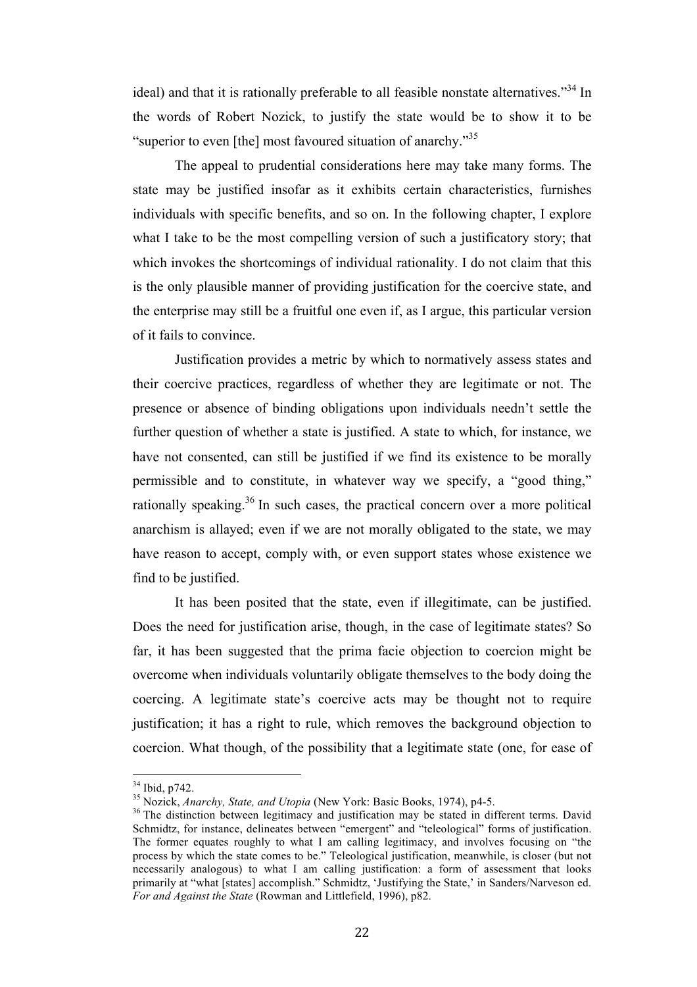ideal) and that it is rationally preferable to all feasible nonstate alternatives.<sup>334</sup> In the words of Robert Nozick, to justify the state would be to show it to be "superior to even [the] most favoured situation of anarchy."<sup>35</sup>

The appeal to prudential considerations here may take many forms. The state may be justified insofar as it exhibits certain characteristics, furnishes individuals with specific benefits, and so on. In the following chapter, I explore what I take to be the most compelling version of such a justificatory story; that which invokes the shortcomings of individual rationality. I do not claim that this is the only plausible manner of providing justification for the coercive state, and the enterprise may still be a fruitful one even if, as I argue, this particular version of it fails to convince.

Justification provides a metric by which to normatively assess states and their coercive practices, regardless of whether they are legitimate or not. The presence or absence of binding obligations upon individuals needn't settle the further question of whether a state is justified. A state to which, for instance, we have not consented, can still be justified if we find its existence to be morally permissible and to constitute, in whatever way we specify, a "good thing," rationally speaking.<sup>36</sup> In such cases, the practical concern over a more political anarchism is allayed; even if we are not morally obligated to the state, we may have reason to accept, comply with, or even support states whose existence we find to be justified.

It has been posited that the state, even if illegitimate, can be justified. Does the need for justification arise, though, in the case of legitimate states? So far, it has been suggested that the prima facie objection to coercion might be overcome when individuals voluntarily obligate themselves to the body doing the coercing. A legitimate state's coercive acts may be thought not to require justification; it has a right to rule, which removes the background objection to coercion. What though, of the possibility that a legitimate state (one, for ease of

<sup>&</sup>lt;sup>34</sup> Ibid, p742.<br><sup>35</sup> Nozick, *Anarchy*, *State, and Utopia* (New York: Basic Books, 1974), p4-5.<br><sup>36</sup> The distinction between legitimacy and justification may be stated in different terms. David Schmidtz, for instance, delineates between "emergent" and "teleological" forms of justification. The former equates roughly to what I am calling legitimacy, and involves focusing on "the process by which the state comes to be." Teleological justification, meanwhile, is closer (but not necessarily analogous) to what I am calling justification: a form of assessment that looks primarily at "what [states] accomplish." Schmidtz, 'Justifying the State,' in Sanders/Narveson ed. *For and Against the State* (Rowman and Littlefield, 1996), p82.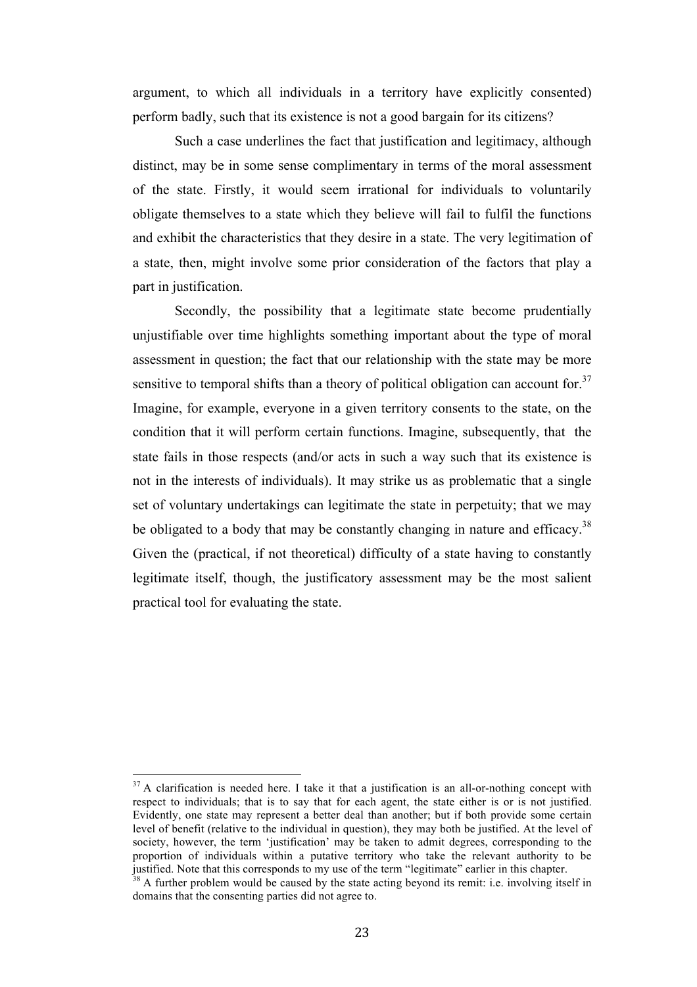argument, to which all individuals in a territory have explicitly consented) perform badly, such that its existence is not a good bargain for its citizens?

Such a case underlines the fact that justification and legitimacy, although distinct, may be in some sense complimentary in terms of the moral assessment of the state. Firstly, it would seem irrational for individuals to voluntarily obligate themselves to a state which they believe will fail to fulfil the functions and exhibit the characteristics that they desire in a state. The very legitimation of a state, then, might involve some prior consideration of the factors that play a part in justification.

Secondly, the possibility that a legitimate state become prudentially unjustifiable over time highlights something important about the type of moral assessment in question; the fact that our relationship with the state may be more sensitive to temporal shifts than a theory of political obligation can account for.<sup>37</sup> Imagine, for example, everyone in a given territory consents to the state, on the condition that it will perform certain functions. Imagine, subsequently, that the state fails in those respects (and/or acts in such a way such that its existence is not in the interests of individuals). It may strike us as problematic that a single set of voluntary undertakings can legitimate the state in perpetuity; that we may be obligated to a body that may be constantly changing in nature and efficacy.<sup>38</sup> Given the (practical, if not theoretical) difficulty of a state having to constantly legitimate itself, though, the justificatory assessment may be the most salient practical tool for evaluating the state.

 $37$  A clarification is needed here. I take it that a justification is an all-or-nothing concept with respect to individuals; that is to say that for each agent, the state either is or is not justified. Evidently, one state may represent a better deal than another; but if both provide some certain level of benefit (relative to the individual in question), they may both be justified. At the level of society, however, the term 'justification' may be taken to admit degrees, corresponding to the proportion of individuals within a putative territory who take the relevant authority to be justified. Note that this corresponds to my use of the term "legitimate" earlier in this chapter. <sup>38</sup> A further problem would be caused by the state acting beyond its remit: i.e. involving itself in

domains that the consenting parties did not agree to.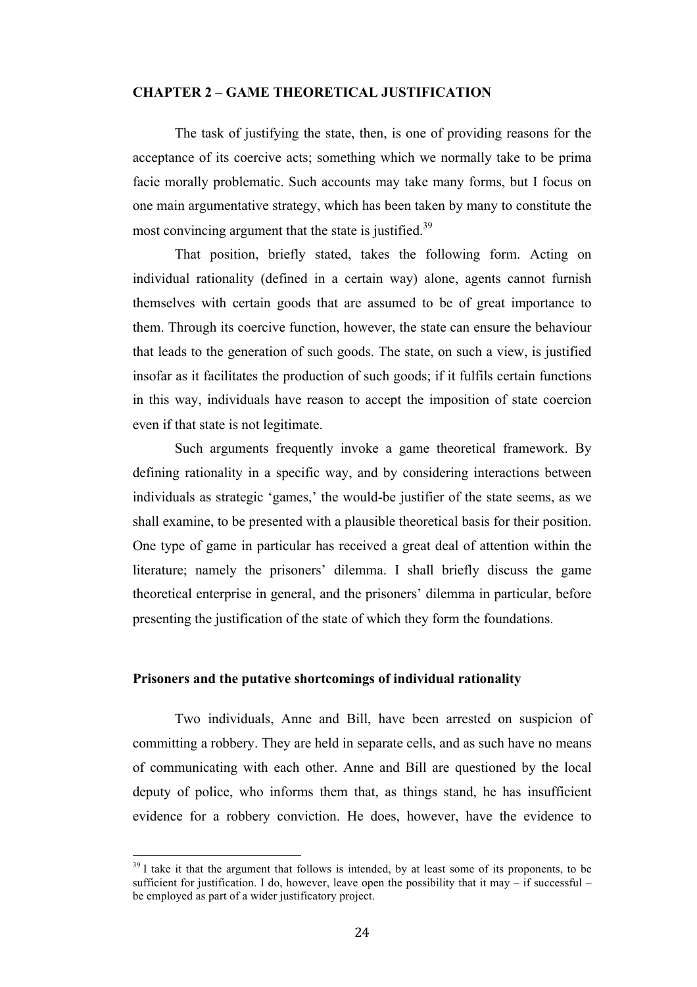#### **CHAPTER 2 – GAME THEORETICAL JUSTIFICATION**

The task of justifying the state, then, is one of providing reasons for the acceptance of its coercive acts; something which we normally take to be prima facie morally problematic. Such accounts may take many forms, but I focus on one main argumentative strategy, which has been taken by many to constitute the most convincing argument that the state is justified.<sup>39</sup>

That position, briefly stated, takes the following form. Acting on individual rationality (defined in a certain way) alone, agents cannot furnish themselves with certain goods that are assumed to be of great importance to them. Through its coercive function, however, the state can ensure the behaviour that leads to the generation of such goods. The state, on such a view, is justified insofar as it facilitates the production of such goods; if it fulfils certain functions in this way, individuals have reason to accept the imposition of state coercion even if that state is not legitimate.

Such arguments frequently invoke a game theoretical framework. By defining rationality in a specific way, and by considering interactions between individuals as strategic 'games,' the would-be justifier of the state seems, as we shall examine, to be presented with a plausible theoretical basis for their position. One type of game in particular has received a great deal of attention within the literature; namely the prisoners' dilemma. I shall briefly discuss the game theoretical enterprise in general, and the prisoners' dilemma in particular, before presenting the justification of the state of which they form the foundations.

#### **Prisoners and the putative shortcomings of individual rationality**

Two individuals, Anne and Bill, have been arrested on suspicion of committing a robbery. They are held in separate cells, and as such have no means of communicating with each other. Anne and Bill are questioned by the local deputy of police, who informs them that, as things stand, he has insufficient evidence for a robbery conviction. He does, however, have the evidence to

 $39$  I take it that the argument that follows is intended, by at least some of its proponents, to be sufficient for justification. I do, however, leave open the possibility that it may – if successful – be employed as part of a wider justificatory project.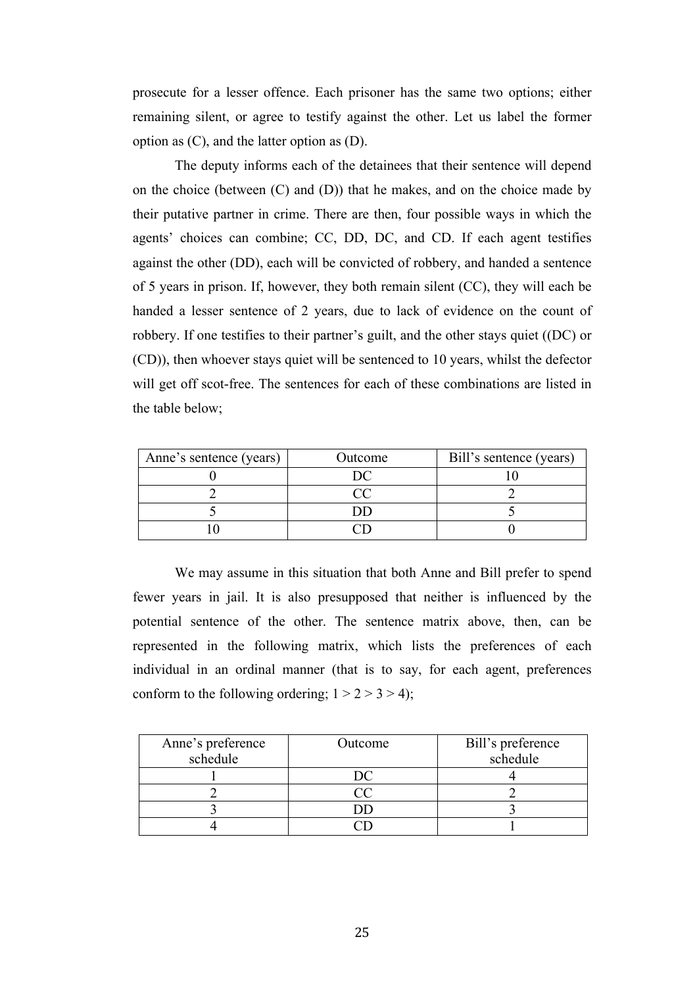prosecute for a lesser offence. Each prisoner has the same two options; either remaining silent, or agree to testify against the other. Let us label the former option as (C), and the latter option as (D).

The deputy informs each of the detainees that their sentence will depend on the choice (between (C) and (D)) that he makes, and on the choice made by their putative partner in crime. There are then, four possible ways in which the agents' choices can combine; CC, DD, DC, and CD. If each agent testifies against the other (DD), each will be convicted of robbery, and handed a sentence of 5 years in prison. If, however, they both remain silent (CC), they will each be handed a lesser sentence of 2 years, due to lack of evidence on the count of robbery. If one testifies to their partner's guilt, and the other stays quiet ((DC) or (CD)), then whoever stays quiet will be sentenced to 10 years, whilst the defector will get off scot-free. The sentences for each of these combinations are listed in the table below;

| Anne's sentence (years) | Outcome | Bill's sentence (years) |
|-------------------------|---------|-------------------------|
|                         |         |                         |
|                         |         |                         |
|                         |         |                         |
|                         |         |                         |

We may assume in this situation that both Anne and Bill prefer to spend fewer years in jail. It is also presupposed that neither is influenced by the potential sentence of the other. The sentence matrix above, then, can be represented in the following matrix, which lists the preferences of each individual in an ordinal manner (that is to say, for each agent, preferences conform to the following ordering;  $1 > 2 > 3 > 4$ );

| Anne's preference | Outcome | Bill's preference |
|-------------------|---------|-------------------|
| schedule          |         | schedule          |
|                   |         |                   |
|                   |         |                   |
|                   |         |                   |
|                   |         |                   |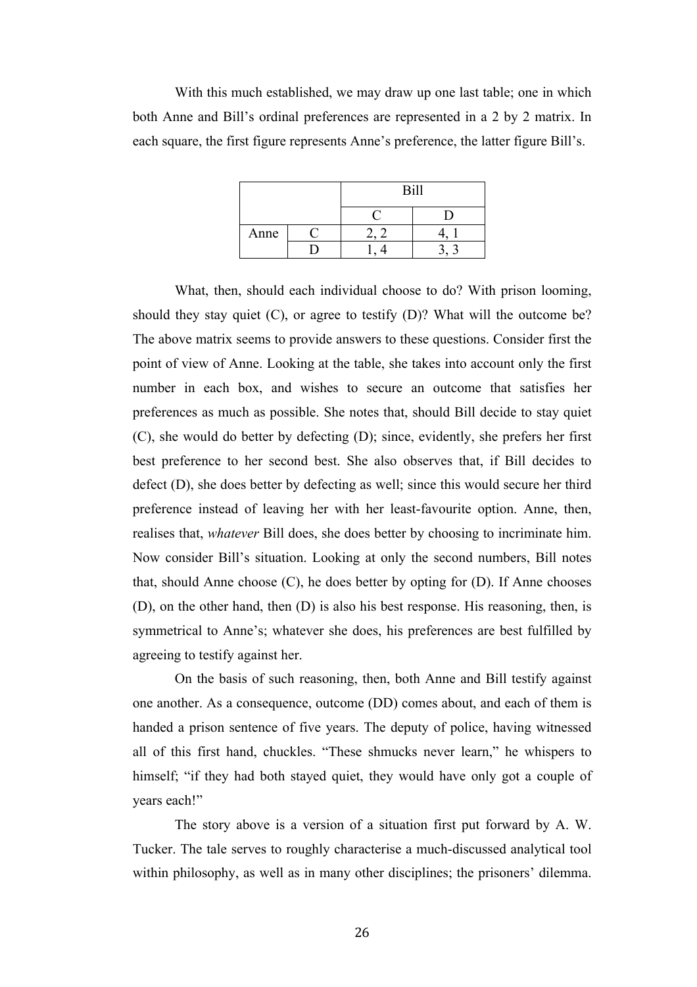With this much established, we may draw up one last table; one in which both Anne and Bill's ordinal preferences are represented in a 2 by 2 matrix. In each square, the first figure represents Anne's preference, the latter figure Bill's.

|      | <b>Bill</b> |  |
|------|-------------|--|
|      |             |  |
| Anne |             |  |
|      |             |  |

What, then, should each individual choose to do? With prison looming, should they stay quiet (C), or agree to testify (D)? What will the outcome be? The above matrix seems to provide answers to these questions. Consider first the point of view of Anne. Looking at the table, she takes into account only the first number in each box, and wishes to secure an outcome that satisfies her preferences as much as possible. She notes that, should Bill decide to stay quiet (C), she would do better by defecting (D); since, evidently, she prefers her first best preference to her second best. She also observes that, if Bill decides to defect (D), she does better by defecting as well; since this would secure her third preference instead of leaving her with her least-favourite option. Anne, then, realises that, *whatever* Bill does, she does better by choosing to incriminate him. Now consider Bill's situation. Looking at only the second numbers, Bill notes that, should Anne choose (C), he does better by opting for (D). If Anne chooses (D), on the other hand, then (D) is also his best response. His reasoning, then, is symmetrical to Anne's; whatever she does, his preferences are best fulfilled by agreeing to testify against her.

On the basis of such reasoning, then, both Anne and Bill testify against one another. As a consequence, outcome (DD) comes about, and each of them is handed a prison sentence of five years. The deputy of police, having witnessed all of this first hand, chuckles. "These shmucks never learn," he whispers to himself; "if they had both stayed quiet, they would have only got a couple of years each!"

The story above is a version of a situation first put forward by A. W. Tucker. The tale serves to roughly characterise a much-discussed analytical tool within philosophy, as well as in many other disciplines; the prisoners' dilemma.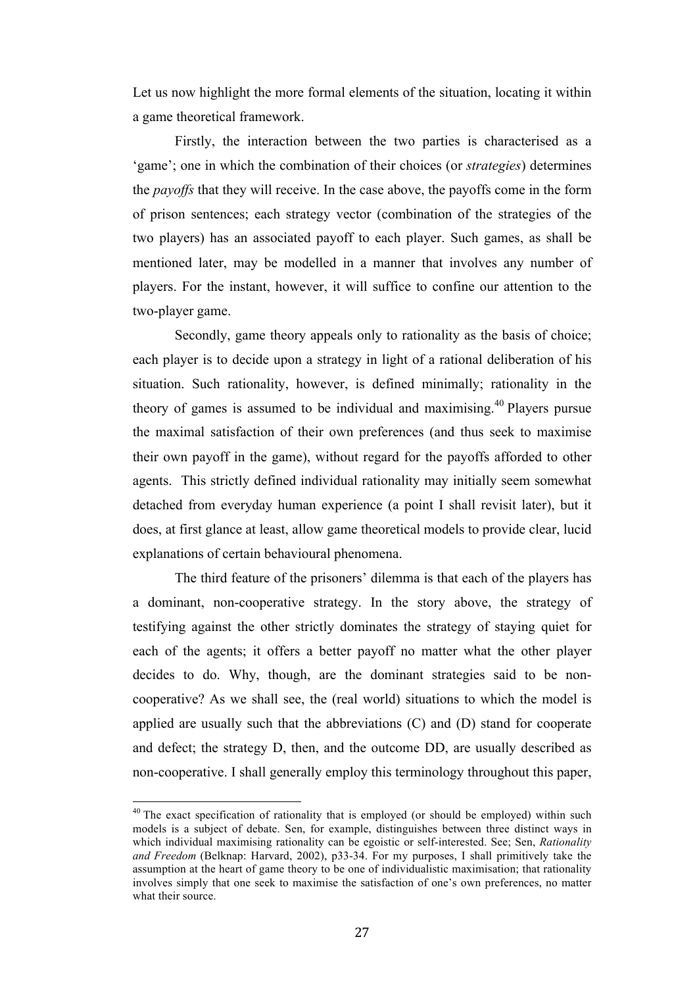Let us now highlight the more formal elements of the situation, locating it within a game theoretical framework.

Firstly, the interaction between the two parties is characterised as a 'game'; one in which the combination of their choices (or *strategies*) determines the *payoffs* that they will receive. In the case above, the payoffs come in the form of prison sentences; each strategy vector (combination of the strategies of the two players) has an associated payoff to each player. Such games, as shall be mentioned later, may be modelled in a manner that involves any number of players. For the instant, however, it will suffice to confine our attention to the two-player game.

Secondly, game theory appeals only to rationality as the basis of choice; each player is to decide upon a strategy in light of a rational deliberation of his situation. Such rationality, however, is defined minimally; rationality in the theory of games is assumed to be individual and maximising.<sup>40</sup> Players pursue the maximal satisfaction of their own preferences (and thus seek to maximise their own payoff in the game), without regard for the payoffs afforded to other agents. This strictly defined individual rationality may initially seem somewhat detached from everyday human experience (a point I shall revisit later), but it does, at first glance at least, allow game theoretical models to provide clear, lucid explanations of certain behavioural phenomena.

The third feature of the prisoners' dilemma is that each of the players has a dominant, non-cooperative strategy. In the story above, the strategy of testifying against the other strictly dominates the strategy of staying quiet for each of the agents; it offers a better payoff no matter what the other player decides to do. Why, though, are the dominant strategies said to be noncooperative? As we shall see, the (real world) situations to which the model is applied are usually such that the abbreviations (C) and (D) stand for cooperate and defect; the strategy D, then, and the outcome DD, are usually described as non-cooperative. I shall generally employ this terminology throughout this paper,

 $10$  The exact specification of rationality that is employed (or should be employed) within such models is a subject of debate. Sen, for example, distinguishes between three distinct ways in which individual maximising rationality can be egoistic or self-interested. See; Sen, *Rationality and Freedom* (Belknap: Harvard, 2002), p33-34. For my purposes, I shall primitively take the assumption at the heart of game theory to be one of individualistic maximisation; that rationality involves simply that one seek to maximise the satisfaction of one's own preferences, no matter what their source.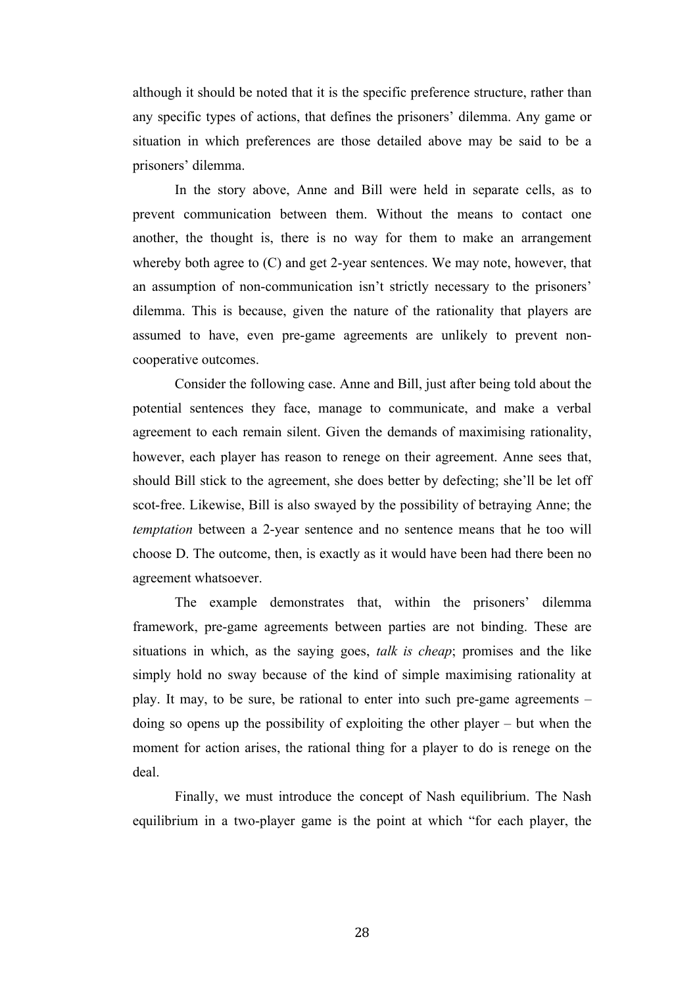although it should be noted that it is the specific preference structure, rather than any specific types of actions, that defines the prisoners' dilemma. Any game or situation in which preferences are those detailed above may be said to be a prisoners' dilemma.

In the story above, Anne and Bill were held in separate cells, as to prevent communication between them. Without the means to contact one another, the thought is, there is no way for them to make an arrangement whereby both agree to (C) and get 2-year sentences. We may note, however, that an assumption of non-communication isn't strictly necessary to the prisoners' dilemma. This is because, given the nature of the rationality that players are assumed to have, even pre-game agreements are unlikely to prevent noncooperative outcomes.

Consider the following case. Anne and Bill, just after being told about the potential sentences they face, manage to communicate, and make a verbal agreement to each remain silent. Given the demands of maximising rationality, however, each player has reason to renege on their agreement. Anne sees that, should Bill stick to the agreement, she does better by defecting; she'll be let off scot-free. Likewise, Bill is also swayed by the possibility of betraying Anne; the *temptation* between a 2-year sentence and no sentence means that he too will choose D. The outcome, then, is exactly as it would have been had there been no agreement whatsoever.

The example demonstrates that, within the prisoners' dilemma framework, pre-game agreements between parties are not binding. These are situations in which, as the saying goes, *talk is cheap*; promises and the like simply hold no sway because of the kind of simple maximising rationality at play. It may, to be sure, be rational to enter into such pre-game agreements – doing so opens up the possibility of exploiting the other player – but when the moment for action arises, the rational thing for a player to do is renege on the deal.

Finally, we must introduce the concept of Nash equilibrium. The Nash equilibrium in a two-player game is the point at which "for each player, the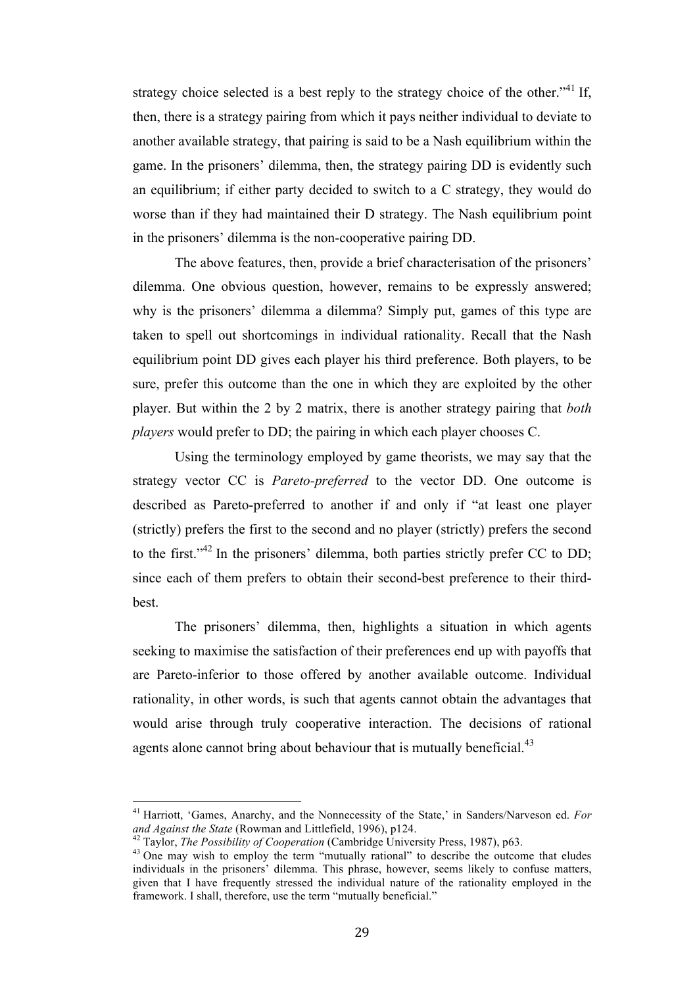strategy choice selected is a best reply to the strategy choice of the other.<sup> $341$ </sup> If, then, there is a strategy pairing from which it pays neither individual to deviate to another available strategy, that pairing is said to be a Nash equilibrium within the game. In the prisoners' dilemma, then, the strategy pairing DD is evidently such an equilibrium; if either party decided to switch to a C strategy, they would do worse than if they had maintained their D strategy. The Nash equilibrium point in the prisoners' dilemma is the non-cooperative pairing DD.

The above features, then, provide a brief characterisation of the prisoners' dilemma. One obvious question, however, remains to be expressly answered; why is the prisoners' dilemma a dilemma? Simply put, games of this type are taken to spell out shortcomings in individual rationality. Recall that the Nash equilibrium point DD gives each player his third preference. Both players, to be sure, prefer this outcome than the one in which they are exploited by the other player. But within the 2 by 2 matrix, there is another strategy pairing that *both players* would prefer to DD; the pairing in which each player chooses C.

Using the terminology employed by game theorists, we may say that the strategy vector CC is *Pareto-preferred* to the vector DD. One outcome is described as Pareto-preferred to another if and only if "at least one player (strictly) prefers the first to the second and no player (strictly) prefers the second to the first." $42 \text{ In the prisoners' dilemma, both parties strictly prefer CC to DD:}$ since each of them prefers to obtain their second-best preference to their thirdbest.

The prisoners' dilemma, then, highlights a situation in which agents seeking to maximise the satisfaction of their preferences end up with payoffs that are Pareto-inferior to those offered by another available outcome. Individual rationality, in other words, is such that agents cannot obtain the advantages that would arise through truly cooperative interaction. The decisions of rational agents alone cannot bring about behaviour that is mutually beneficial. $43$ 

<sup>&</sup>lt;sup>41</sup> Harriott, 'Games, Anarchy, and the Nonnecessity of the State,' in Sanders/Narveson ed. *For and Against the State* (Rowman and Littlefield, 1996), p124. and Against the State (Rowman and Littlefield, 1996), p124.<br><sup>42</sup> Taylor, *The Possibility of Cooperation* (Cambridge University Press, 1987), p63.<br><sup>43</sup> One may wish to employ the term "mutually rational" to describe the ou

individuals in the prisoners' dilemma. This phrase, however, seems likely to confuse matters, given that I have frequently stressed the individual nature of the rationality employed in the framework. I shall, therefore, use the term "mutually beneficial."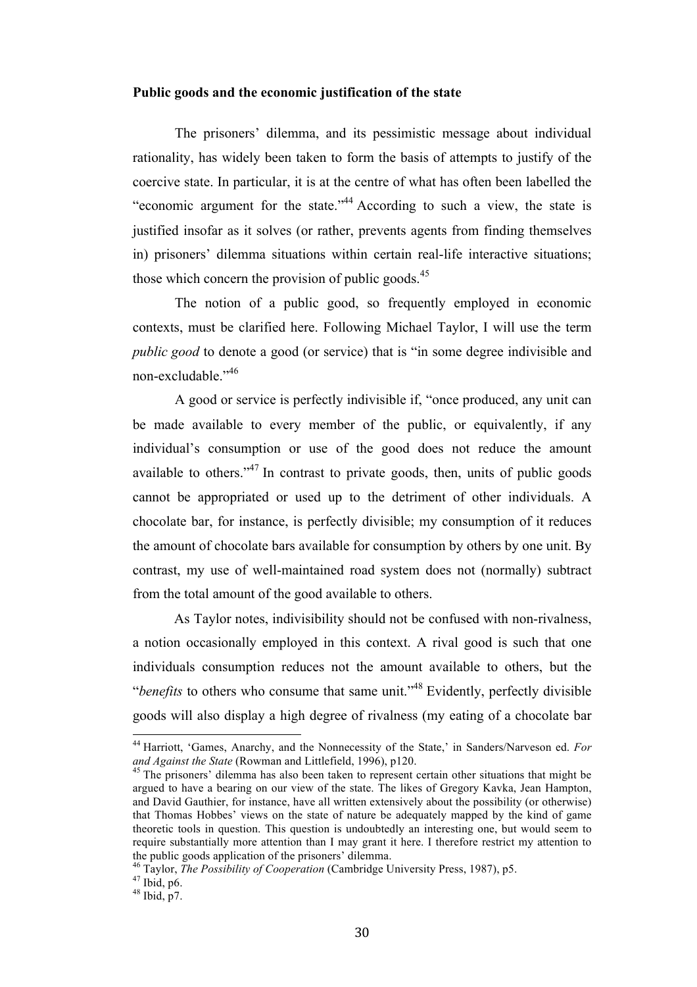#### **Public goods and the economic justification of the state**

The prisoners' dilemma, and its pessimistic message about individual rationality, has widely been taken to form the basis of attempts to justify of the coercive state. In particular, it is at the centre of what has often been labelled the "economic argument for the state."44 According to such a view, the state is justified insofar as it solves (or rather, prevents agents from finding themselves in) prisoners' dilemma situations within certain real-life interactive situations; those which concern the provision of public goods. $45$ 

The notion of a public good, so frequently employed in economic contexts, must be clarified here. Following Michael Taylor, I will use the term *public good* to denote a good (or service) that is "in some degree indivisible and non-excludable."<sup>46</sup>

A good or service is perfectly indivisible if, "once produced, any unit can be made available to every member of the public, or equivalently, if any individual's consumption or use of the good does not reduce the amount available to others."<sup>47</sup> In contrast to private goods, then, units of public goods cannot be appropriated or used up to the detriment of other individuals. A chocolate bar, for instance, is perfectly divisible; my consumption of it reduces the amount of chocolate bars available for consumption by others by one unit. By contrast, my use of well-maintained road system does not (normally) subtract from the total amount of the good available to others.

As Taylor notes, indivisibility should not be confused with non-rivalness, a notion occasionally employed in this context. A rival good is such that one individuals consumption reduces not the amount available to others, but the "*benefits* to others who consume that same unit."48 Evidently, perfectly divisible goods will also display a high degree of rivalness (my eating of a chocolate bar

<sup>&</sup>lt;sup>44</sup> Harriott, 'Games, Anarchy, and the Nonnecessity of the State,' in Sanders/Narveson ed. *For and Against the State* (Rowman and Littlefield, 1996), p120.

<sup>&</sup>lt;sup>45</sup> The prisoners' dilemma has also been taken to represent certain other situations that might be argued to have a bearing on our view of the state. The likes of Gregory Kavka, Jean Hampton, and David Gauthier, for instance, have all written extensively about the possibility (or otherwise) that Thomas Hobbes' views on the state of nature be adequately mapped by the kind of game theoretic tools in question. This question is undoubtedly an interesting one, but would seem to require substantially more attention than I may grant it here. I therefore restrict my attention to the public goods application of the prisoners' dilemma.

<sup>&</sup>lt;sup>46</sup> Taylor, *The Possibility of Cooperation* (Cambridge University Press, 1987), p5.<br><sup>47</sup> Ibid, p6.<br><sup>48</sup> Ibid, p7.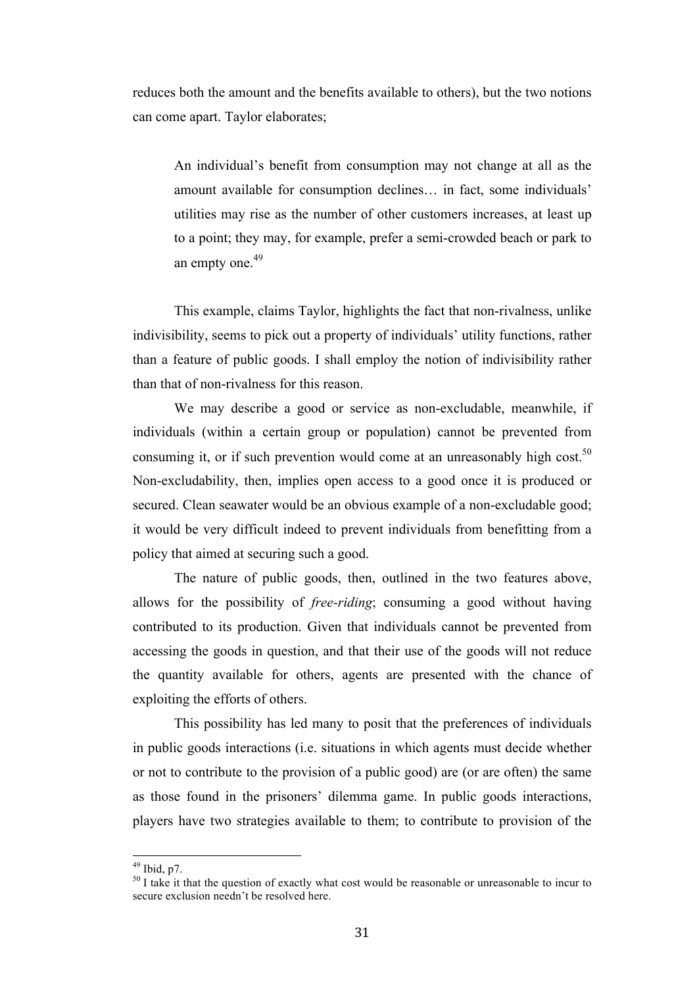reduces both the amount and the benefits available to others), but the two notions can come apart. Taylor elaborates;

An individual's benefit from consumption may not change at all as the amount available for consumption declines… in fact, some individuals' utilities may rise as the number of other customers increases, at least up to a point; they may, for example, prefer a semi-crowded beach or park to an empty one. $49$ 

This example, claims Taylor, highlights the fact that non-rivalness, unlike indivisibility, seems to pick out a property of individuals' utility functions, rather than a feature of public goods. I shall employ the notion of indivisibility rather than that of non-rivalness for this reason.

We may describe a good or service as non-excludable, meanwhile, if individuals (within a certain group or population) cannot be prevented from consuming it, or if such prevention would come at an unreasonably high cost.<sup>50</sup> Non-excludability, then, implies open access to a good once it is produced or secured. Clean seawater would be an obvious example of a non-excludable good; it would be very difficult indeed to prevent individuals from benefitting from a policy that aimed at securing such a good.

The nature of public goods, then, outlined in the two features above, allows for the possibility of *free-riding*; consuming a good without having contributed to its production. Given that individuals cannot be prevented from accessing the goods in question, and that their use of the goods will not reduce the quantity available for others, agents are presented with the chance of exploiting the efforts of others.

This possibility has led many to posit that the preferences of individuals in public goods interactions (i.e. situations in which agents must decide whether or not to contribute to the provision of a public good) are (or are often) the same as those found in the prisoners' dilemma game. In public goods interactions, players have two strategies available to them; to contribute to provision of the

<sup>&</sup>lt;sup>49</sup> Ibid, p7.<br><sup>50</sup> I take it that the question of exactly what cost would be reasonable or unreasonable to incur to secure exclusion needn't be resolved here.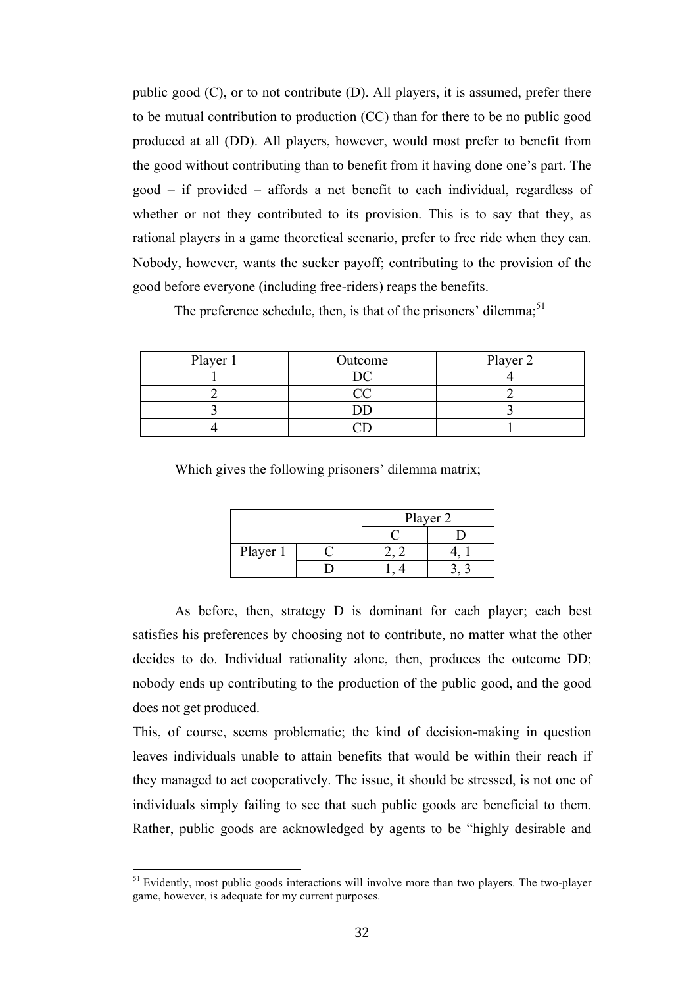public good (C), or to not contribute (D). All players, it is assumed, prefer there to be mutual contribution to production (CC) than for there to be no public good produced at all (DD). All players, however, would most prefer to benefit from the good without contributing than to benefit from it having done one's part. The good – if provided – affords a net benefit to each individual, regardless of whether or not they contributed to its provision. This is to say that they, as rational players in a game theoretical scenario, prefer to free ride when they can. Nobody, however, wants the sucker payoff; contributing to the provision of the good before everyone (including free-riders) reaps the benefits.

The preference schedule, then, is that of the prisoners' dilemma;<sup>51</sup>

| Player 1 | Outcome | Player 2 |
|----------|---------|----------|
|          |         |          |
|          |         |          |
|          |         |          |
|          |         |          |

Which gives the following prisoners' dilemma matrix;

|          | Player 2 |  |
|----------|----------|--|
|          |          |  |
| Player 1 |          |  |
|          |          |  |

As before, then, strategy D is dominant for each player; each best satisfies his preferences by choosing not to contribute, no matter what the other decides to do. Individual rationality alone, then, produces the outcome DD; nobody ends up contributing to the production of the public good, and the good does not get produced.

This, of course, seems problematic; the kind of decision-making in question leaves individuals unable to attain benefits that would be within their reach if they managed to act cooperatively. The issue, it should be stressed, is not one of individuals simply failing to see that such public goods are beneficial to them. Rather, public goods are acknowledged by agents to be "highly desirable and

 $<sup>51</sup>$  Evidently, most public goods interactions will involve more than two players. The two-player</sup> game, however, is adequate for my current purposes.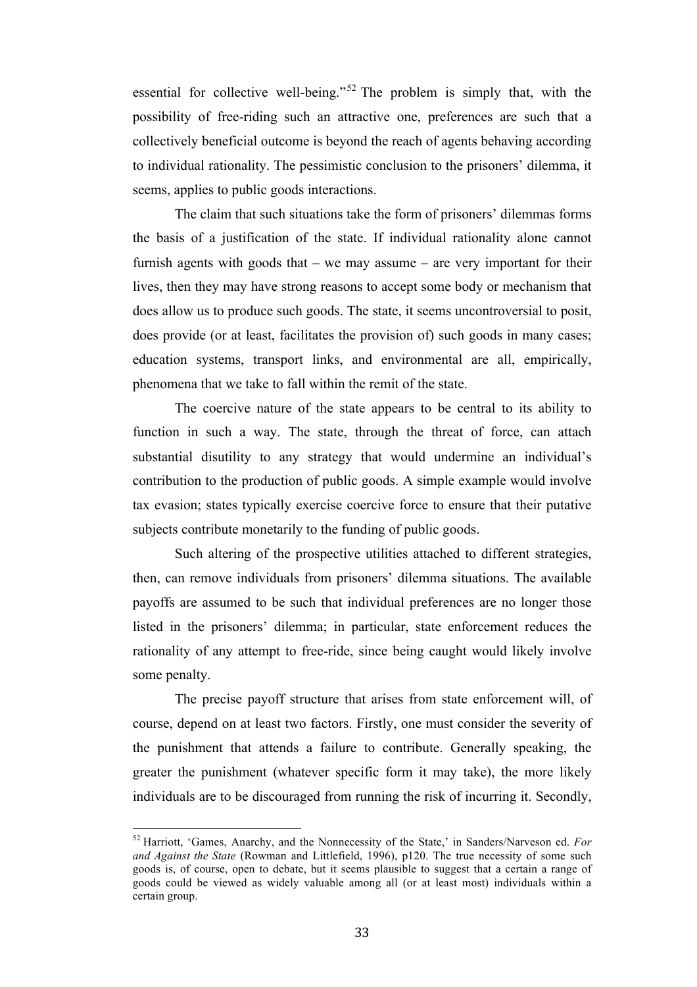essential for collective well-being."<sup>52</sup> The problem is simply that, with the possibility of free-riding such an attractive one, preferences are such that a collectively beneficial outcome is beyond the reach of agents behaving according to individual rationality. The pessimistic conclusion to the prisoners' dilemma, it seems, applies to public goods interactions.

The claim that such situations take the form of prisoners' dilemmas forms the basis of a justification of the state. If individual rationality alone cannot furnish agents with goods that – we may assume – are very important for their lives, then they may have strong reasons to accept some body or mechanism that does allow us to produce such goods. The state, it seems uncontroversial to posit, does provide (or at least, facilitates the provision of) such goods in many cases; education systems, transport links, and environmental are all, empirically, phenomena that we take to fall within the remit of the state.

The coercive nature of the state appears to be central to its ability to function in such a way. The state, through the threat of force, can attach substantial disutility to any strategy that would undermine an individual's contribution to the production of public goods. A simple example would involve tax evasion; states typically exercise coercive force to ensure that their putative subjects contribute monetarily to the funding of public goods.

Such altering of the prospective utilities attached to different strategies, then, can remove individuals from prisoners' dilemma situations. The available payoffs are assumed to be such that individual preferences are no longer those listed in the prisoners' dilemma; in particular, state enforcement reduces the rationality of any attempt to free-ride, since being caught would likely involve some penalty.

The precise payoff structure that arises from state enforcement will, of course, depend on at least two factors. Firstly, one must consider the severity of the punishment that attends a failure to contribute. Generally speaking, the greater the punishment (whatever specific form it may take), the more likely individuals are to be discouraged from running the risk of incurring it. Secondly,

<sup>&</sup>lt;sup>52</sup> Harriott, 'Games, Anarchy, and the Nonnecessity of the State,' in Sanders/Narveson ed. *For and Against the State* (Rowman and Littlefield, 1996), p120. The true necessity of some such goods is, of course, open to debate, but it seems plausible to suggest that a certain a range of goods could be viewed as widely valuable among all (or at least most) individuals within a certain group.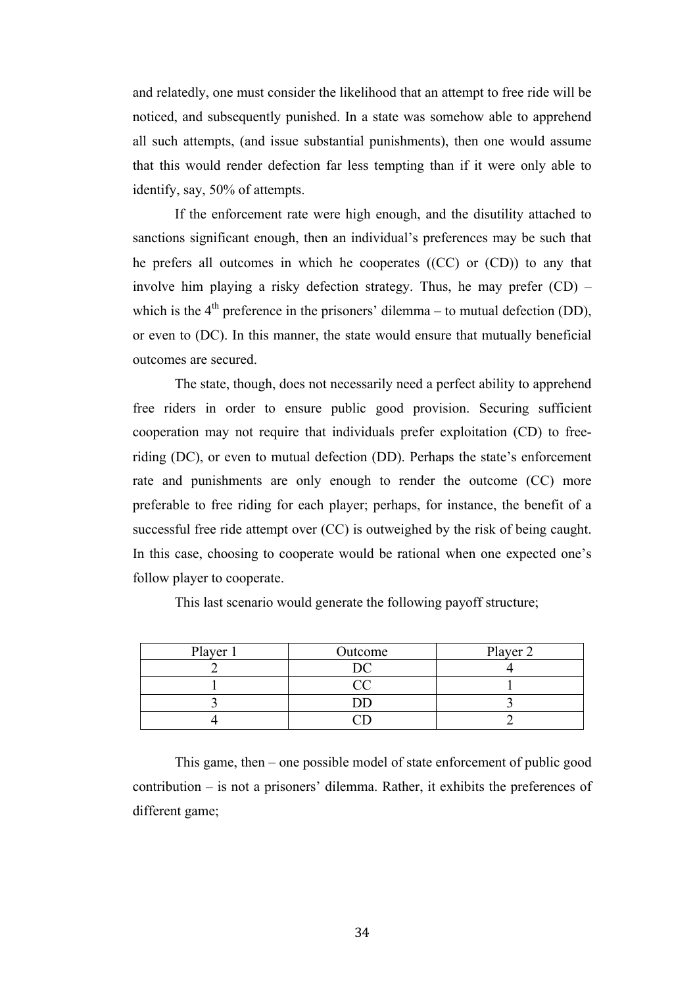and relatedly, one must consider the likelihood that an attempt to free ride will be noticed, and subsequently punished. In a state was somehow able to apprehend all such attempts, (and issue substantial punishments), then one would assume that this would render defection far less tempting than if it were only able to identify, say, 50% of attempts.

If the enforcement rate were high enough, and the disutility attached to sanctions significant enough, then an individual's preferences may be such that he prefers all outcomes in which he cooperates ((CC) or (CD)) to any that involve him playing a risky defection strategy. Thus, he may prefer (CD) – which is the  $4<sup>th</sup>$  preference in the prisoners' dilemma – to mutual defection (DD), or even to (DC). In this manner, the state would ensure that mutually beneficial outcomes are secured.

The state, though, does not necessarily need a perfect ability to apprehend free riders in order to ensure public good provision. Securing sufficient cooperation may not require that individuals prefer exploitation (CD) to freeriding (DC), or even to mutual defection (DD). Perhaps the state's enforcement rate and punishments are only enough to render the outcome (CC) more preferable to free riding for each player; perhaps, for instance, the benefit of a successful free ride attempt over (CC) is outweighed by the risk of being caught. In this case, choosing to cooperate would be rational when one expected one's follow player to cooperate.

This last scenario would generate the following payoff structure;

| Player 1 | Outcome | Player 2 |
|----------|---------|----------|
|          |         |          |
|          |         |          |
|          |         |          |
|          |         |          |

This game, then – one possible model of state enforcement of public good contribution – is not a prisoners' dilemma. Rather, it exhibits the preferences of different game;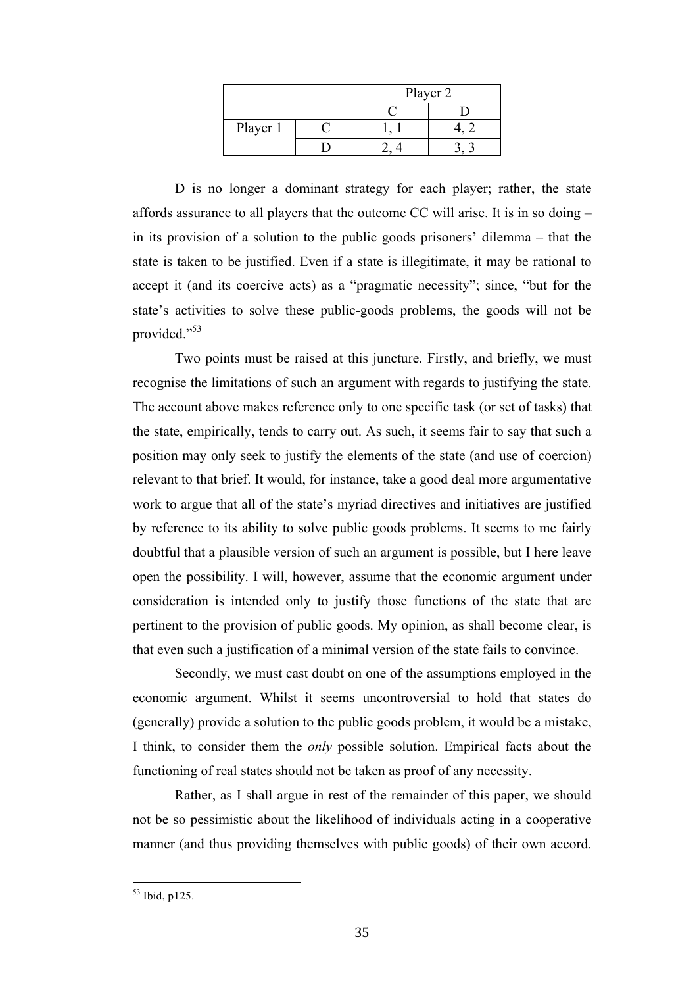|          | Player 2 |  |
|----------|----------|--|
|          |          |  |
| Player 1 |          |  |
|          |          |  |

D is no longer a dominant strategy for each player; rather, the state affords assurance to all players that the outcome CC will arise. It is in so doing – in its provision of a solution to the public goods prisoners' dilemma – that the state is taken to be justified. Even if a state is illegitimate, it may be rational to accept it (and its coercive acts) as a "pragmatic necessity"; since, "but for the state's activities to solve these public-goods problems, the goods will not be provided."53

Two points must be raised at this juncture. Firstly, and briefly, we must recognise the limitations of such an argument with regards to justifying the state. The account above makes reference only to one specific task (or set of tasks) that the state, empirically, tends to carry out. As such, it seems fair to say that such a position may only seek to justify the elements of the state (and use of coercion) relevant to that brief. It would, for instance, take a good deal more argumentative work to argue that all of the state's myriad directives and initiatives are justified by reference to its ability to solve public goods problems. It seems to me fairly doubtful that a plausible version of such an argument is possible, but I here leave open the possibility. I will, however, assume that the economic argument under consideration is intended only to justify those functions of the state that are pertinent to the provision of public goods. My opinion, as shall become clear, is that even such a justification of a minimal version of the state fails to convince.

Secondly, we must cast doubt on one of the assumptions employed in the economic argument. Whilst it seems uncontroversial to hold that states do (generally) provide a solution to the public goods problem, it would be a mistake, I think, to consider them the *only* possible solution. Empirical facts about the functioning of real states should not be taken as proof of any necessity.

Rather, as I shall argue in rest of the remainder of this paper, we should not be so pessimistic about the likelihood of individuals acting in a cooperative manner (and thus providing themselves with public goods) of their own accord.

 $53$  Ibid p125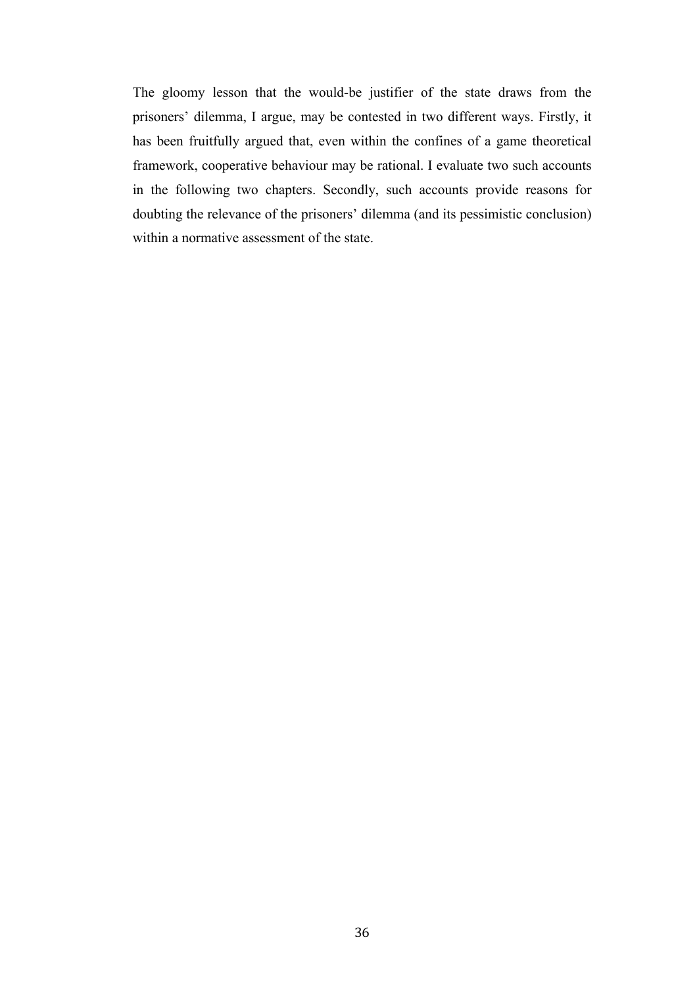The gloomy lesson that the would-be justifier of the state draws from the prisoners' dilemma, I argue, may be contested in two different ways. Firstly, it has been fruitfully argued that, even within the confines of a game theoretical framework, cooperative behaviour may be rational. I evaluate two such accounts in the following two chapters. Secondly, such accounts provide reasons for doubting the relevance of the prisoners' dilemma (and its pessimistic conclusion) within a normative assessment of the state.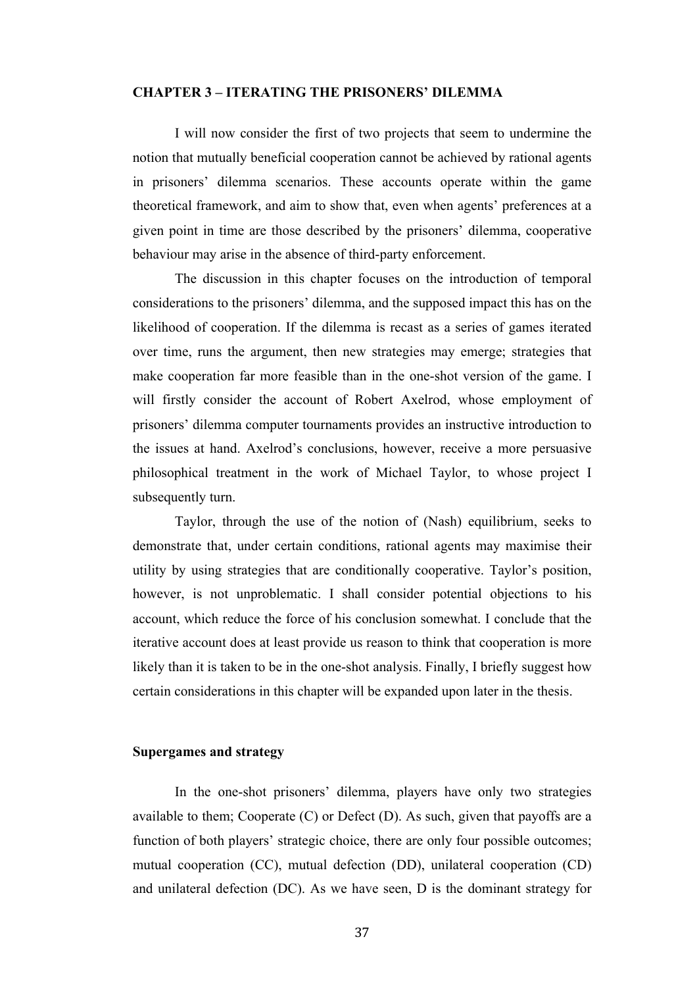#### **CHAPTER 3 – ITERATING THE PRISONERS' DILEMMA**

I will now consider the first of two projects that seem to undermine the notion that mutually beneficial cooperation cannot be achieved by rational agents in prisoners' dilemma scenarios. These accounts operate within the game theoretical framework, and aim to show that, even when agents' preferences at a given point in time are those described by the prisoners' dilemma, cooperative behaviour may arise in the absence of third-party enforcement.

The discussion in this chapter focuses on the introduction of temporal considerations to the prisoners' dilemma, and the supposed impact this has on the likelihood of cooperation. If the dilemma is recast as a series of games iterated over time, runs the argument, then new strategies may emerge; strategies that make cooperation far more feasible than in the one-shot version of the game. I will firstly consider the account of Robert Axelrod, whose employment of prisoners' dilemma computer tournaments provides an instructive introduction to the issues at hand. Axelrod's conclusions, however, receive a more persuasive philosophical treatment in the work of Michael Taylor, to whose project I subsequently turn.

Taylor, through the use of the notion of (Nash) equilibrium, seeks to demonstrate that, under certain conditions, rational agents may maximise their utility by using strategies that are conditionally cooperative. Taylor's position, however, is not unproblematic. I shall consider potential objections to his account, which reduce the force of his conclusion somewhat. I conclude that the iterative account does at least provide us reason to think that cooperation is more likely than it is taken to be in the one-shot analysis. Finally, I briefly suggest how certain considerations in this chapter will be expanded upon later in the thesis.

#### **Supergames and strategy**

In the one-shot prisoners' dilemma, players have only two strategies available to them; Cooperate (C) or Defect (D). As such, given that payoffs are a function of both players' strategic choice, there are only four possible outcomes; mutual cooperation (CC), mutual defection (DD), unilateral cooperation (CD) and unilateral defection (DC). As we have seen, D is the dominant strategy for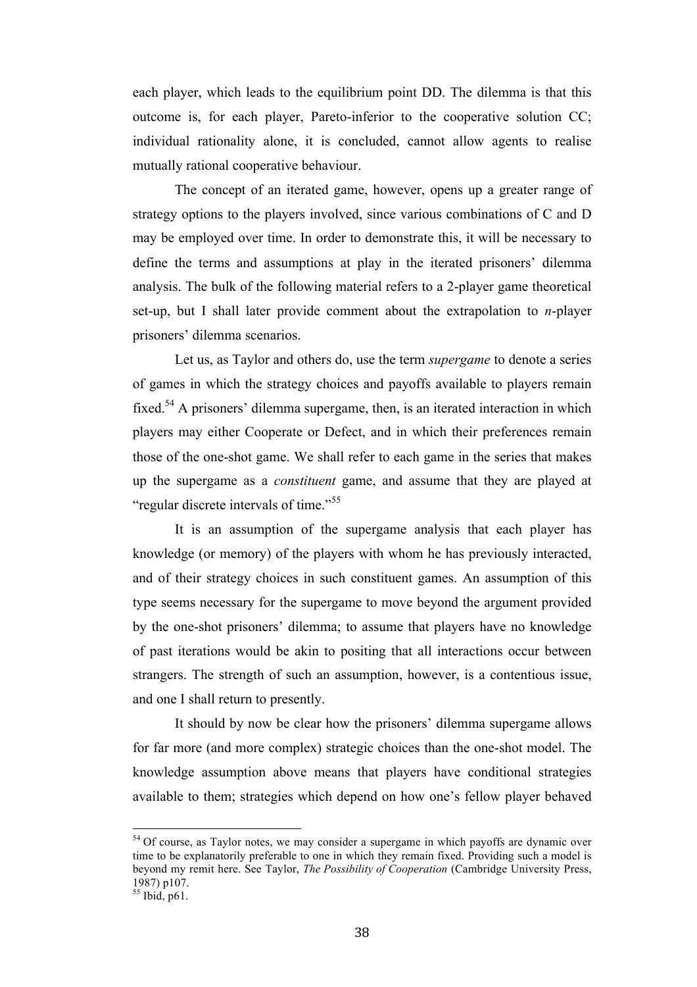each player, which leads to the equilibrium point DD. The dilemma is that this outcome is, for each player, Pareto-inferior to the cooperative solution CC; individual rationality alone, it is concluded, cannot allow agents to realise mutually rational cooperative behaviour.

The concept of an iterated game, however, opens up a greater range of strategy options to the players involved, since various combinations of C and D may be employed over time. In order to demonstrate this, it will be necessary to define the terms and assumptions at play in the iterated prisoners' dilemma analysis. The bulk of the following material refers to a 2-player game theoretical set-up, but I shall later provide comment about the extrapolation to *n*-player prisoners' dilemma scenarios.

Let us, as Taylor and others do, use the term *supergame* to denote a series of games in which the strategy choices and payoffs available to players remain fixed.<sup>54</sup> A prisoners' dilemma supergame, then, is an iterated interaction in which players may either Cooperate or Defect, and in which their preferences remain those of the one-shot game. We shall refer to each game in the series that makes up the supergame as a *constituent* game, and assume that they are played at "regular discrete intervals of time."<sup>55</sup>

It is an assumption of the supergame analysis that each player has knowledge (or memory) of the players with whom he has previously interacted, and of their strategy choices in such constituent games. An assumption of this type seems necessary for the supergame to move beyond the argument provided by the one-shot prisoners' dilemma; to assume that players have no knowledge of past iterations would be akin to positing that all interactions occur between strangers. The strength of such an assumption, however, is a contentious issue, and one I shall return to presently.

It should by now be clear how the prisoners' dilemma supergame allows for far more (and more complex) strategic choices than the one-shot model. The knowledge assumption above means that players have conditional strategies available to them; strategies which depend on how one's fellow player behaved

<sup>&</sup>lt;sup>54</sup> Of course, as Taylor notes, we may consider a supergame in which payoffs are dynamic over time to be explanatorily preferable to one in which they remain fixed. Providing such a model is beyond my remit here. See Taylor, *The Possibility of Cooperation* (Cambridge University Press, 1987) p107.

 $55$  Ibid, p61.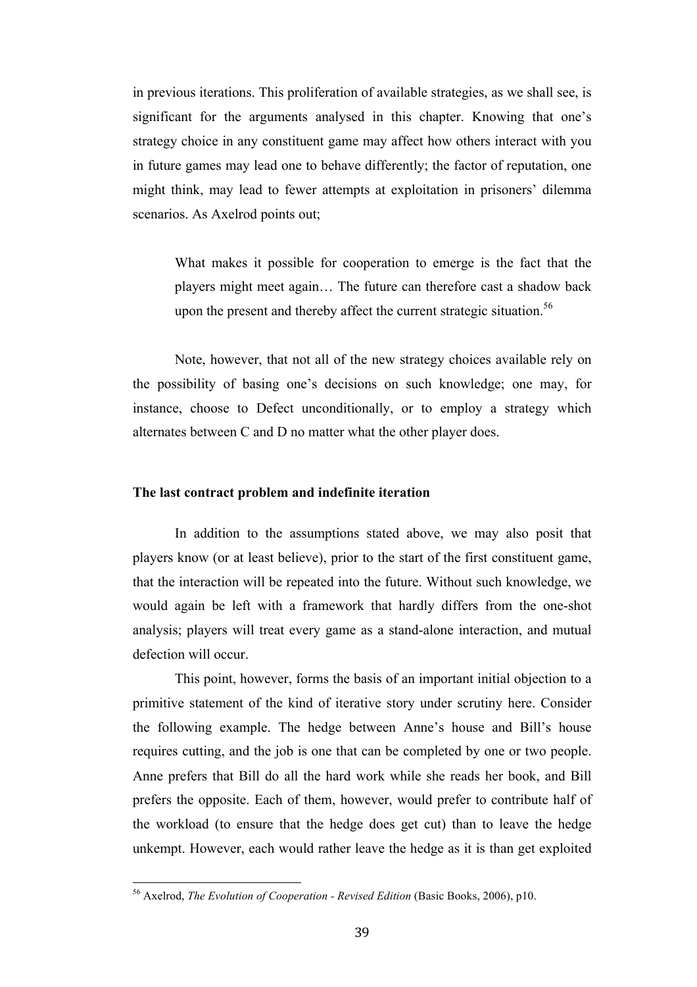in previous iterations. This proliferation of available strategies, as we shall see, is significant for the arguments analysed in this chapter. Knowing that one's strategy choice in any constituent game may affect how others interact with you in future games may lead one to behave differently; the factor of reputation, one might think, may lead to fewer attempts at exploitation in prisoners' dilemma scenarios. As Axelrod points out;

What makes it possible for cooperation to emerge is the fact that the players might meet again… The future can therefore cast a shadow back upon the present and thereby affect the current strategic situation.<sup>56</sup>

Note, however, that not all of the new strategy choices available rely on the possibility of basing one's decisions on such knowledge; one may, for instance, choose to Defect unconditionally, or to employ a strategy which alternates between C and D no matter what the other player does.

## **The last contract problem and indefinite iteration**

In addition to the assumptions stated above, we may also posit that players know (or at least believe), prior to the start of the first constituent game, that the interaction will be repeated into the future. Without such knowledge, we would again be left with a framework that hardly differs from the one-shot analysis; players will treat every game as a stand-alone interaction, and mutual defection will occur.

This point, however, forms the basis of an important initial objection to a primitive statement of the kind of iterative story under scrutiny here. Consider the following example. The hedge between Anne's house and Bill's house requires cutting, and the job is one that can be completed by one or two people. Anne prefers that Bill do all the hard work while she reads her book, and Bill prefers the opposite. Each of them, however, would prefer to contribute half of the workload (to ensure that the hedge does get cut) than to leave the hedge unkempt. However, each would rather leave the hedge as it is than get exploited

<sup>&</sup>lt;sup>56</sup> Axelrod, *The Evolution of Cooperation - Revised Edition* (Basic Books, 2006), p10.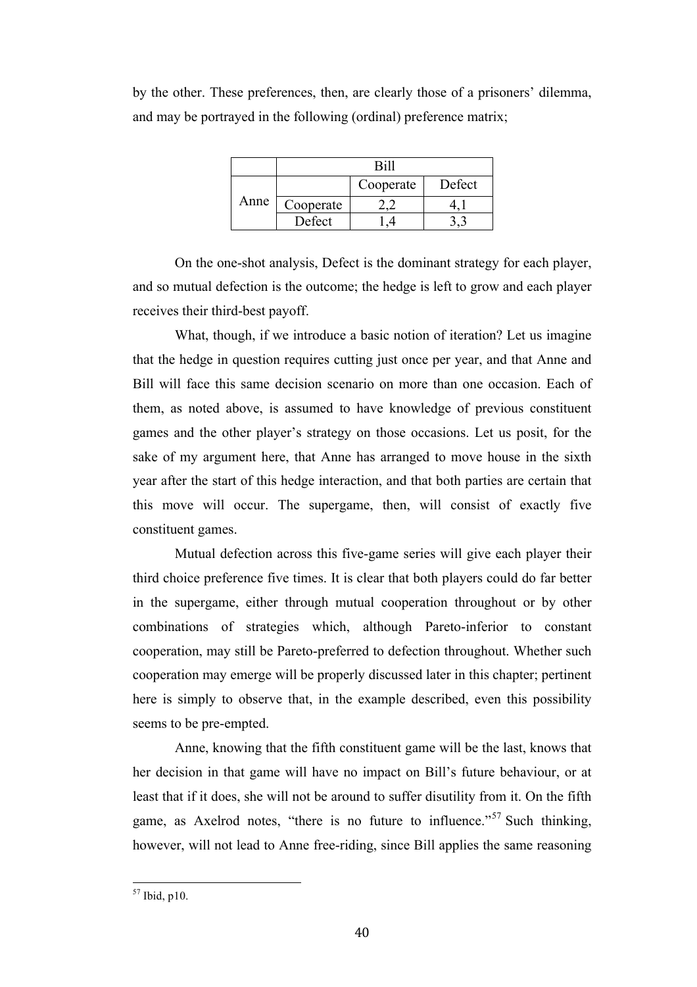by the other. These preferences, then, are clearly those of a prisoners' dilemma, and may be portrayed in the following (ordinal) preference matrix;

|      | Rill      |           |        |
|------|-----------|-----------|--------|
| Anne |           | Cooperate | Defect |
|      | Cooperate |           |        |
|      | Defect    |           |        |

On the one-shot analysis, Defect is the dominant strategy for each player, and so mutual defection is the outcome; the hedge is left to grow and each player receives their third-best payoff.

What, though, if we introduce a basic notion of iteration? Let us imagine that the hedge in question requires cutting just once per year, and that Anne and Bill will face this same decision scenario on more than one occasion. Each of them, as noted above, is assumed to have knowledge of previous constituent games and the other player's strategy on those occasions. Let us posit, for the sake of my argument here, that Anne has arranged to move house in the sixth year after the start of this hedge interaction, and that both parties are certain that this move will occur. The supergame, then, will consist of exactly five constituent games.

Mutual defection across this five-game series will give each player their third choice preference five times. It is clear that both players could do far better in the supergame, either through mutual cooperation throughout or by other combinations of strategies which, although Pareto-inferior to constant cooperation, may still be Pareto-preferred to defection throughout. Whether such cooperation may emerge will be properly discussed later in this chapter; pertinent here is simply to observe that, in the example described, even this possibility seems to be pre-empted.

Anne, knowing that the fifth constituent game will be the last, knows that her decision in that game will have no impact on Bill's future behaviour, or at least that if it does, she will not be around to suffer disutility from it. On the fifth game, as Axelrod notes, "there is no future to influence."<sup>57</sup> Such thinking, however, will not lead to Anne free-riding, since Bill applies the same reasoning

 $57$  Ibid n10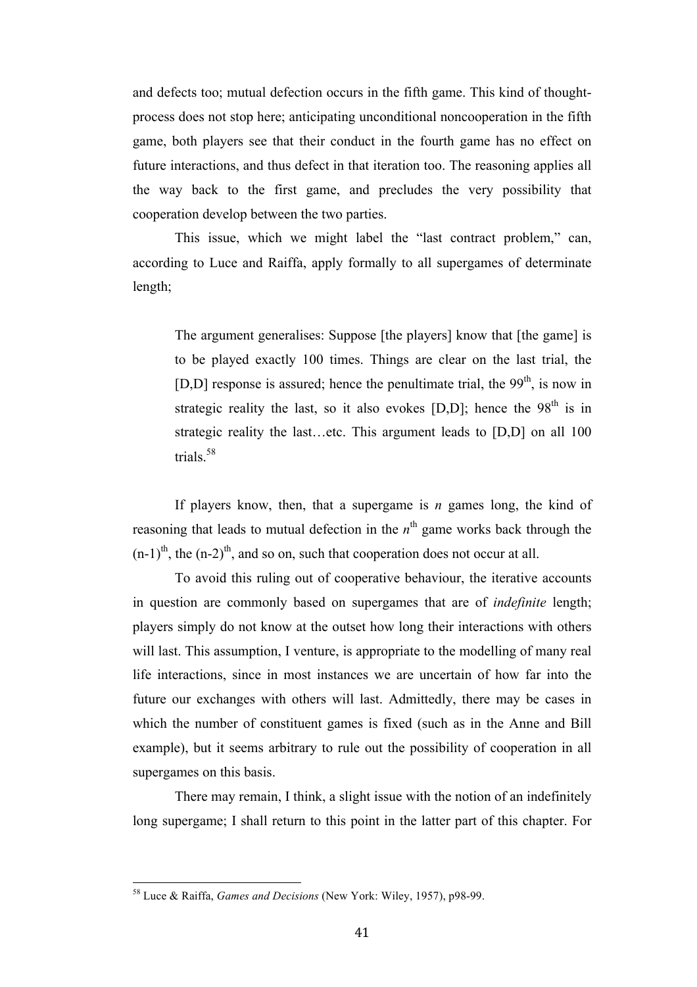and defects too; mutual defection occurs in the fifth game. This kind of thoughtprocess does not stop here; anticipating unconditional noncooperation in the fifth game, both players see that their conduct in the fourth game has no effect on future interactions, and thus defect in that iteration too. The reasoning applies all the way back to the first game, and precludes the very possibility that cooperation develop between the two parties.

This issue, which we might label the "last contract problem," can, according to Luce and Raiffa, apply formally to all supergames of determinate length;

The argument generalises: Suppose [the players] know that [the game] is to be played exactly 100 times. Things are clear on the last trial, the [D,D] response is assured; hence the penultimate trial, the  $99<sup>th</sup>$ , is now in strategic reality the last, so it also evokes  $[D,D]$ ; hence the 98<sup>th</sup> is in strategic reality the last…etc. This argument leads to [D,D] on all 100 trials.58

If players know, then, that a supergame is *n* games long, the kind of reasoning that leads to mutual defection in the  $n<sup>th</sup>$  game works back through the  $(n-1)$ <sup>th</sup>, the  $(n-2)$ <sup>th</sup>, and so on, such that cooperation does not occur at all.

To avoid this ruling out of cooperative behaviour, the iterative accounts in question are commonly based on supergames that are of *indefinite* length; players simply do not know at the outset how long their interactions with others will last. This assumption, I venture, is appropriate to the modelling of many real life interactions, since in most instances we are uncertain of how far into the future our exchanges with others will last. Admittedly, there may be cases in which the number of constituent games is fixed (such as in the Anne and Bill example), but it seems arbitrary to rule out the possibility of cooperation in all supergames on this basis.

There may remain, I think, a slight issue with the notion of an indefinitely long supergame; I shall return to this point in the latter part of this chapter. For

<sup>&</sup>lt;sup>58</sup> Luce & Raiffa, *Games and Decisions* (New York: Wiley, 1957), p98-99.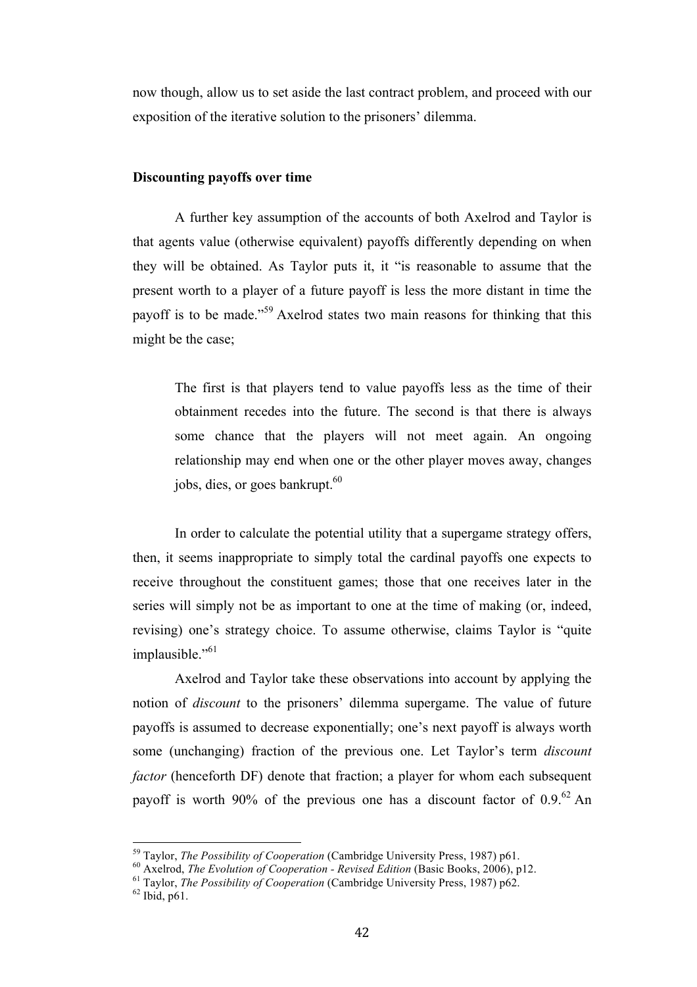now though, allow us to set aside the last contract problem, and proceed with our exposition of the iterative solution to the prisoners' dilemma.

## **Discounting payoffs over time**

A further key assumption of the accounts of both Axelrod and Taylor is that agents value (otherwise equivalent) payoffs differently depending on when they will be obtained. As Taylor puts it, it "is reasonable to assume that the present worth to a player of a future payoff is less the more distant in time the payoff is to be made.<sup>"59</sup> Axelrod states two main reasons for thinking that this might be the case;

The first is that players tend to value payoffs less as the time of their obtainment recedes into the future. The second is that there is always some chance that the players will not meet again. An ongoing relationship may end when one or the other player moves away, changes jobs, dies, or goes bankrupt.<sup>60</sup>

In order to calculate the potential utility that a supergame strategy offers, then, it seems inappropriate to simply total the cardinal payoffs one expects to receive throughout the constituent games; those that one receives later in the series will simply not be as important to one at the time of making (or, indeed, revising) one's strategy choice. To assume otherwise, claims Taylor is "quite implausible."<sup>61</sup>

Axelrod and Taylor take these observations into account by applying the notion of *discount* to the prisoners' dilemma supergame. The value of future payoffs is assumed to decrease exponentially; one's next payoff is always worth some (unchanging) fraction of the previous one. Let Taylor's term *discount factor* (henceforth DF) denote that fraction; a player for whom each subsequent payoff is worth 90% of the previous one has a discount factor of  $0.9^{62}$  An

<sup>&</sup>lt;sup>59</sup> Taylor, *The Possibility of Cooperation* (Cambridge University Press, 1987) p61.<br><sup>60</sup> Axelrod, *The Evolution of Cooperation - Revised Edition* (Basic Books, 2006), p12.<br><sup>61</sup> Taylor, *The Possibility of Cooperation*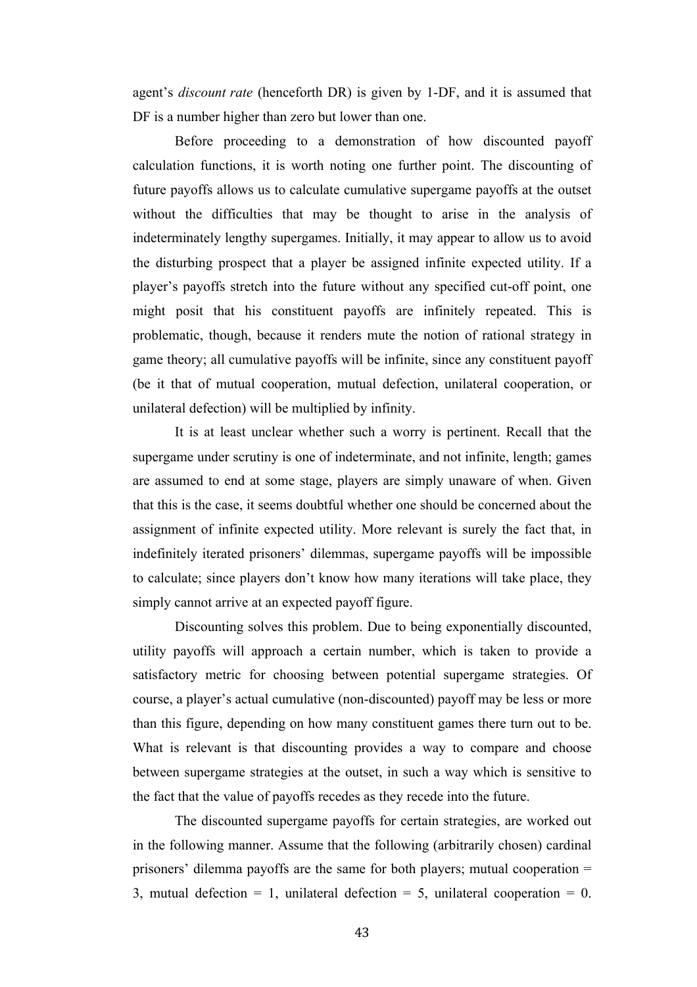agent's *discount rate* (henceforth DR) is given by 1-DF, and it is assumed that DF is a number higher than zero but lower than one.

Before proceeding to a demonstration of how discounted payoff calculation functions, it is worth noting one further point. The discounting of future payoffs allows us to calculate cumulative supergame payoffs at the outset without the difficulties that may be thought to arise in the analysis of indeterminately lengthy supergames. Initially, it may appear to allow us to avoid the disturbing prospect that a player be assigned infinite expected utility. If a player's payoffs stretch into the future without any specified cut-off point, one might posit that his constituent payoffs are infinitely repeated. This is problematic, though, because it renders mute the notion of rational strategy in game theory; all cumulative payoffs will be infinite, since any constituent payoff (be it that of mutual cooperation, mutual defection, unilateral cooperation, or unilateral defection) will be multiplied by infinity.

It is at least unclear whether such a worry is pertinent. Recall that the supergame under scrutiny is one of indeterminate, and not infinite, length; games are assumed to end at some stage, players are simply unaware of when. Given that this is the case, it seems doubtful whether one should be concerned about the assignment of infinite expected utility. More relevant is surely the fact that, in indefinitely iterated prisoners' dilemmas, supergame payoffs will be impossible to calculate; since players don't know how many iterations will take place, they simply cannot arrive at an expected payoff figure.

Discounting solves this problem. Due to being exponentially discounted, utility payoffs will approach a certain number, which is taken to provide a satisfactory metric for choosing between potential supergame strategies. Of course, a player's actual cumulative (non-discounted) payoff may be less or more than this figure, depending on how many constituent games there turn out to be. What is relevant is that discounting provides a way to compare and choose between supergame strategies at the outset, in such a way which is sensitive to the fact that the value of payoffs recedes as they recede into the future.

The discounted supergame payoffs for certain strategies, are worked out in the following manner. Assume that the following (arbitrarily chosen) cardinal prisoners' dilemma payoffs are the same for both players; mutual cooperation = 3, mutual defection = 1, unilateral defection = 5, unilateral cooperation = 0.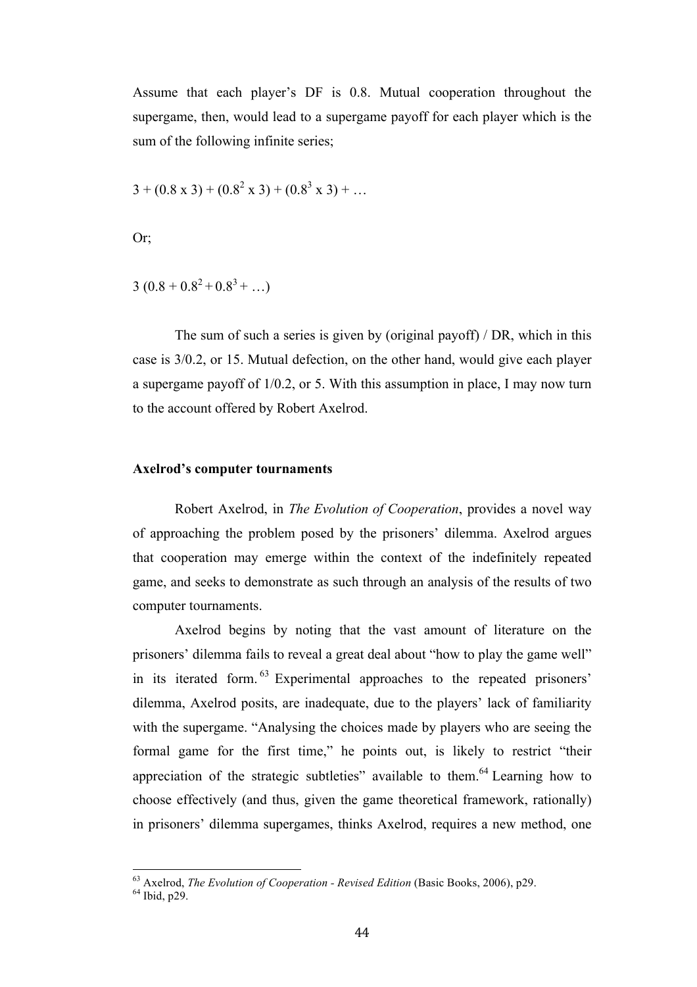Assume that each player's DF is 0.8. Mutual cooperation throughout the supergame, then, would lead to a supergame payoff for each player which is the sum of the following infinite series;

$$
3 + (0.8 \times 3) + (0.8^{2} \times 3) + (0.8^{3} \times 3) + \dots
$$

Or;

$$
3(0.8+0.8^2+0.8^3+...)
$$

The sum of such a series is given by (original payoff) / DR, which in this case is 3/0.2, or 15. Mutual defection, on the other hand, would give each player a supergame payoff of 1/0.2, or 5. With this assumption in place, I may now turn to the account offered by Robert Axelrod.

#### **Axelrod's computer tournaments**

Robert Axelrod, in *The Evolution of Cooperation*, provides a novel way of approaching the problem posed by the prisoners' dilemma. Axelrod argues that cooperation may emerge within the context of the indefinitely repeated game, and seeks to demonstrate as such through an analysis of the results of two computer tournaments.

Axelrod begins by noting that the vast amount of literature on the prisoners' dilemma fails to reveal a great deal about "how to play the game well" in its iterated form. <sup>63</sup> Experimental approaches to the repeated prisoners' dilemma, Axelrod posits, are inadequate, due to the players' lack of familiarity with the supergame. "Analysing the choices made by players who are seeing the formal game for the first time," he points out, is likely to restrict "their appreciation of the strategic subtleties" available to them.<sup>64</sup> Learning how to choose effectively (and thus, given the game theoretical framework, rationally) in prisoners' dilemma supergames, thinks Axelrod, requires a new method, one

<sup>&</sup>lt;sup>63</sup> Axelrod, *The Evolution of Cooperation - Revised Edition* (Basic Books, 2006), p29.<br><sup>64</sup> Ibid, p29.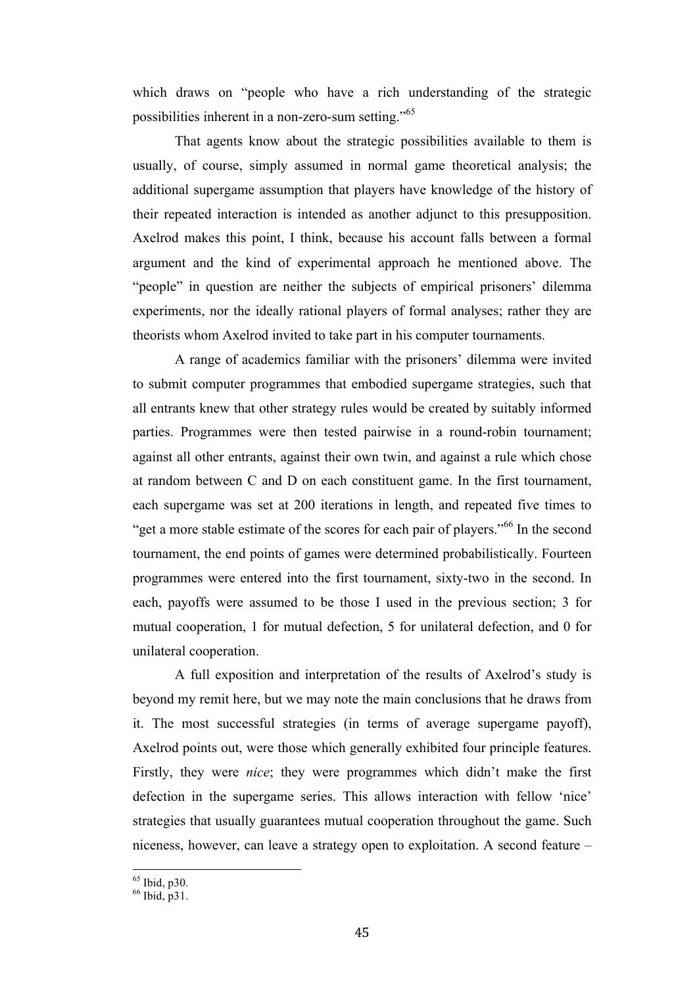which draws on "people who have a rich understanding of the strategic possibilities inherent in a non-zero-sum setting."65

That agents know about the strategic possibilities available to them is usually, of course, simply assumed in normal game theoretical analysis; the additional supergame assumption that players have knowledge of the history of their repeated interaction is intended as another adjunct to this presupposition. Axelrod makes this point, I think, because his account falls between a formal argument and the kind of experimental approach he mentioned above. The "people" in question are neither the subjects of empirical prisoners' dilemma experiments, nor the ideally rational players of formal analyses; rather they are theorists whom Axelrod invited to take part in his computer tournaments.

A range of academics familiar with the prisoners' dilemma were invited to submit computer programmes that embodied supergame strategies, such that all entrants knew that other strategy rules would be created by suitably informed parties. Programmes were then tested pairwise in a round-robin tournament; against all other entrants, against their own twin, and against a rule which chose at random between C and D on each constituent game. In the first tournament, each supergame was set at 200 iterations in length, and repeated five times to "get a more stable estimate of the scores for each pair of players."<sup>66</sup> In the second tournament, the end points of games were determined probabilistically. Fourteen programmes were entered into the first tournament, sixty-two in the second. In each, payoffs were assumed to be those I used in the previous section; 3 for mutual cooperation, 1 for mutual defection, 5 for unilateral defection, and 0 for unilateral cooperation.

A full exposition and interpretation of the results of Axelrod's study is beyond my remit here, but we may note the main conclusions that he draws from it. The most successful strategies (in terms of average supergame payoff), Axelrod points out, were those which generally exhibited four principle features. Firstly, they were *nice*; they were programmes which didn't make the first defection in the supergame series. This allows interaction with fellow 'nice' strategies that usually guarantees mutual cooperation throughout the game. Such niceness, however, can leave a strategy open to exploitation. A second feature –

 $^{65}$  Ibid, p30.<br> $^{66}$  Ibid, p31.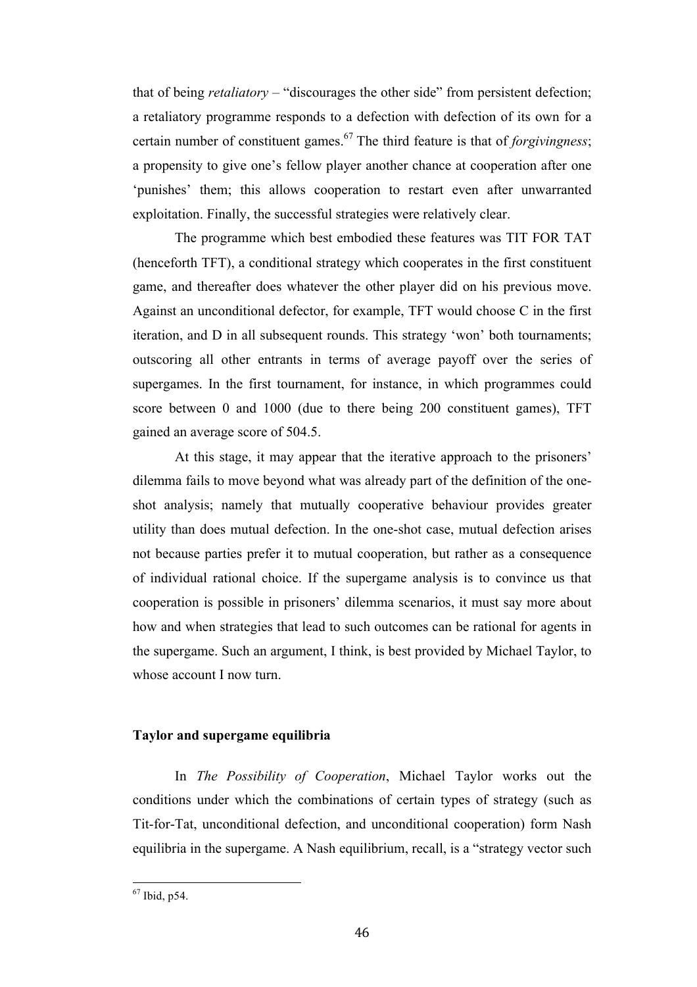that of being *retaliatory* – "discourages the other side" from persistent defection; a retaliatory programme responds to a defection with defection of its own for a certain number of constituent games.<sup>67</sup> The third feature is that of *forgivingness*; a propensity to give one's fellow player another chance at cooperation after one 'punishes' them; this allows cooperation to restart even after unwarranted exploitation. Finally, the successful strategies were relatively clear.

The programme which best embodied these features was TIT FOR TAT (henceforth TFT), a conditional strategy which cooperates in the first constituent game, and thereafter does whatever the other player did on his previous move. Against an unconditional defector, for example, TFT would choose C in the first iteration, and D in all subsequent rounds. This strategy 'won' both tournaments; outscoring all other entrants in terms of average payoff over the series of supergames. In the first tournament, for instance, in which programmes could score between 0 and 1000 (due to there being 200 constituent games), TFT gained an average score of 504.5.

At this stage, it may appear that the iterative approach to the prisoners' dilemma fails to move beyond what was already part of the definition of the oneshot analysis; namely that mutually cooperative behaviour provides greater utility than does mutual defection. In the one-shot case, mutual defection arises not because parties prefer it to mutual cooperation, but rather as a consequence of individual rational choice. If the supergame analysis is to convince us that cooperation is possible in prisoners' dilemma scenarios, it must say more about how and when strategies that lead to such outcomes can be rational for agents in the supergame. Such an argument, I think, is best provided by Michael Taylor, to whose account I now turn.

# **Taylor and supergame equilibria**

In *The Possibility of Cooperation*, Michael Taylor works out the conditions under which the combinations of certain types of strategy (such as Tit-for-Tat, unconditional defection, and unconditional cooperation) form Nash equilibria in the supergame. A Nash equilibrium, recall, is a "strategy vector such

 $67$  Ibid p54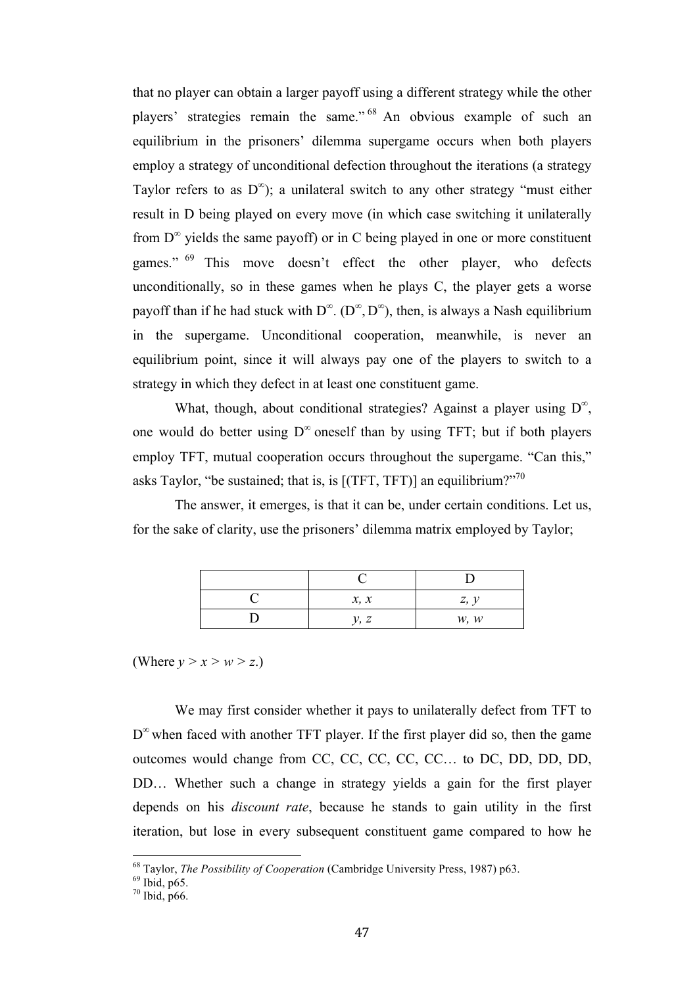that no player can obtain a larger payoff using a different strategy while the other players' strategies remain the same." <sup>68</sup> An obvious example of such an equilibrium in the prisoners' dilemma supergame occurs when both players employ a strategy of unconditional defection throughout the iterations (a strategy Taylor refers to as  $D^{\infty}$ ); a unilateral switch to any other strategy "must either result in D being played on every move (in which case switching it unilaterally from  $D^{\infty}$  yields the same payoff) or in C being played in one or more constituent games." <sup>69</sup> This move doesn't effect the other player, who defects unconditionally, so in these games when he plays C, the player gets a worse payoff than if he had stuck with  $D^{\infty}$ . ( $D^{\infty}$ ,  $D^{\infty}$ ), then, is always a Nash equilibrium in the supergame. Unconditional cooperation, meanwhile, is never an equilibrium point, since it will always pay one of the players to switch to a strategy in which they defect in at least one constituent game.

What, though, about conditional strategies? Against a player using  $D^{\infty}$ , one would do better using  $D^{\infty}$  oneself than by using TFT; but if both players employ TFT, mutual cooperation occurs throughout the supergame. "Can this," asks Taylor, "be sustained; that is, is  $[(TFT, TFT)]$  an equilibrium?"<sup>70</sup>

The answer, it emerges, is that it can be, under certain conditions. Let us, for the sake of clarity, use the prisoners' dilemma matrix employed by Taylor;

| x, x | z, y |
|------|------|
| v. z | W, W |

(Where  $y > x > w > z$ .)

We may first consider whether it pays to unilaterally defect from TFT to  $D^{\infty}$  when faced with another TFT player. If the first player did so, then the game outcomes would change from CC, CC, CC, CC, CC… to DC, DD, DD, DD, DD… Whether such a change in strategy yields a gain for the first player depends on his *discount rate*, because he stands to gain utility in the first iteration, but lose in every subsequent constituent game compared to how he

<sup>&</sup>lt;sup>68</sup> Taylor, *The Possibility of Cooperation* (Cambridge University Press, 1987) p63.<br><sup>69</sup> Ibid, p65. 70 Ibid, p66.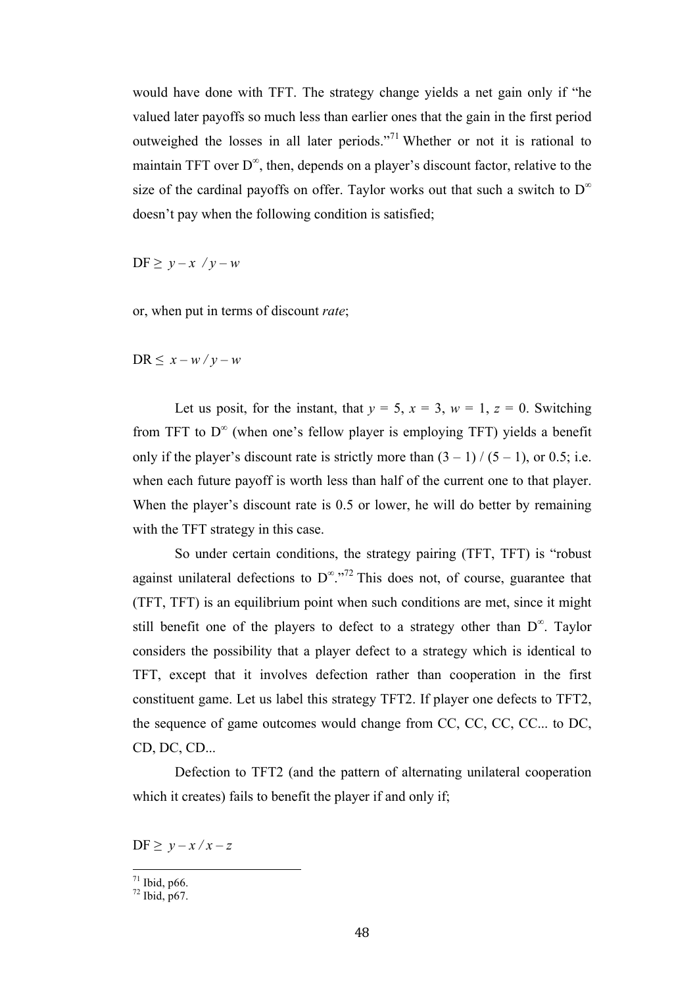would have done with TFT. The strategy change yields a net gain only if "he valued later payoffs so much less than earlier ones that the gain in the first period outweighed the losses in all later periods."<sup>71</sup> Whether or not it is rational to maintain TFT over  $D^{\infty}$ , then, depends on a player's discount factor, relative to the size of the cardinal payoffs on offer. Taylor works out that such a switch to  $D^{\infty}$ doesn't pay when the following condition is satisfied;

 $DF \geq y - x / y - w$ 

or, when put in terms of discount *rate*;

 $DR \leq x - w / v - w$ 

Let us posit, for the instant, that  $y = 5$ ,  $x = 3$ ,  $w = 1$ ,  $z = 0$ . Switching from TFT to  $D^{\infty}$  (when one's fellow player is employing TFT) yields a benefit only if the player's discount rate is strictly more than  $(3 – 1) / (5 – 1)$ , or 0.5; i.e. when each future payoff is worth less than half of the current one to that player. When the player's discount rate is 0.5 or lower, he will do better by remaining with the TFT strategy in this case.

So under certain conditions, the strategy pairing (TFT, TFT) is "robust against unilateral defections to  $D^{\infty}$ .<sup>772</sup> This does not, of course, guarantee that (TFT, TFT) is an equilibrium point when such conditions are met, since it might still benefit one of the players to defect to a strategy other than  $D^{\infty}$ . Taylor considers the possibility that a player defect to a strategy which is identical to TFT, except that it involves defection rather than cooperation in the first constituent game. Let us label this strategy TFT2. If player one defects to TFT2, the sequence of game outcomes would change from CC, CC, CC, CC... to DC, CD, DC, CD...

Defection to TFT2 (and the pattern of alternating unilateral cooperation which it creates) fails to benefit the player if and only if;

 $DF \geq y - x / x - z$ 

 $\frac{71}{72}$  Ibid, p66.<br> $\frac{72}{10}$  Ibid, p67.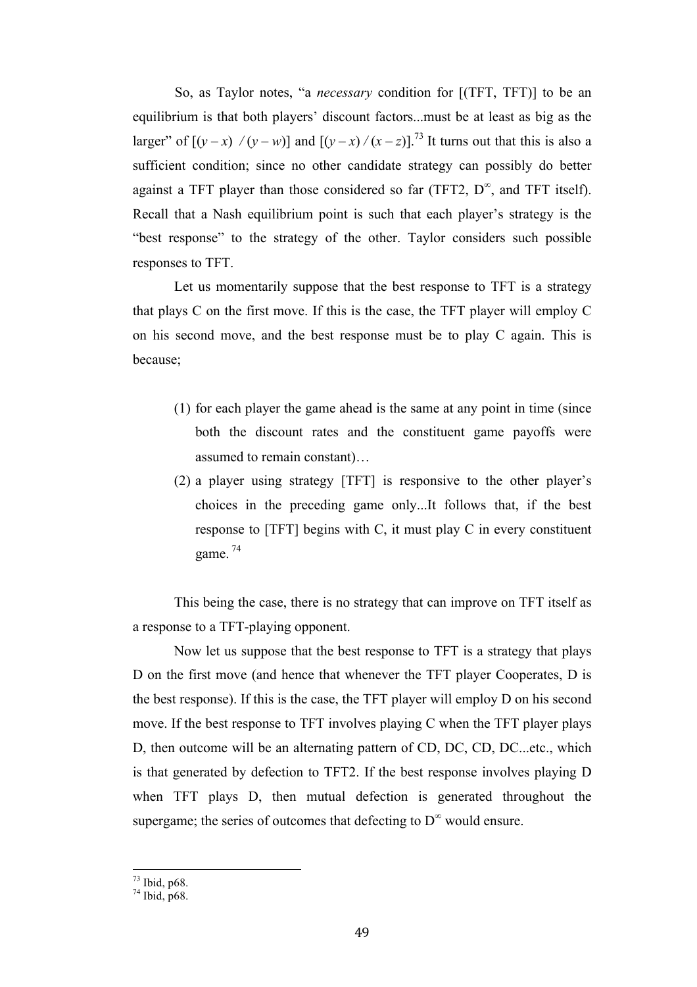So, as Taylor notes, "a *necessary* condition for [(TFT, TFT)] to be an equilibrium is that both players' discount factors...must be at least as big as the larger" of  $[(y-x)/(y-w)]$  and  $[(y-x)/(x-z)]^{73}$  It turns out that this is also a sufficient condition; since no other candidate strategy can possibly do better against a TFT player than those considered so far (TFT2,  $D^{\infty}$ , and TFT itself). Recall that a Nash equilibrium point is such that each player's strategy is the "best response" to the strategy of the other. Taylor considers such possible responses to TFT.

Let us momentarily suppose that the best response to TFT is a strategy that plays C on the first move. If this is the case, the TFT player will employ C on his second move, and the best response must be to play C again. This is because;

- (1) for each player the game ahead is the same at any point in time (since both the discount rates and the constituent game payoffs were assumed to remain constant)…
- (2) a player using strategy [TFT] is responsive to the other player's choices in the preceding game only...It follows that, if the best response to [TFT] begins with C, it must play C in every constituent game. <sup>74</sup>

This being the case, there is no strategy that can improve on TFT itself as a response to a TFT-playing opponent.

Now let us suppose that the best response to TFT is a strategy that plays D on the first move (and hence that whenever the TFT player Cooperates, D is the best response). If this is the case, the TFT player will employ D on his second move. If the best response to TFT involves playing C when the TFT player plays D, then outcome will be an alternating pattern of CD, DC, CD, DC...etc., which is that generated by defection to TFT2. If the best response involves playing D when TFT plays D, then mutual defection is generated throughout the supergame; the series of outcomes that defecting to  $D^{\infty}$  would ensure.

 $^{73}$  Ibid, p68.<br> $^{74}$  Ibid, p68.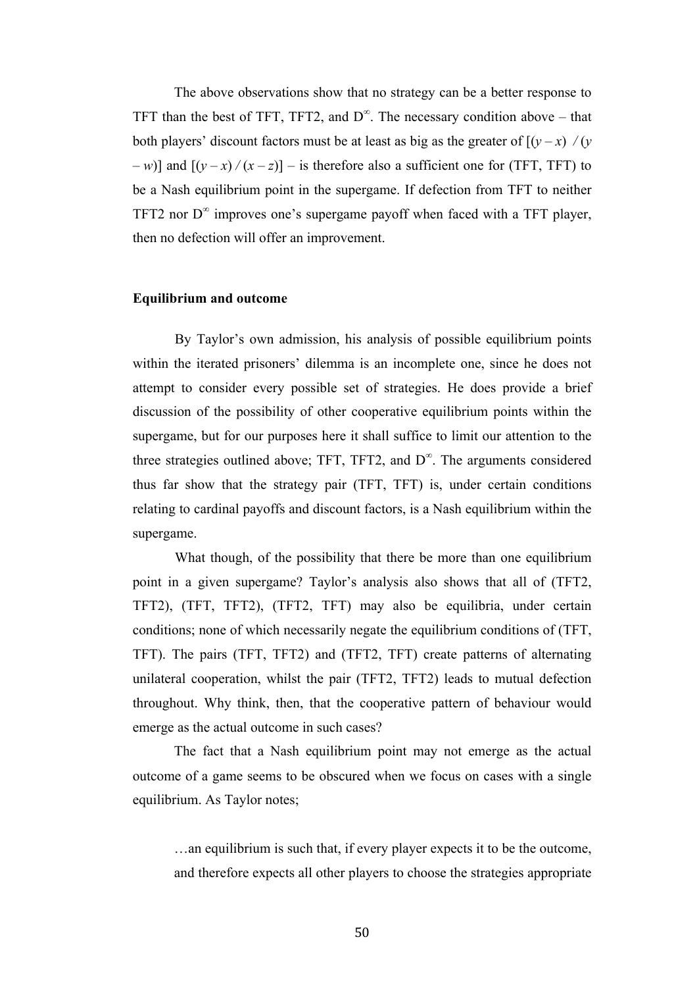The above observations show that no strategy can be a better response to TFT than the best of TFT, TFT2, and  $D^{\infty}$ . The necessary condition above – that both players' discount factors must be at least as big as the greater of  $[(y-x)/(y)]$ *– w*)] and  $[(y - x)/(x - z)]$  – is therefore also a sufficient one for (TFT, TFT) to be a Nash equilibrium point in the supergame. If defection from TFT to neither TFT2 nor  $D^{\infty}$  improves one's supergame payoff when faced with a TFT player, then no defection will offer an improvement.

## **Equilibrium and outcome**

By Taylor's own admission, his analysis of possible equilibrium points within the iterated prisoners' dilemma is an incomplete one, since he does not attempt to consider every possible set of strategies. He does provide a brief discussion of the possibility of other cooperative equilibrium points within the supergame, but for our purposes here it shall suffice to limit our attention to the three strategies outlined above; TFT, TFT2, and  $D^{\infty}$ . The arguments considered thus far show that the strategy pair (TFT, TFT) is, under certain conditions relating to cardinal payoffs and discount factors, is a Nash equilibrium within the supergame.

What though, of the possibility that there be more than one equilibrium point in a given supergame? Taylor's analysis also shows that all of (TFT2, TFT2), (TFT, TFT2), (TFT2, TFT) may also be equilibria, under certain conditions; none of which necessarily negate the equilibrium conditions of (TFT, TFT). The pairs (TFT, TFT2) and (TFT2, TFT) create patterns of alternating unilateral cooperation, whilst the pair (TFT2, TFT2) leads to mutual defection throughout. Why think, then, that the cooperative pattern of behaviour would emerge as the actual outcome in such cases?

The fact that a Nash equilibrium point may not emerge as the actual outcome of a game seems to be obscured when we focus on cases with a single equilibrium. As Taylor notes;

…an equilibrium is such that, if every player expects it to be the outcome, and therefore expects all other players to choose the strategies appropriate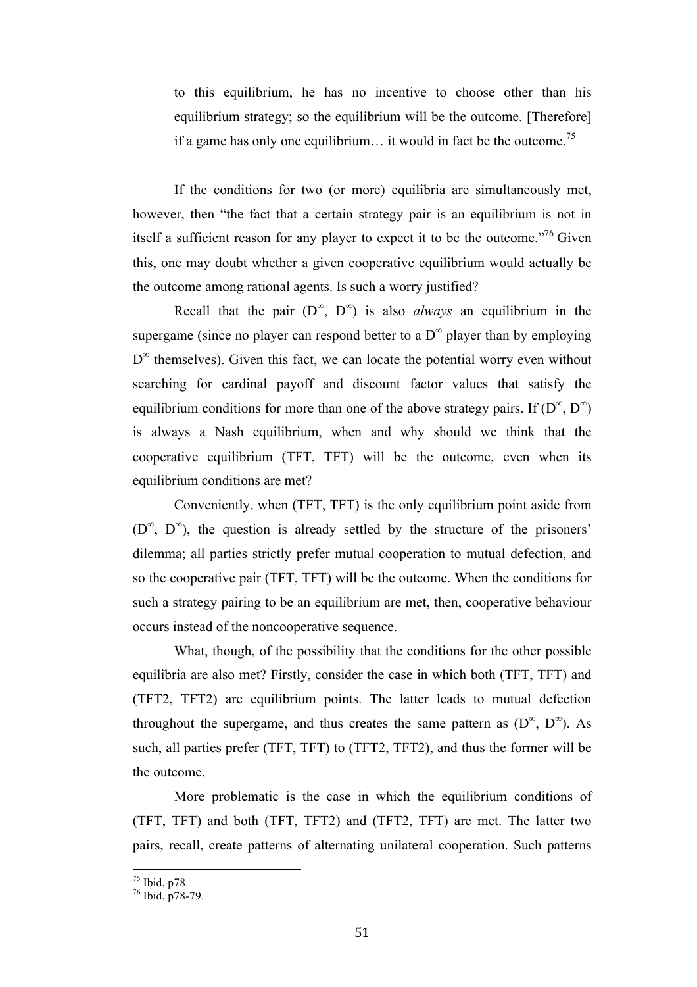to this equilibrium, he has no incentive to choose other than his equilibrium strategy; so the equilibrium will be the outcome. [Therefore] if a game has only one equilibrium... it would in fact be the outcome.<sup>75</sup>

If the conditions for two (or more) equilibria are simultaneously met, however, then "the fact that a certain strategy pair is an equilibrium is not in itself a sufficient reason for any player to expect it to be the outcome.<sup>776</sup> Given this, one may doubt whether a given cooperative equilibrium would actually be the outcome among rational agents. Is such a worry justified?

Recall that the pair  $(D^{\infty}, D^{\infty})$  is also *always* an equilibrium in the supergame (since no player can respond better to a  $D^{\infty}$  player than by employing  $D^{\infty}$  themselves). Given this fact, we can locate the potential worry even without searching for cardinal payoff and discount factor values that satisfy the equilibrium conditions for more than one of the above strategy pairs. If  $(D^{\infty}, D^{\infty})$ is always a Nash equilibrium, when and why should we think that the cooperative equilibrium (TFT, TFT) will be the outcome, even when its equilibrium conditions are met?

Conveniently, when (TFT, TFT) is the only equilibrium point aside from  $(D^{\infty}, D^{\infty})$ , the question is already settled by the structure of the prisoners' dilemma; all parties strictly prefer mutual cooperation to mutual defection, and so the cooperative pair (TFT, TFT) will be the outcome. When the conditions for such a strategy pairing to be an equilibrium are met, then, cooperative behaviour occurs instead of the noncooperative sequence.

What, though, of the possibility that the conditions for the other possible equilibria are also met? Firstly, consider the case in which both (TFT, TFT) and (TFT2, TFT2) are equilibrium points. The latter leads to mutual defection throughout the supergame, and thus creates the same pattern as  $(D^{\infty}, D^{\infty})$ . As such, all parties prefer (TFT, TFT) to (TFT2, TFT2), and thus the former will be the outcome.

More problematic is the case in which the equilibrium conditions of (TFT, TFT) and both (TFT, TFT2) and (TFT2, TFT) are met. The latter two pairs, recall, create patterns of alternating unilateral cooperation. Such patterns

 $\frac{75}{76}$  Ibid, p78.<br> $\frac{76}{16}$  Ibid, p78-79.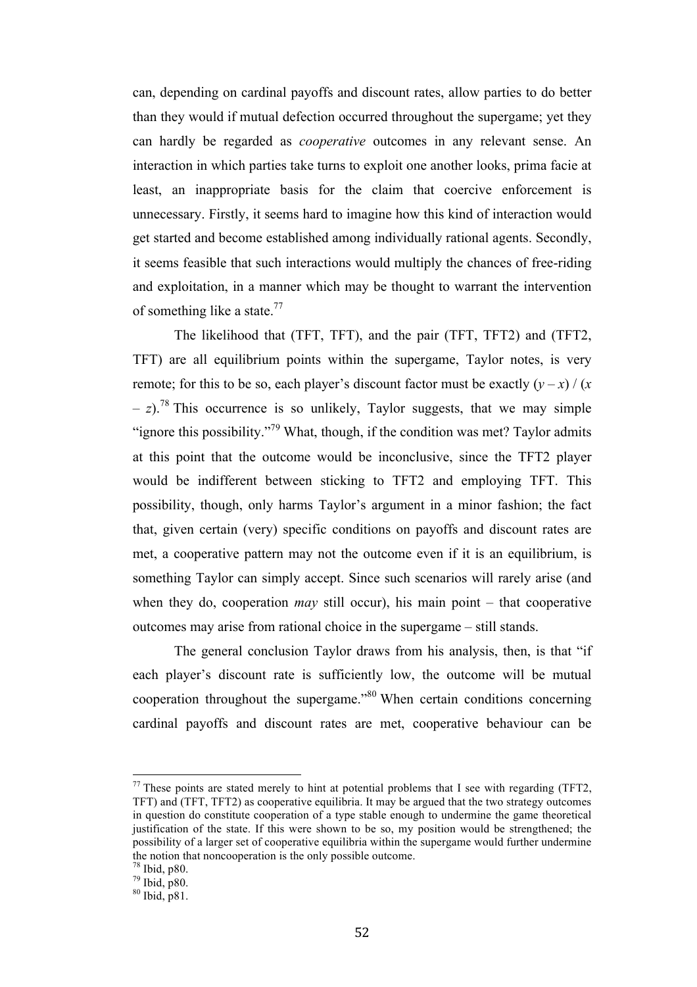can, depending on cardinal payoffs and discount rates, allow parties to do better than they would if mutual defection occurred throughout the supergame; yet they can hardly be regarded as *cooperative* outcomes in any relevant sense. An interaction in which parties take turns to exploit one another looks, prima facie at least, an inappropriate basis for the claim that coercive enforcement is unnecessary. Firstly, it seems hard to imagine how this kind of interaction would get started and become established among individually rational agents. Secondly, it seems feasible that such interactions would multiply the chances of free-riding and exploitation, in a manner which may be thought to warrant the intervention of something like a state.<sup>77</sup>

The likelihood that (TFT, TFT), and the pair (TFT, TFT2) and (TFT2, TFT) are all equilibrium points within the supergame, Taylor notes, is very remote; for this to be so, each player's discount factor must be exactly  $(y - x) / (x - y)$  $(z - z)$ <sup>78</sup>. This occurrence is so unlikely, Taylor suggests, that we may simple "ignore this possibility."<sup>79</sup> What, though, if the condition was met? Taylor admits at this point that the outcome would be inconclusive, since the TFT2 player would be indifferent between sticking to TFT2 and employing TFT. This possibility, though, only harms Taylor's argument in a minor fashion; the fact that, given certain (very) specific conditions on payoffs and discount rates are met, a cooperative pattern may not the outcome even if it is an equilibrium, is something Taylor can simply accept. Since such scenarios will rarely arise (and when they do, cooperation *may* still occur), his main point – that cooperative outcomes may arise from rational choice in the supergame – still stands.

The general conclusion Taylor draws from his analysis, then, is that "if each player's discount rate is sufficiently low, the outcome will be mutual cooperation throughout the supergame."80 When certain conditions concerning cardinal payoffs and discount rates are met, cooperative behaviour can be

 $17$  These points are stated merely to hint at potential problems that I see with regarding (TFT2, TFT) and (TFT, TFT2) as cooperative equilibria. It may be argued that the two strategy outcomes in question do constitute cooperation of a type stable enough to undermine the game theoretical justification of the state. If this were shown to be so, my position would be strengthened; the possibility of a larger set of cooperative equilibria within the supergame would further undermine the notion that noncooperation is the only possible outcome.<br><sup>78</sup> Ibid, p80.<br><sup>79</sup> Ibid, p80.<br><sup>80</sup> Ibid, p81.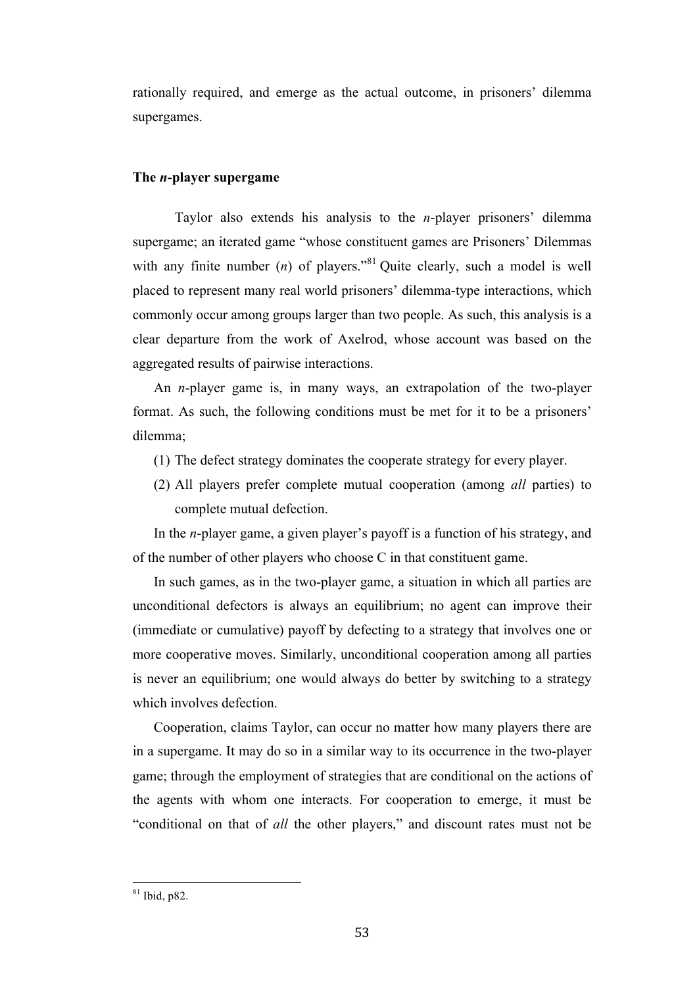rationally required, and emerge as the actual outcome, in prisoners' dilemma supergames.

# **The** *n***-player supergame**

Taylor also extends his analysis to the *n*-player prisoners' dilemma supergame; an iterated game "whose constituent games are Prisoners' Dilemmas with any finite number  $(n)$  of players.<sup> $\cdot$ 81</sup> Quite clearly, such a model is well placed to represent many real world prisoners' dilemma-type interactions, which commonly occur among groups larger than two people. As such, this analysis is a clear departure from the work of Axelrod, whose account was based on the aggregated results of pairwise interactions.

An *n*-player game is, in many ways, an extrapolation of the two-player format. As such, the following conditions must be met for it to be a prisoners' dilemma;

- (1) The defect strategy dominates the cooperate strategy for every player.
- (2) All players prefer complete mutual cooperation (among *all* parties) to complete mutual defection.

In the *n*-player game, a given player's payoff is a function of his strategy, and of the number of other players who choose C in that constituent game.

In such games, as in the two-player game, a situation in which all parties are unconditional defectors is always an equilibrium; no agent can improve their (immediate or cumulative) payoff by defecting to a strategy that involves one or more cooperative moves. Similarly, unconditional cooperation among all parties is never an equilibrium; one would always do better by switching to a strategy which involves defection.

Cooperation, claims Taylor, can occur no matter how many players there are in a supergame. It may do so in a similar way to its occurrence in the two-player game; through the employment of strategies that are conditional on the actions of the agents with whom one interacts. For cooperation to emerge, it must be "conditional on that of *all* the other players," and discount rates must not be

 $81$  lbid n82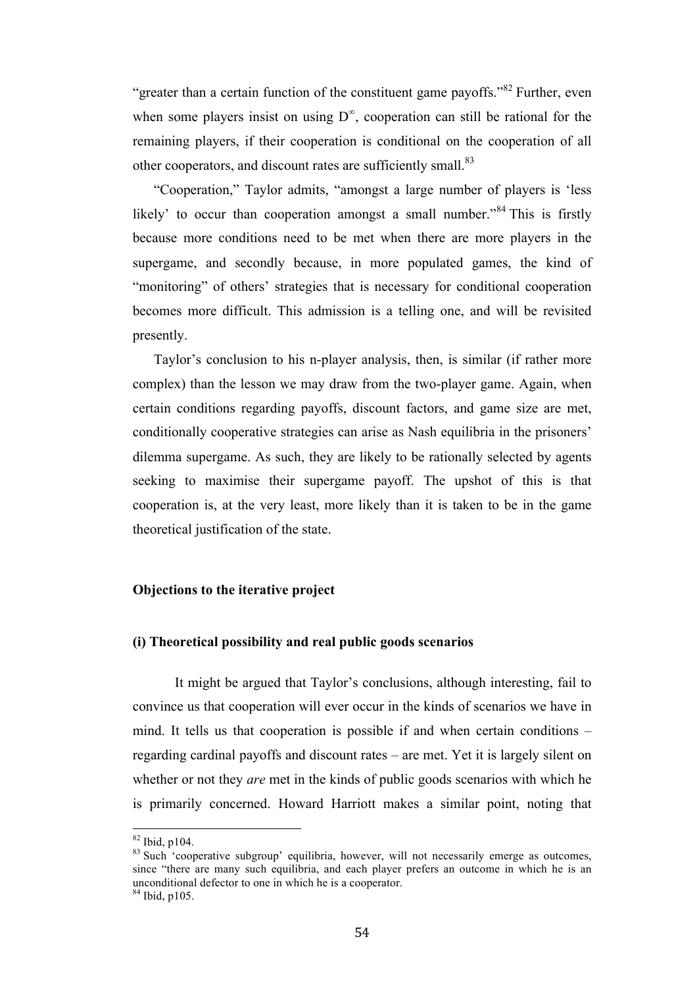"greater than a certain function of the constituent game payoffs."<sup>82</sup> Further, even when some players insist on using  $D^{\infty}$ , cooperation can still be rational for the remaining players, if their cooperation is conditional on the cooperation of all other cooperators, and discount rates are sufficiently small.<sup>83</sup>

"Cooperation," Taylor admits, "amongst a large number of players is 'less likely' to occur than cooperation amongst a small number.<sup>84</sup> This is firstly because more conditions need to be met when there are more players in the supergame, and secondly because, in more populated games, the kind of "monitoring" of others' strategies that is necessary for conditional cooperation becomes more difficult. This admission is a telling one, and will be revisited presently.

Taylor's conclusion to his n-player analysis, then, is similar (if rather more complex) than the lesson we may draw from the two-player game. Again, when certain conditions regarding payoffs, discount factors, and game size are met, conditionally cooperative strategies can arise as Nash equilibria in the prisoners' dilemma supergame. As such, they are likely to be rationally selected by agents seeking to maximise their supergame payoff. The upshot of this is that cooperation is, at the very least, more likely than it is taken to be in the game theoretical justification of the state.

### **Objections to the iterative project**

## **(i) Theoretical possibility and real public goods scenarios**

It might be argued that Taylor's conclusions, although interesting, fail to convince us that cooperation will ever occur in the kinds of scenarios we have in mind. It tells us that cooperation is possible if and when certain conditions – regarding cardinal payoffs and discount rates – are met. Yet it is largely silent on whether or not they *are* met in the kinds of public goods scenarios with which he is primarily concerned. Howard Harriott makes a similar point, noting that

 $\frac{82 \text{ Ibid, p104.}}{83 \text{ Such}}$  'cooperative subgroup' equilibria, however, will not necessarily emerge as outcomes, since "there are many such equilibria, and each player prefers an outcome in which he is an unconditional defector to one in which he is a cooperator. <sup>84</sup> Ibid, p105.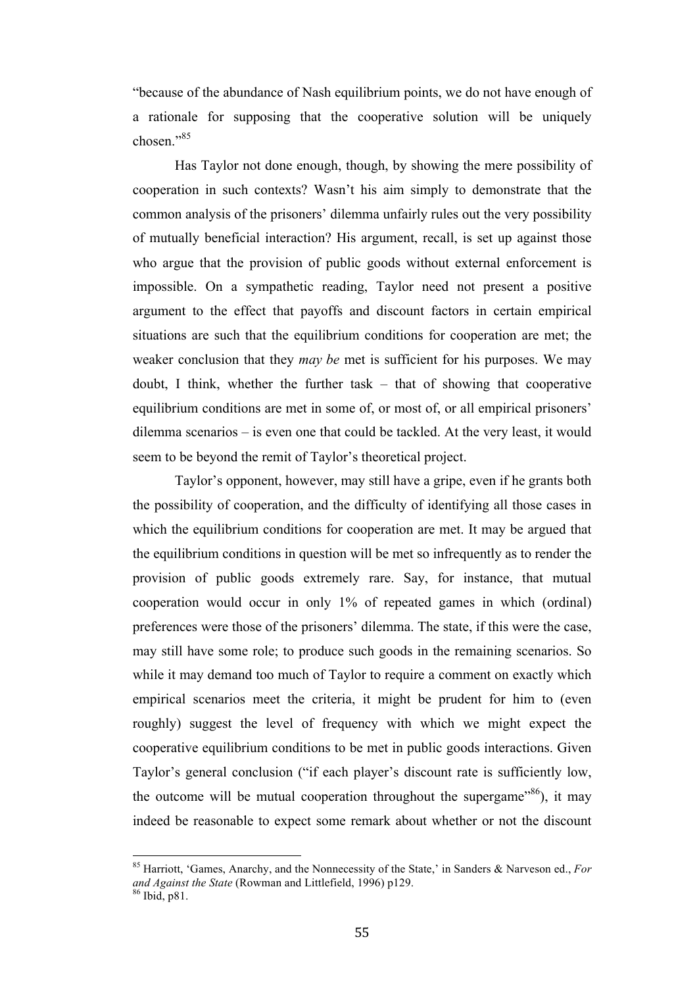"because of the abundance of Nash equilibrium points, we do not have enough of a rationale for supposing that the cooperative solution will be uniquely chosen."<sup>85</sup>

Has Taylor not done enough, though, by showing the mere possibility of cooperation in such contexts? Wasn't his aim simply to demonstrate that the common analysis of the prisoners' dilemma unfairly rules out the very possibility of mutually beneficial interaction? His argument, recall, is set up against those who argue that the provision of public goods without external enforcement is impossible. On a sympathetic reading, Taylor need not present a positive argument to the effect that payoffs and discount factors in certain empirical situations are such that the equilibrium conditions for cooperation are met; the weaker conclusion that they *may be* met is sufficient for his purposes. We may doubt, I think, whether the further task – that of showing that cooperative equilibrium conditions are met in some of, or most of, or all empirical prisoners' dilemma scenarios – is even one that could be tackled. At the very least, it would seem to be beyond the remit of Taylor's theoretical project.

Taylor's opponent, however, may still have a gripe, even if he grants both the possibility of cooperation, and the difficulty of identifying all those cases in which the equilibrium conditions for cooperation are met. It may be argued that the equilibrium conditions in question will be met so infrequently as to render the provision of public goods extremely rare. Say, for instance, that mutual cooperation would occur in only 1% of repeated games in which (ordinal) preferences were those of the prisoners' dilemma. The state, if this were the case, may still have some role; to produce such goods in the remaining scenarios. So while it may demand too much of Taylor to require a comment on exactly which empirical scenarios meet the criteria, it might be prudent for him to (even roughly) suggest the level of frequency with which we might expect the cooperative equilibrium conditions to be met in public goods interactions. Given Taylor's general conclusion ("if each player's discount rate is sufficiently low, the outcome will be mutual cooperation throughout the supergame<sup> $86$ </sup>), it may indeed be reasonable to expect some remark about whether or not the discount

<sup>&</sup>lt;sup>85</sup> Harriott, 'Games, Anarchy, and the Nonnecessity of the State,' in Sanders & Narveson ed., *For* and *Against the State* (Rowman and Littlefield, 1996) p129.<br><sup>86</sup> Ibid. p81.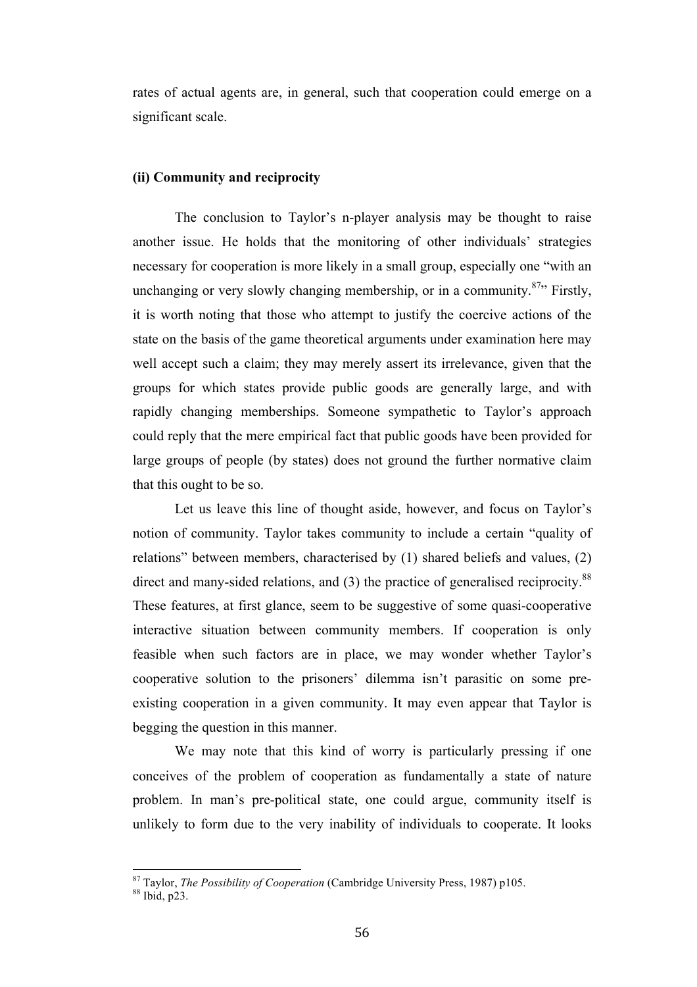rates of actual agents are, in general, such that cooperation could emerge on a significant scale.

# **(ii) Community and reciprocity**

The conclusion to Taylor's n-player analysis may be thought to raise another issue. He holds that the monitoring of other individuals' strategies necessary for cooperation is more likely in a small group, especially one "with an unchanging or very slowly changing membership, or in a community.<sup>87</sup><sup>2</sup> Firstly, it is worth noting that those who attempt to justify the coercive actions of the state on the basis of the game theoretical arguments under examination here may well accept such a claim; they may merely assert its irrelevance, given that the groups for which states provide public goods are generally large, and with rapidly changing memberships. Someone sympathetic to Taylor's approach could reply that the mere empirical fact that public goods have been provided for large groups of people (by states) does not ground the further normative claim that this ought to be so.

Let us leave this line of thought aside, however, and focus on Taylor's notion of community. Taylor takes community to include a certain "quality of relations" between members, characterised by (1) shared beliefs and values, (2) direct and many-sided relations, and  $(3)$  the practice of generalised reciprocity.<sup>88</sup> These features, at first glance, seem to be suggestive of some quasi-cooperative interactive situation between community members. If cooperation is only feasible when such factors are in place, we may wonder whether Taylor's cooperative solution to the prisoners' dilemma isn't parasitic on some preexisting cooperation in a given community. It may even appear that Taylor is begging the question in this manner.

We may note that this kind of worry is particularly pressing if one conceives of the problem of cooperation as fundamentally a state of nature problem. In man's pre-political state, one could argue, community itself is unlikely to form due to the very inability of individuals to cooperate. It looks

<sup>&</sup>lt;sup>87</sup> Taylor, *The Possibility of Cooperation* (Cambridge University Press, 1987) p105. <sup>88</sup> Ibid, p23.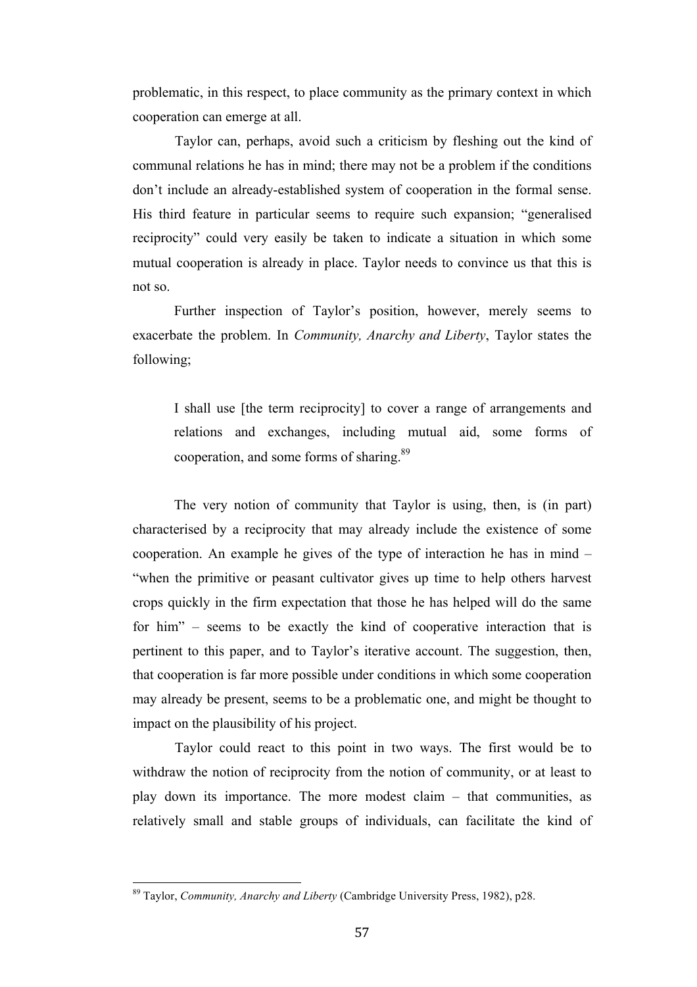problematic, in this respect, to place community as the primary context in which cooperation can emerge at all.

Taylor can, perhaps, avoid such a criticism by fleshing out the kind of communal relations he has in mind; there may not be a problem if the conditions don't include an already-established system of cooperation in the formal sense. His third feature in particular seems to require such expansion; "generalised reciprocity" could very easily be taken to indicate a situation in which some mutual cooperation is already in place. Taylor needs to convince us that this is not so.

Further inspection of Taylor's position, however, merely seems to exacerbate the problem. In *Community, Anarchy and Liberty*, Taylor states the following;

I shall use [the term reciprocity] to cover a range of arrangements and relations and exchanges, including mutual aid, some forms of cooperation, and some forms of sharing.<sup>89</sup>

The very notion of community that Taylor is using, then, is (in part) characterised by a reciprocity that may already include the existence of some cooperation. An example he gives of the type of interaction he has in mind – "when the primitive or peasant cultivator gives up time to help others harvest crops quickly in the firm expectation that those he has helped will do the same for him" – seems to be exactly the kind of cooperative interaction that is pertinent to this paper, and to Taylor's iterative account. The suggestion, then, that cooperation is far more possible under conditions in which some cooperation may already be present, seems to be a problematic one, and might be thought to impact on the plausibility of his project.

Taylor could react to this point in two ways. The first would be to withdraw the notion of reciprocity from the notion of community, or at least to play down its importance. The more modest claim – that communities, as relatively small and stable groups of individuals, can facilitate the kind of

<sup>&</sup>lt;sup>89</sup> Taylor, *Community, Anarchy and Liberty* (Cambridge University Press, 1982), p28.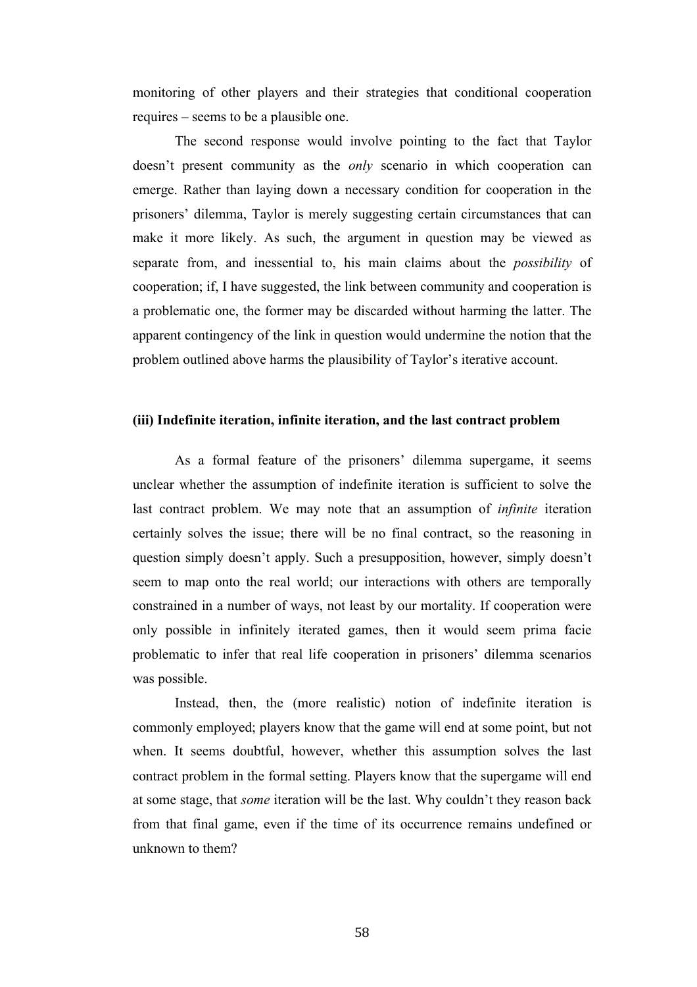monitoring of other players and their strategies that conditional cooperation requires – seems to be a plausible one.

The second response would involve pointing to the fact that Taylor doesn't present community as the *only* scenario in which cooperation can emerge. Rather than laying down a necessary condition for cooperation in the prisoners' dilemma, Taylor is merely suggesting certain circumstances that can make it more likely. As such, the argument in question may be viewed as separate from, and inessential to, his main claims about the *possibility* of cooperation; if, I have suggested, the link between community and cooperation is a problematic one, the former may be discarded without harming the latter. The apparent contingency of the link in question would undermine the notion that the problem outlined above harms the plausibility of Taylor's iterative account.

### **(iii) Indefinite iteration, infinite iteration, and the last contract problem**

As a formal feature of the prisoners' dilemma supergame, it seems unclear whether the assumption of indefinite iteration is sufficient to solve the last contract problem. We may note that an assumption of *infinite* iteration certainly solves the issue; there will be no final contract, so the reasoning in question simply doesn't apply. Such a presupposition, however, simply doesn't seem to map onto the real world; our interactions with others are temporally constrained in a number of ways, not least by our mortality. If cooperation were only possible in infinitely iterated games, then it would seem prima facie problematic to infer that real life cooperation in prisoners' dilemma scenarios was possible.

Instead, then, the (more realistic) notion of indefinite iteration is commonly employed; players know that the game will end at some point, but not when. It seems doubtful, however, whether this assumption solves the last contract problem in the formal setting. Players know that the supergame will end at some stage, that *some* iteration will be the last. Why couldn't they reason back from that final game, even if the time of its occurrence remains undefined or unknown to them?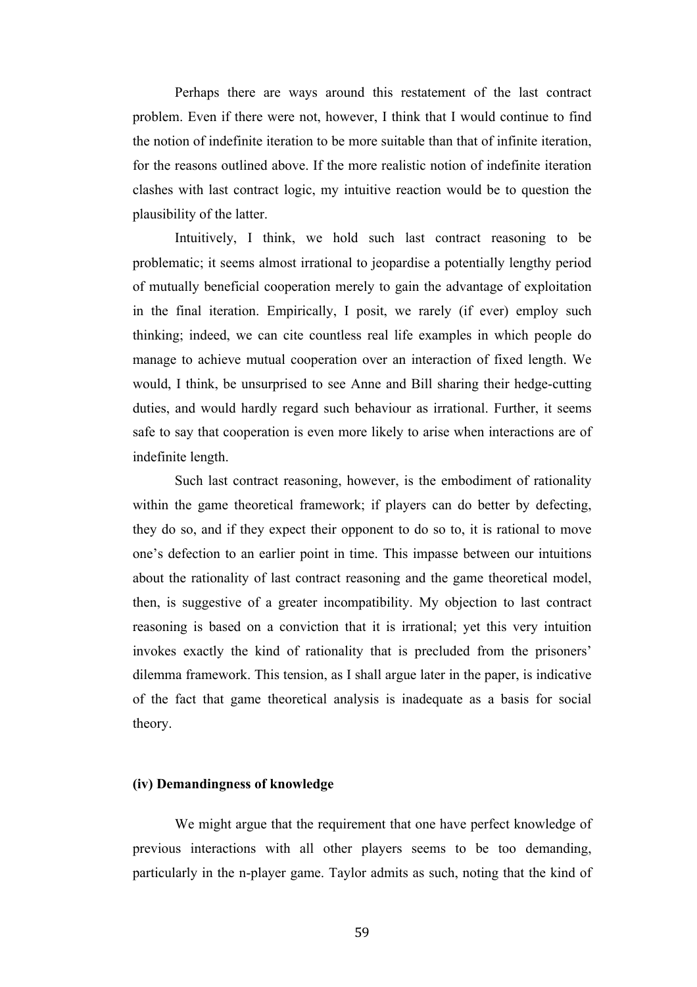Perhaps there are ways around this restatement of the last contract problem. Even if there were not, however, I think that I would continue to find the notion of indefinite iteration to be more suitable than that of infinite iteration, for the reasons outlined above. If the more realistic notion of indefinite iteration clashes with last contract logic, my intuitive reaction would be to question the plausibility of the latter.

Intuitively, I think, we hold such last contract reasoning to be problematic; it seems almost irrational to jeopardise a potentially lengthy period of mutually beneficial cooperation merely to gain the advantage of exploitation in the final iteration. Empirically, I posit, we rarely (if ever) employ such thinking; indeed, we can cite countless real life examples in which people do manage to achieve mutual cooperation over an interaction of fixed length. We would, I think, be unsurprised to see Anne and Bill sharing their hedge-cutting duties, and would hardly regard such behaviour as irrational. Further, it seems safe to say that cooperation is even more likely to arise when interactions are of indefinite length.

Such last contract reasoning, however, is the embodiment of rationality within the game theoretical framework; if players can do better by defecting, they do so, and if they expect their opponent to do so to, it is rational to move one's defection to an earlier point in time. This impasse between our intuitions about the rationality of last contract reasoning and the game theoretical model, then, is suggestive of a greater incompatibility. My objection to last contract reasoning is based on a conviction that it is irrational; yet this very intuition invokes exactly the kind of rationality that is precluded from the prisoners' dilemma framework. This tension, as I shall argue later in the paper, is indicative of the fact that game theoretical analysis is inadequate as a basis for social theory.

# **(iv) Demandingness of knowledge**

We might argue that the requirement that one have perfect knowledge of previous interactions with all other players seems to be too demanding, particularly in the n-player game. Taylor admits as such, noting that the kind of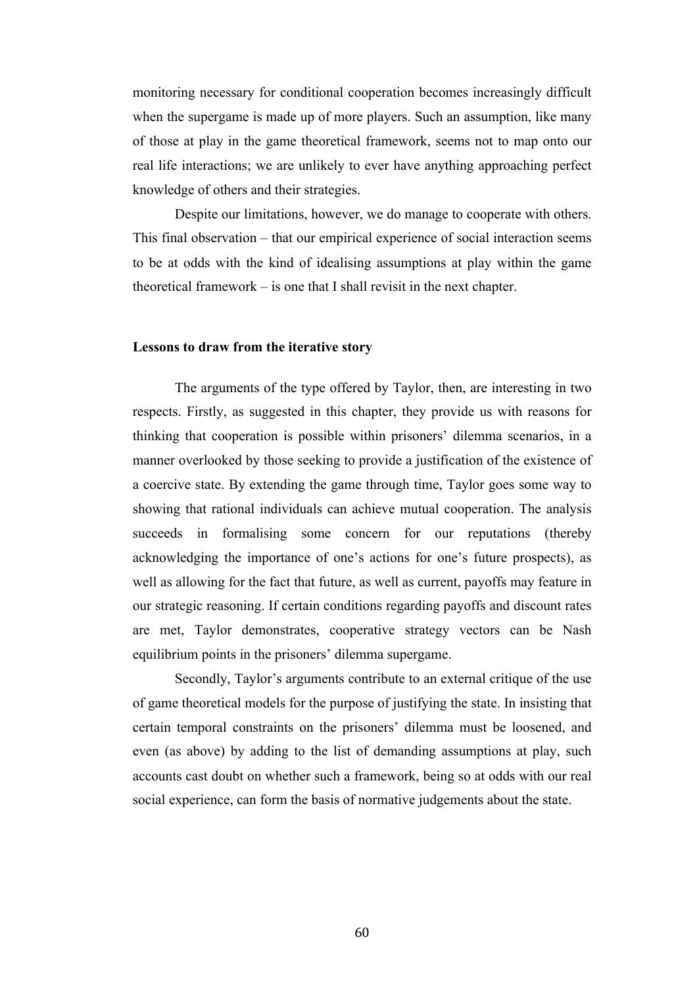monitoring necessary for conditional cooperation becomes increasingly difficult when the supergame is made up of more players. Such an assumption, like many of those at play in the game theoretical framework, seems not to map onto our real life interactions; we are unlikely to ever have anything approaching perfect knowledge of others and their strategies.

Despite our limitations, however, we do manage to cooperate with others. This final observation – that our empirical experience of social interaction seems to be at odds with the kind of idealising assumptions at play within the game theoretical framework – is one that I shall revisit in the next chapter.

## **Lessons to draw from the iterative story**

The arguments of the type offered by Taylor, then, are interesting in two respects. Firstly, as suggested in this chapter, they provide us with reasons for thinking that cooperation is possible within prisoners' dilemma scenarios, in a manner overlooked by those seeking to provide a justification of the existence of a coercive state. By extending the game through time, Taylor goes some way to showing that rational individuals can achieve mutual cooperation. The analysis succeeds in formalising some concern for our reputations (thereby acknowledging the importance of one's actions for one's future prospects), as well as allowing for the fact that future, as well as current, payoffs may feature in our strategic reasoning. If certain conditions regarding payoffs and discount rates are met, Taylor demonstrates, cooperative strategy vectors can be Nash equilibrium points in the prisoners' dilemma supergame.

Secondly, Taylor's arguments contribute to an external critique of the use of game theoretical models for the purpose of justifying the state. In insisting that certain temporal constraints on the prisoners' dilemma must be loosened, and even (as above) by adding to the list of demanding assumptions at play, such accounts cast doubt on whether such a framework, being so at odds with our real social experience, can form the basis of normative judgements about the state.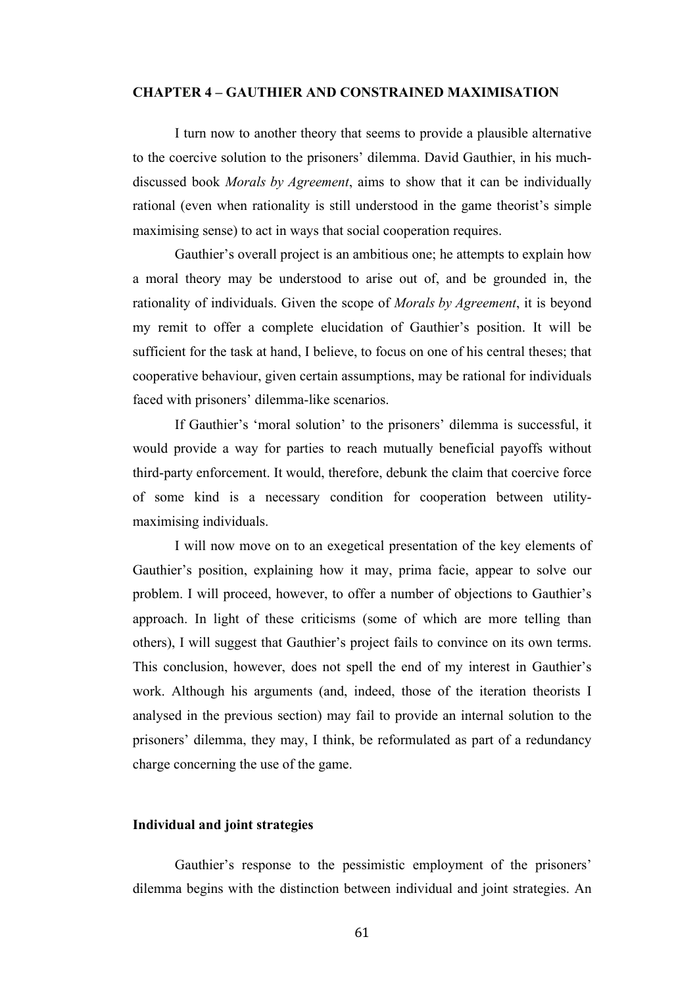#### **CHAPTER 4 – GAUTHIER AND CONSTRAINED MAXIMISATION**

I turn now to another theory that seems to provide a plausible alternative to the coercive solution to the prisoners' dilemma. David Gauthier, in his muchdiscussed book *Morals by Agreement*, aims to show that it can be individually rational (even when rationality is still understood in the game theorist's simple maximising sense) to act in ways that social cooperation requires.

Gauthier's overall project is an ambitious one; he attempts to explain how a moral theory may be understood to arise out of, and be grounded in, the rationality of individuals. Given the scope of *Morals by Agreement*, it is beyond my remit to offer a complete elucidation of Gauthier's position. It will be sufficient for the task at hand, I believe, to focus on one of his central theses; that cooperative behaviour, given certain assumptions, may be rational for individuals faced with prisoners' dilemma-like scenarios.

If Gauthier's 'moral solution' to the prisoners' dilemma is successful, it would provide a way for parties to reach mutually beneficial payoffs without third-party enforcement. It would, therefore, debunk the claim that coercive force of some kind is a necessary condition for cooperation between utilitymaximising individuals.

I will now move on to an exegetical presentation of the key elements of Gauthier's position, explaining how it may, prima facie, appear to solve our problem. I will proceed, however, to offer a number of objections to Gauthier's approach. In light of these criticisms (some of which are more telling than others), I will suggest that Gauthier's project fails to convince on its own terms. This conclusion, however, does not spell the end of my interest in Gauthier's work. Although his arguments (and, indeed, those of the iteration theorists I analysed in the previous section) may fail to provide an internal solution to the prisoners' dilemma, they may, I think, be reformulated as part of a redundancy charge concerning the use of the game.

# **Individual and joint strategies**

Gauthier's response to the pessimistic employment of the prisoners' dilemma begins with the distinction between individual and joint strategies. An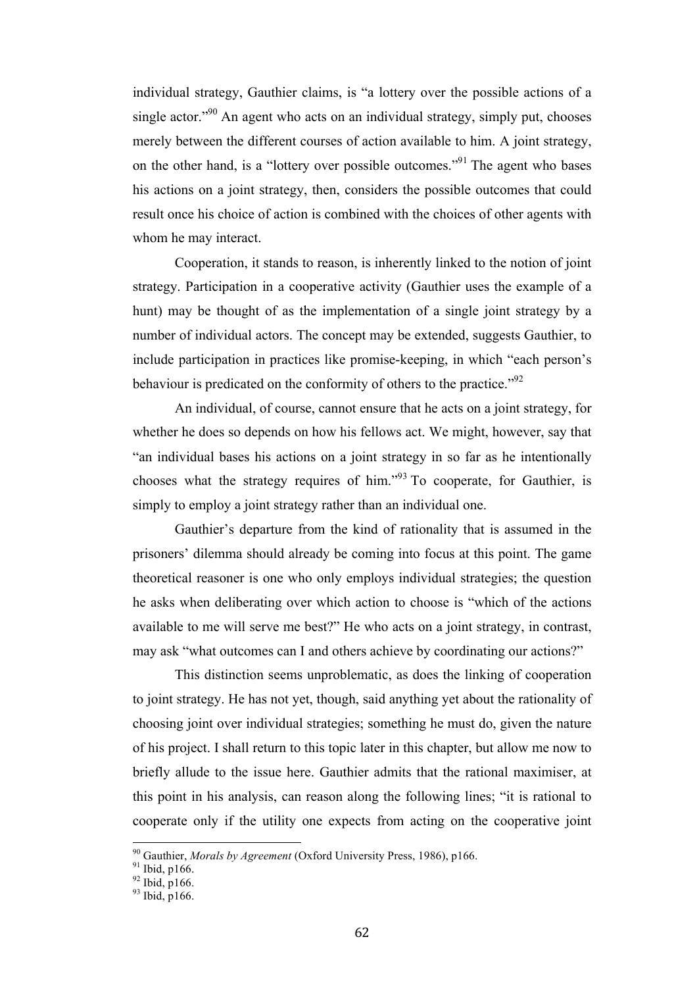individual strategy, Gauthier claims, is "a lottery over the possible actions of a single actor."<sup>90</sup> An agent who acts on an individual strategy, simply put, chooses merely between the different courses of action available to him. A joint strategy, on the other hand, is a "lottery over possible outcomes."91 The agent who bases his actions on a joint strategy, then, considers the possible outcomes that could result once his choice of action is combined with the choices of other agents with whom he may interact.

Cooperation, it stands to reason, is inherently linked to the notion of joint strategy. Participation in a cooperative activity (Gauthier uses the example of a hunt) may be thought of as the implementation of a single joint strategy by a number of individual actors. The concept may be extended, suggests Gauthier, to include participation in practices like promise-keeping, in which "each person's behaviour is predicated on the conformity of others to the practice.<sup>"92</sup>

An individual, of course, cannot ensure that he acts on a joint strategy, for whether he does so depends on how his fellows act. We might, however, say that "an individual bases his actions on a joint strategy in so far as he intentionally chooses what the strategy requires of him."<sup>93</sup> To cooperate, for Gauthier, is simply to employ a joint strategy rather than an individual one.

Gauthier's departure from the kind of rationality that is assumed in the prisoners' dilemma should already be coming into focus at this point. The game theoretical reasoner is one who only employs individual strategies; the question he asks when deliberating over which action to choose is "which of the actions available to me will serve me best?" He who acts on a joint strategy, in contrast, may ask "what outcomes can I and others achieve by coordinating our actions?"

This distinction seems unproblematic, as does the linking of cooperation to joint strategy. He has not yet, though, said anything yet about the rationality of choosing joint over individual strategies; something he must do, given the nature of his project. I shall return to this topic later in this chapter, but allow me now to briefly allude to the issue here. Gauthier admits that the rational maximiser, at this point in his analysis, can reason along the following lines; "it is rational to cooperate only if the utility one expects from acting on the cooperative joint

<sup>&</sup>lt;sup>90</sup> Gauthier, *Morals by Agreement* (Oxford University Press, 1986), p166.<br><sup>91</sup> Ibid, p166. <sup>92</sup> Ibid, p166. 93 Ibid. p166.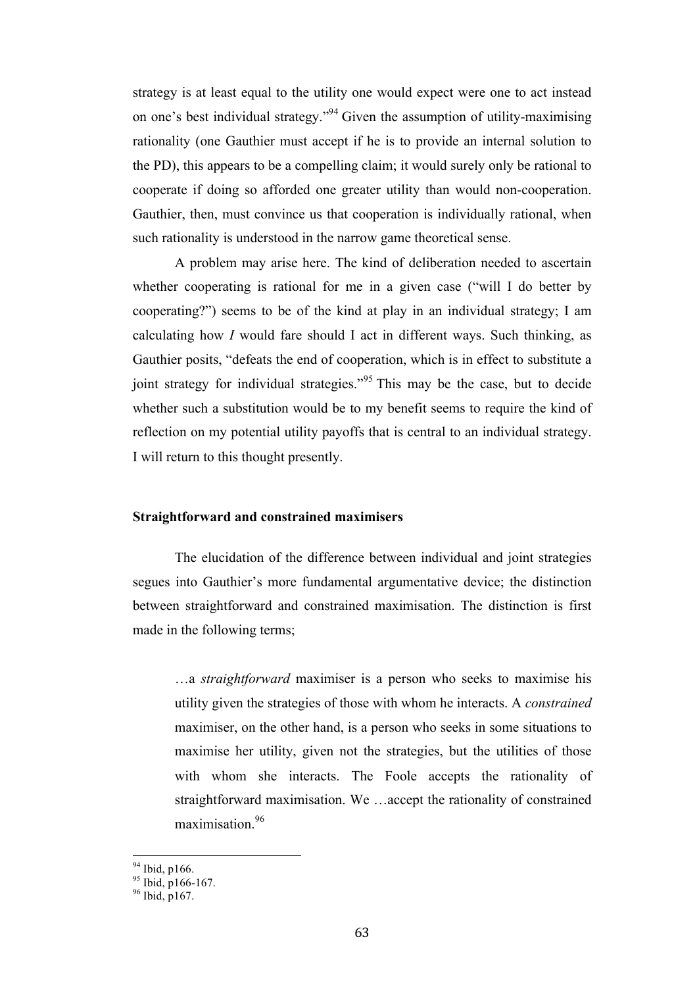strategy is at least equal to the utility one would expect were one to act instead on one's best individual strategy."<sup>94</sup> Given the assumption of utility-maximising rationality (one Gauthier must accept if he is to provide an internal solution to the PD), this appears to be a compelling claim; it would surely only be rational to cooperate if doing so afforded one greater utility than would non-cooperation. Gauthier, then, must convince us that cooperation is individually rational, when such rationality is understood in the narrow game theoretical sense.

A problem may arise here. The kind of deliberation needed to ascertain whether cooperating is rational for me in a given case ("will I do better by cooperating?") seems to be of the kind at play in an individual strategy; I am calculating how *I* would fare should I act in different ways. Such thinking, as Gauthier posits, "defeats the end of cooperation, which is in effect to substitute a joint strategy for individual strategies."<sup>95</sup> This may be the case, but to decide whether such a substitution would be to my benefit seems to require the kind of reflection on my potential utility payoffs that is central to an individual strategy. I will return to this thought presently.

## **Straightforward and constrained maximisers**

The elucidation of the difference between individual and joint strategies segues into Gauthier's more fundamental argumentative device; the distinction between straightforward and constrained maximisation. The distinction is first made in the following terms;

…a *straightforward* maximiser is a person who seeks to maximise his utility given the strategies of those with whom he interacts. A *constrained* maximiser, on the other hand, is a person who seeks in some situations to maximise her utility, given not the strategies, but the utilities of those with whom she interacts. The Foole accepts the rationality of straightforward maximisation. We …accept the rationality of constrained maximisation.<sup>96</sup>

<sup>&</sup>lt;sup>94</sup> Ibid, p166.<br><sup>95</sup> Ibid, p166-167.<br><sup>96</sup> Ibid, p167.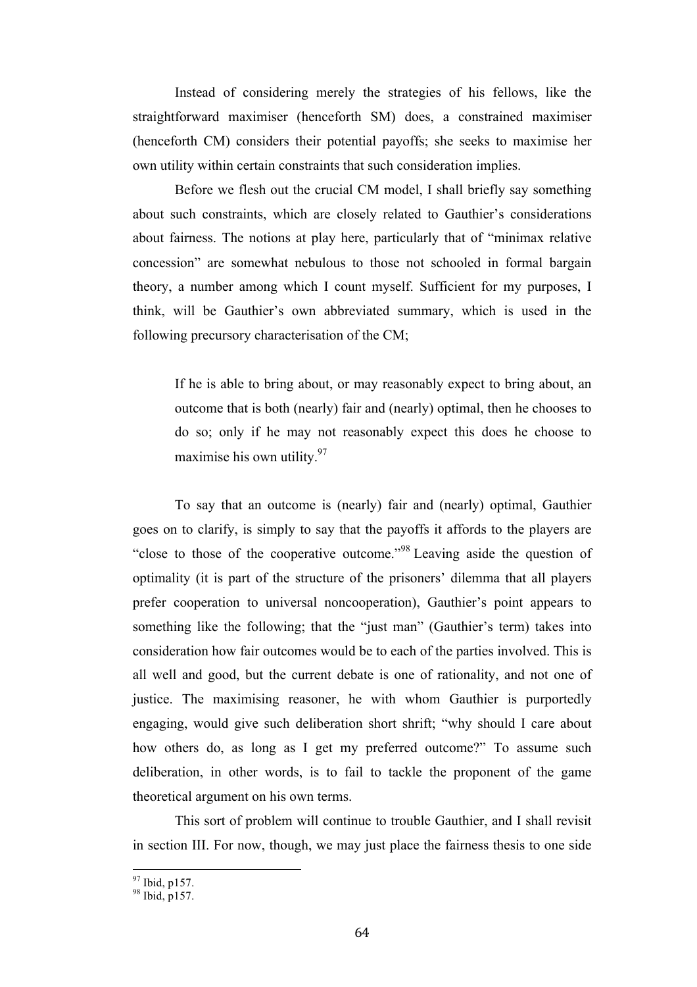Instead of considering merely the strategies of his fellows, like the straightforward maximiser (henceforth SM) does, a constrained maximiser (henceforth CM) considers their potential payoffs; she seeks to maximise her own utility within certain constraints that such consideration implies.

Before we flesh out the crucial CM model, I shall briefly say something about such constraints, which are closely related to Gauthier's considerations about fairness. The notions at play here, particularly that of "minimax relative concession" are somewhat nebulous to those not schooled in formal bargain theory, a number among which I count myself. Sufficient for my purposes, I think, will be Gauthier's own abbreviated summary, which is used in the following precursory characterisation of the CM;

If he is able to bring about, or may reasonably expect to bring about, an outcome that is both (nearly) fair and (nearly) optimal, then he chooses to do so; only if he may not reasonably expect this does he choose to maximise his own utility.<sup>97</sup>

To say that an outcome is (nearly) fair and (nearly) optimal, Gauthier goes on to clarify, is simply to say that the payoffs it affords to the players are "close to those of the cooperative outcome."<sup>98</sup> Leaving aside the question of optimality (it is part of the structure of the prisoners' dilemma that all players prefer cooperation to universal noncooperation), Gauthier's point appears to something like the following; that the "just man" (Gauthier's term) takes into consideration how fair outcomes would be to each of the parties involved. This is all well and good, but the current debate is one of rationality, and not one of justice. The maximising reasoner, he with whom Gauthier is purportedly engaging, would give such deliberation short shrift; "why should I care about how others do, as long as I get my preferred outcome?" To assume such deliberation, in other words, is to fail to tackle the proponent of the game theoretical argument on his own terms.

This sort of problem will continue to trouble Gauthier, and I shall revisit in section III. For now, though, we may just place the fairness thesis to one side

 $^{97}_{98}$  Ibid, p157.<br><sup>98</sup> Ibid, p157.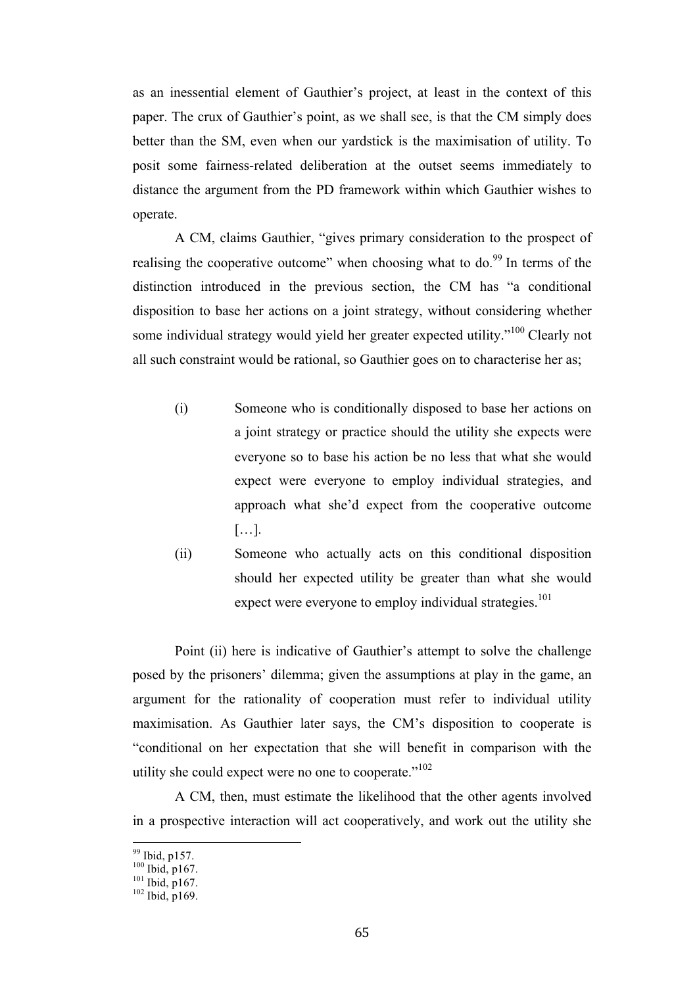as an inessential element of Gauthier's project, at least in the context of this paper. The crux of Gauthier's point, as we shall see, is that the CM simply does better than the SM, even when our yardstick is the maximisation of utility. To posit some fairness-related deliberation at the outset seems immediately to distance the argument from the PD framework within which Gauthier wishes to operate.

A CM, claims Gauthier, "gives primary consideration to the prospect of realising the cooperative outcome" when choosing what to  $\text{do.}^{99}$  In terms of the distinction introduced in the previous section, the CM has "a conditional disposition to base her actions on a joint strategy, without considering whether some individual strategy would yield her greater expected utility."<sup>100</sup> Clearly not all such constraint would be rational, so Gauthier goes on to characterise her as;

- (i) Someone who is conditionally disposed to base her actions on a joint strategy or practice should the utility she expects were everyone so to base his action be no less that what she would expect were everyone to employ individual strategies, and approach what she'd expect from the cooperative outcome […].
- (ii) Someone who actually acts on this conditional disposition should her expected utility be greater than what she would expect were everyone to employ individual strategies. $101$

Point (ii) here is indicative of Gauthier's attempt to solve the challenge posed by the prisoners' dilemma; given the assumptions at play in the game, an argument for the rationality of cooperation must refer to individual utility maximisation. As Gauthier later says, the CM's disposition to cooperate is "conditional on her expectation that she will benefit in comparison with the utility she could expect were no one to cooperate." $102$ 

A CM, then, must estimate the likelihood that the other agents involved in a prospective interaction will act cooperatively, and work out the utility she

<sup>99</sup> Ibid, p157.<br><sup>100</sup> Ibid, p167.<br><sup>101</sup> Ibid, p167. 102 Ibid, p169.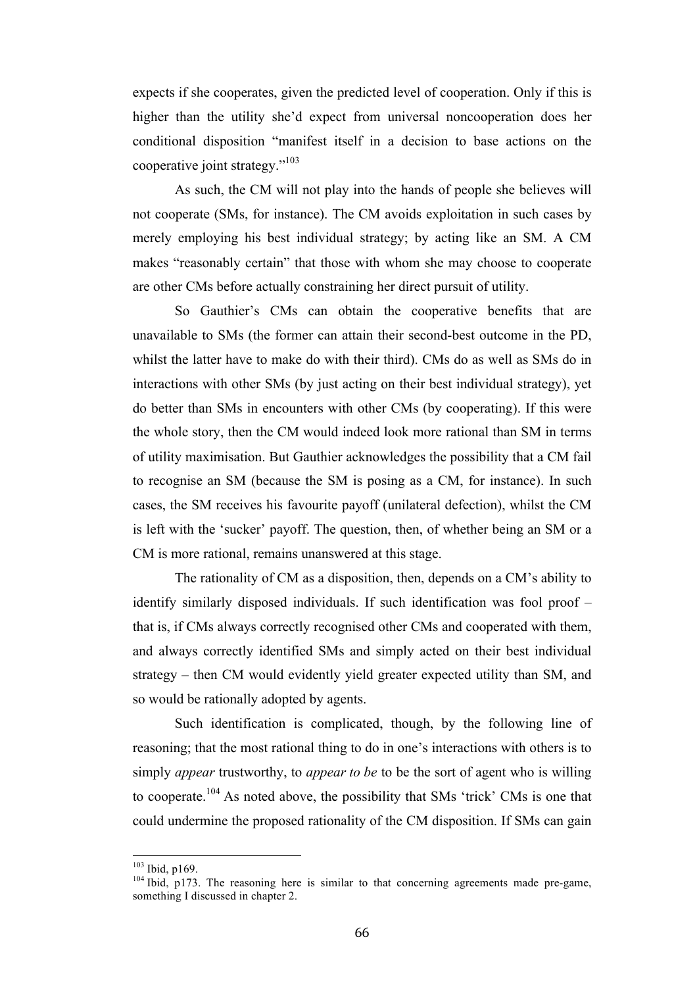expects if she cooperates, given the predicted level of cooperation. Only if this is higher than the utility she'd expect from universal noncooperation does her conditional disposition "manifest itself in a decision to base actions on the cooperative joint strategy."<sup>103</sup>

As such, the CM will not play into the hands of people she believes will not cooperate (SMs, for instance). The CM avoids exploitation in such cases by merely employing his best individual strategy; by acting like an SM. A CM makes "reasonably certain" that those with whom she may choose to cooperate are other CMs before actually constraining her direct pursuit of utility.

So Gauthier's CMs can obtain the cooperative benefits that are unavailable to SMs (the former can attain their second-best outcome in the PD, whilst the latter have to make do with their third). CMs do as well as SMs do in interactions with other SMs (by just acting on their best individual strategy), yet do better than SMs in encounters with other CMs (by cooperating). If this were the whole story, then the CM would indeed look more rational than SM in terms of utility maximisation. But Gauthier acknowledges the possibility that a CM fail to recognise an SM (because the SM is posing as a CM, for instance). In such cases, the SM receives his favourite payoff (unilateral defection), whilst the CM is left with the 'sucker' payoff. The question, then, of whether being an SM or a CM is more rational, remains unanswered at this stage.

The rationality of CM as a disposition, then, depends on a CM's ability to identify similarly disposed individuals. If such identification was fool proof – that is, if CMs always correctly recognised other CMs and cooperated with them, and always correctly identified SMs and simply acted on their best individual strategy – then CM would evidently yield greater expected utility than SM, and so would be rationally adopted by agents.

Such identification is complicated, though, by the following line of reasoning; that the most rational thing to do in one's interactions with others is to simply *appear* trustworthy, to *appear to be* to be the sort of agent who is willing to cooperate.<sup>104</sup> As noted above, the possibility that SMs 'trick' CMs is one that could undermine the proposed rationality of the CM disposition. If SMs can gain

<sup>&</sup>lt;sup>103</sup> Ibid, p169.<br><sup>104</sup> Ibid, p173. The reasoning here is similar to that concerning agreements made pre-game, something I discussed in chapter 2.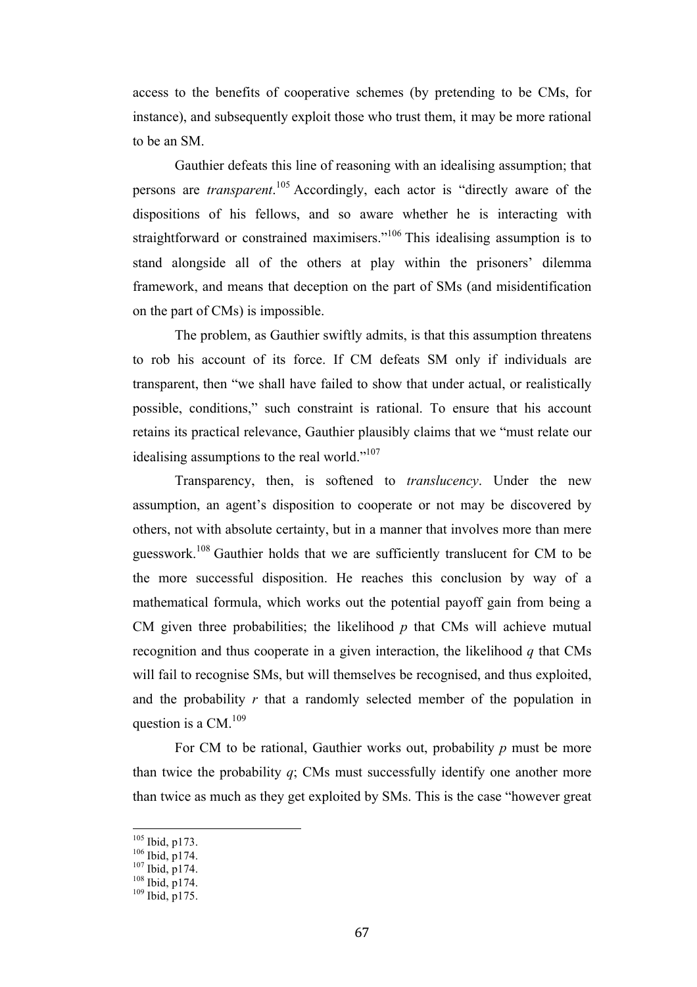access to the benefits of cooperative schemes (by pretending to be CMs, for instance), and subsequently exploit those who trust them, it may be more rational to be an SM.

Gauthier defeats this line of reasoning with an idealising assumption; that persons are *transparent*. <sup>105</sup> Accordingly, each actor is "directly aware of the dispositions of his fellows, and so aware whether he is interacting with straightforward or constrained maximisers."<sup>106</sup> This idealising assumption is to stand alongside all of the others at play within the prisoners' dilemma framework, and means that deception on the part of SMs (and misidentification on the part of CMs) is impossible.

The problem, as Gauthier swiftly admits, is that this assumption threatens to rob his account of its force. If CM defeats SM only if individuals are transparent, then "we shall have failed to show that under actual, or realistically possible, conditions," such constraint is rational. To ensure that his account retains its practical relevance, Gauthier plausibly claims that we "must relate our idealising assumptions to the real world."<sup>107</sup>

Transparency, then, is softened to *translucency*. Under the new assumption, an agent's disposition to cooperate or not may be discovered by others, not with absolute certainty, but in a manner that involves more than mere guesswork.<sup>108</sup> Gauthier holds that we are sufficiently translucent for CM to be the more successful disposition. He reaches this conclusion by way of a mathematical formula, which works out the potential payoff gain from being a CM given three probabilities; the likelihood  $p$  that CMs will achieve mutual recognition and thus cooperate in a given interaction, the likelihood *q* that CMs will fail to recognise SMs, but will themselves be recognised, and thus exploited, and the probability *r* that a randomly selected member of the population in question is a  $CM<sup>109</sup>$ 

For CM to be rational, Gauthier works out, probability *p* must be more than twice the probability  $q$ ; CMs must successfully identify one another more than twice as much as they get exploited by SMs. This is the case "however great

<sup>&</sup>lt;sup>105</sup> Ibid, p173.<br><sup>106</sup> Ibid, p174.<br><sup>107</sup> Ibid, p174.<br><sup>109</sup> Ibid, p175.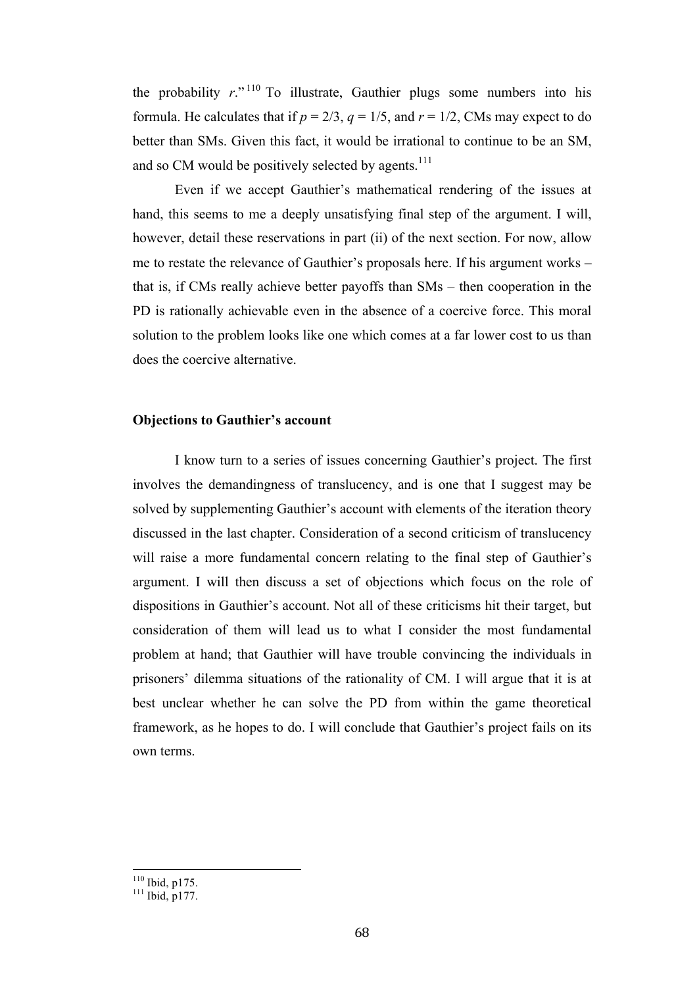the probability  $r^{(n+1)}$ . To illustrate, Gauthier plugs some numbers into his formula. He calculates that if  $p = 2/3$ ,  $q = 1/5$ , and  $r = 1/2$ , CMs may expect to do better than SMs. Given this fact, it would be irrational to continue to be an SM, and so CM would be positively selected by agents.<sup>111</sup>

Even if we accept Gauthier's mathematical rendering of the issues at hand, this seems to me a deeply unsatisfying final step of the argument. I will, however, detail these reservations in part (ii) of the next section. For now, allow me to restate the relevance of Gauthier's proposals here. If his argument works – that is, if CMs really achieve better payoffs than SMs – then cooperation in the PD is rationally achievable even in the absence of a coercive force. This moral solution to the problem looks like one which comes at a far lower cost to us than does the coercive alternative.

## **Objections to Gauthier's account**

I know turn to a series of issues concerning Gauthier's project. The first involves the demandingness of translucency, and is one that I suggest may be solved by supplementing Gauthier's account with elements of the iteration theory discussed in the last chapter. Consideration of a second criticism of translucency will raise a more fundamental concern relating to the final step of Gauthier's argument. I will then discuss a set of objections which focus on the role of dispositions in Gauthier's account. Not all of these criticisms hit their target, but consideration of them will lead us to what I consider the most fundamental problem at hand; that Gauthier will have trouble convincing the individuals in prisoners' dilemma situations of the rationality of CM. I will argue that it is at best unclear whether he can solve the PD from within the game theoretical framework, as he hopes to do. I will conclude that Gauthier's project fails on its own terms.

 $\frac{^{110}}{^{111}}$  Ibid, p175.<br> $\frac{^{111}}{^{111}}$  Ibid, p177.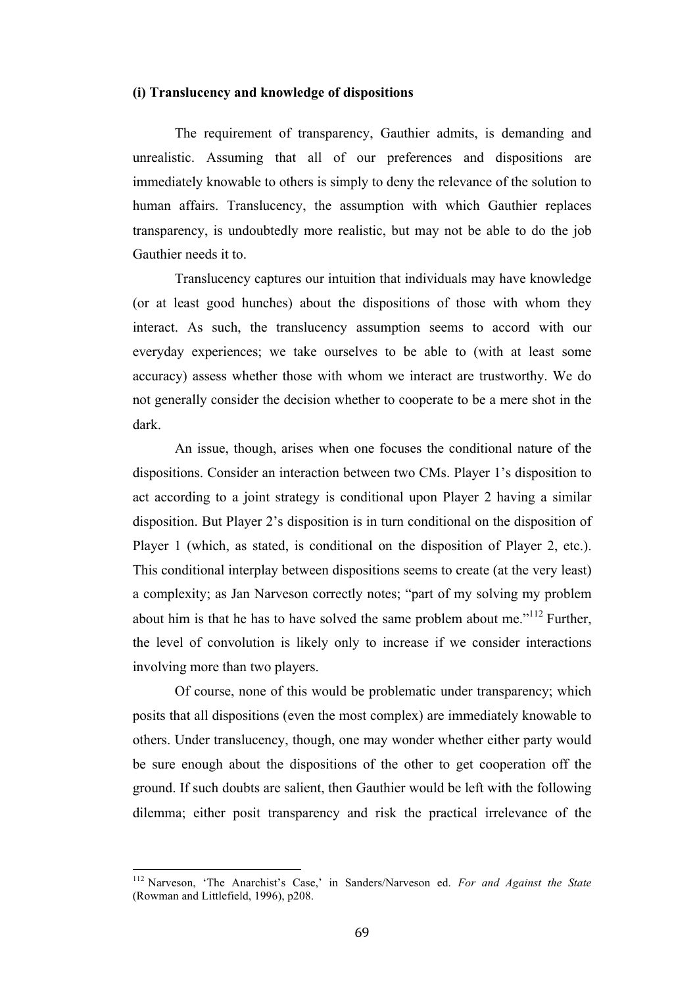### **(i) Translucency and knowledge of dispositions**

The requirement of transparency, Gauthier admits, is demanding and unrealistic. Assuming that all of our preferences and dispositions are immediately knowable to others is simply to deny the relevance of the solution to human affairs. Translucency, the assumption with which Gauthier replaces transparency, is undoubtedly more realistic, but may not be able to do the job Gauthier needs it to.

Translucency captures our intuition that individuals may have knowledge (or at least good hunches) about the dispositions of those with whom they interact. As such, the translucency assumption seems to accord with our everyday experiences; we take ourselves to be able to (with at least some accuracy) assess whether those with whom we interact are trustworthy. We do not generally consider the decision whether to cooperate to be a mere shot in the dark.

An issue, though, arises when one focuses the conditional nature of the dispositions. Consider an interaction between two CMs. Player 1's disposition to act according to a joint strategy is conditional upon Player 2 having a similar disposition. But Player 2's disposition is in turn conditional on the disposition of Player 1 (which, as stated, is conditional on the disposition of Player 2, etc.). This conditional interplay between dispositions seems to create (at the very least) a complexity; as Jan Narveson correctly notes; "part of my solving my problem about him is that he has to have solved the same problem about me."<sup>112</sup> Further, the level of convolution is likely only to increase if we consider interactions involving more than two players.

Of course, none of this would be problematic under transparency; which posits that all dispositions (even the most complex) are immediately knowable to others. Under translucency, though, one may wonder whether either party would be sure enough about the dispositions of the other to get cooperation off the ground. If such doubts are salient, then Gauthier would be left with the following dilemma; either posit transparency and risk the practical irrelevance of the

<sup>&</sup>lt;sup>112</sup> Narveson, 'The Anarchist's Case,' in Sanders/Narveson ed. For and Against the State (Rowman and Littlefield, 1996), p208.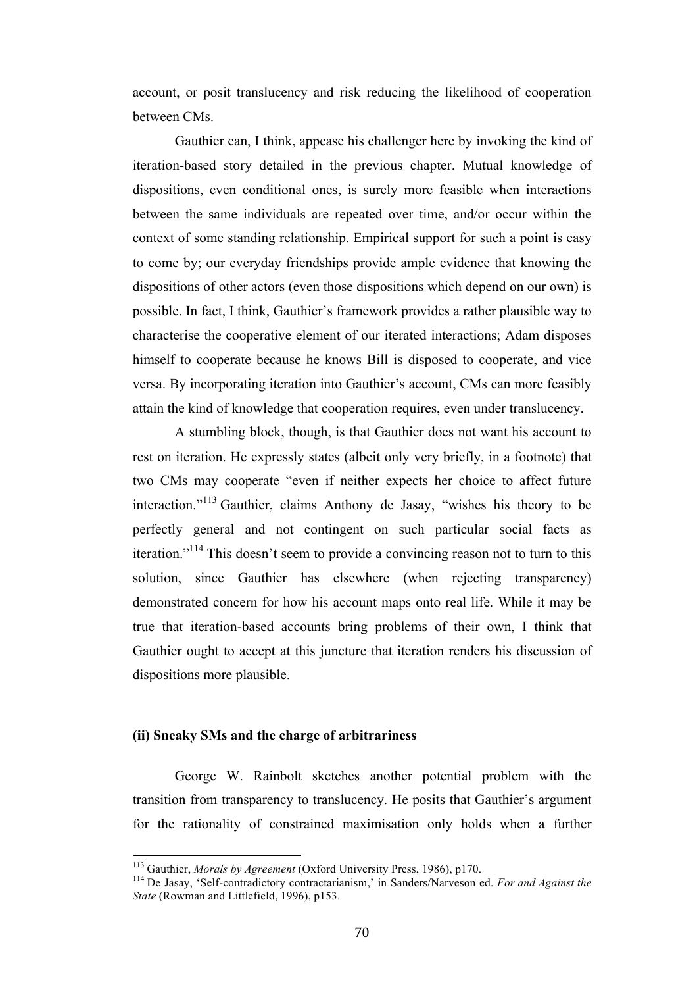account, or posit translucency and risk reducing the likelihood of cooperation between CMs.

Gauthier can, I think, appease his challenger here by invoking the kind of iteration-based story detailed in the previous chapter. Mutual knowledge of dispositions, even conditional ones, is surely more feasible when interactions between the same individuals are repeated over time, and/or occur within the context of some standing relationship. Empirical support for such a point is easy to come by; our everyday friendships provide ample evidence that knowing the dispositions of other actors (even those dispositions which depend on our own) is possible. In fact, I think, Gauthier's framework provides a rather plausible way to characterise the cooperative element of our iterated interactions; Adam disposes himself to cooperate because he knows Bill is disposed to cooperate, and vice versa. By incorporating iteration into Gauthier's account, CMs can more feasibly attain the kind of knowledge that cooperation requires, even under translucency.

A stumbling block, though, is that Gauthier does not want his account to rest on iteration. He expressly states (albeit only very briefly, in a footnote) that two CMs may cooperate "even if neither expects her choice to affect future interaction."<sup>113</sup> Gauthier, claims Anthony de Jasay, "wishes his theory to be perfectly general and not contingent on such particular social facts as iteration."114 This doesn't seem to provide a convincing reason not to turn to this solution, since Gauthier has elsewhere (when rejecting transparency) demonstrated concern for how his account maps onto real life. While it may be true that iteration-based accounts bring problems of their own, I think that Gauthier ought to accept at this juncture that iteration renders his discussion of dispositions more plausible.

# **(ii) Sneaky SMs and the charge of arbitrariness**

George W. Rainbolt sketches another potential problem with the transition from transparency to translucency. He posits that Gauthier's argument for the rationality of constrained maximisation only holds when a further

<sup>&</sup>lt;sup>113</sup> Gauthier, *Morals by Agreement* (Oxford University Press, 1986), p170.<br><sup>114</sup> De Jasay, 'Self-contradictory contractarianism,' in Sanders/Narveson ed. *For and Against the State* (Rowman and Littlefield, 1996), p153.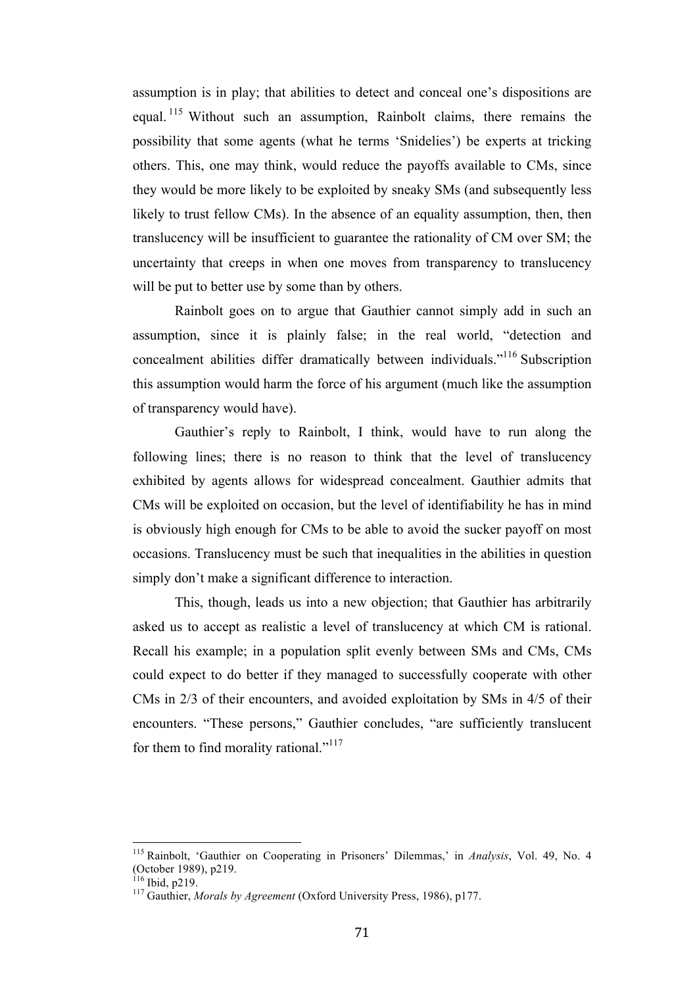assumption is in play; that abilities to detect and conceal one's dispositions are equal. <sup>115</sup> Without such an assumption, Rainbolt claims, there remains the possibility that some agents (what he terms 'Snidelies') be experts at tricking others. This, one may think, would reduce the payoffs available to CMs, since they would be more likely to be exploited by sneaky SMs (and subsequently less likely to trust fellow CMs). In the absence of an equality assumption, then, then translucency will be insufficient to guarantee the rationality of CM over SM; the uncertainty that creeps in when one moves from transparency to translucency will be put to better use by some than by others.

Rainbolt goes on to argue that Gauthier cannot simply add in such an assumption, since it is plainly false; in the real world, "detection and concealment abilities differ dramatically between individuals."<sup>116</sup> Subscription this assumption would harm the force of his argument (much like the assumption of transparency would have).

Gauthier's reply to Rainbolt, I think, would have to run along the following lines; there is no reason to think that the level of translucency exhibited by agents allows for widespread concealment. Gauthier admits that CMs will be exploited on occasion, but the level of identifiability he has in mind is obviously high enough for CMs to be able to avoid the sucker payoff on most occasions. Translucency must be such that inequalities in the abilities in question simply don't make a significant difference to interaction.

This, though, leads us into a new objection; that Gauthier has arbitrarily asked us to accept as realistic a level of translucency at which CM is rational. Recall his example; in a population split evenly between SMs and CMs, CMs could expect to do better if they managed to successfully cooperate with other CMs in 2/3 of their encounters, and avoided exploitation by SMs in 4/5 of their encounters. "These persons," Gauthier concludes, "are sufficiently translucent for them to find morality rational."<sup>117</sup>

<sup>&</sup>lt;sup>115</sup> Rainbolt, 'Gauthier on Cooperating in Prisoners' Dilemmas,' in *Analysis*, Vol. 49, No. 4 (October 1989), p219.

<sup>116</sup> Ibid, p219. <sup>117</sup> Gauthier, *Morals by Agreement* (Oxford University Press, 1986), p177.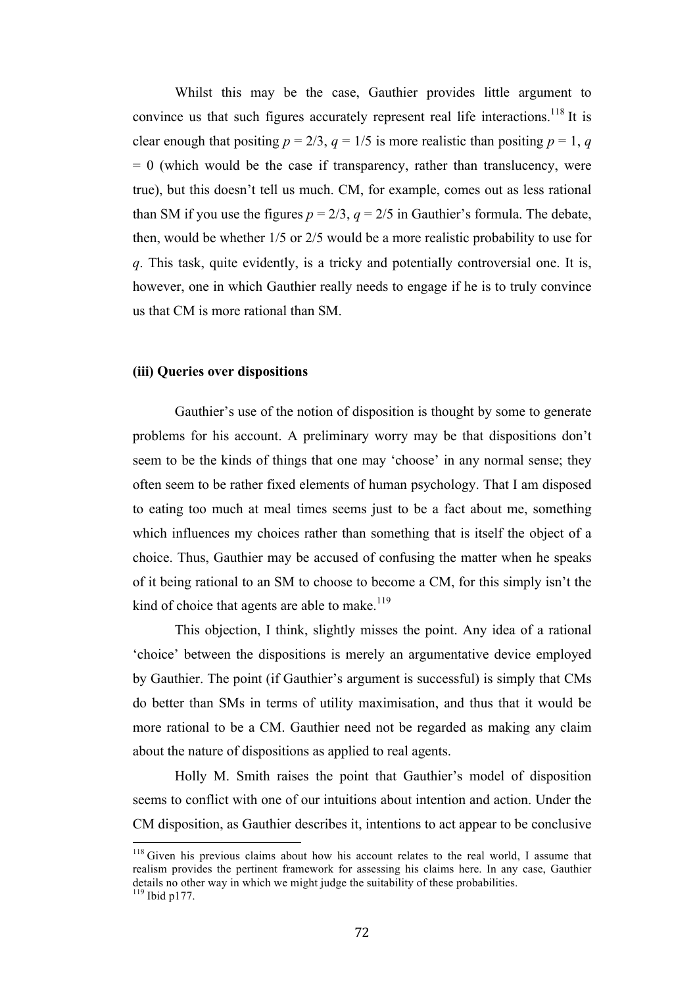Whilst this may be the case, Gauthier provides little argument to convince us that such figures accurately represent real life interactions.<sup>118</sup> It is clear enough that positing  $p = 2/3$ ,  $q = 1/5$  is more realistic than positing  $p = 1$ , q  $= 0$  (which would be the case if transparency, rather than translucency, were true), but this doesn't tell us much. CM, for example, comes out as less rational than SM if you use the figures  $p = 2/3$ ,  $q = 2/5$  in Gauthier's formula. The debate, then, would be whether 1/5 or 2/5 would be a more realistic probability to use for *q*. This task, quite evidently, is a tricky and potentially controversial one. It is, however, one in which Gauthier really needs to engage if he is to truly convince us that CM is more rational than SM.

## **(iii) Queries over dispositions**

Gauthier's use of the notion of disposition is thought by some to generate problems for his account. A preliminary worry may be that dispositions don't seem to be the kinds of things that one may 'choose' in any normal sense; they often seem to be rather fixed elements of human psychology. That I am disposed to eating too much at meal times seems just to be a fact about me, something which influences my choices rather than something that is itself the object of a choice. Thus, Gauthier may be accused of confusing the matter when he speaks of it being rational to an SM to choose to become a CM, for this simply isn't the kind of choice that agents are able to make. $119$ 

This objection, I think, slightly misses the point. Any idea of a rational 'choice' between the dispositions is merely an argumentative device employed by Gauthier. The point (if Gauthier's argument is successful) is simply that CMs do better than SMs in terms of utility maximisation, and thus that it would be more rational to be a CM. Gauthier need not be regarded as making any claim about the nature of dispositions as applied to real agents.

Holly M. Smith raises the point that Gauthier's model of disposition seems to conflict with one of our intuitions about intention and action. Under the CM disposition, as Gauthier describes it, intentions to act appear to be conclusive

 $118$  Given his previous claims about how his account relates to the real world, I assume that realism provides the pertinent framework for assessing his claims here. In any case, Gauthier details no other way in which we might judge the suitability of these probabilities.  $119$  Ibid p177.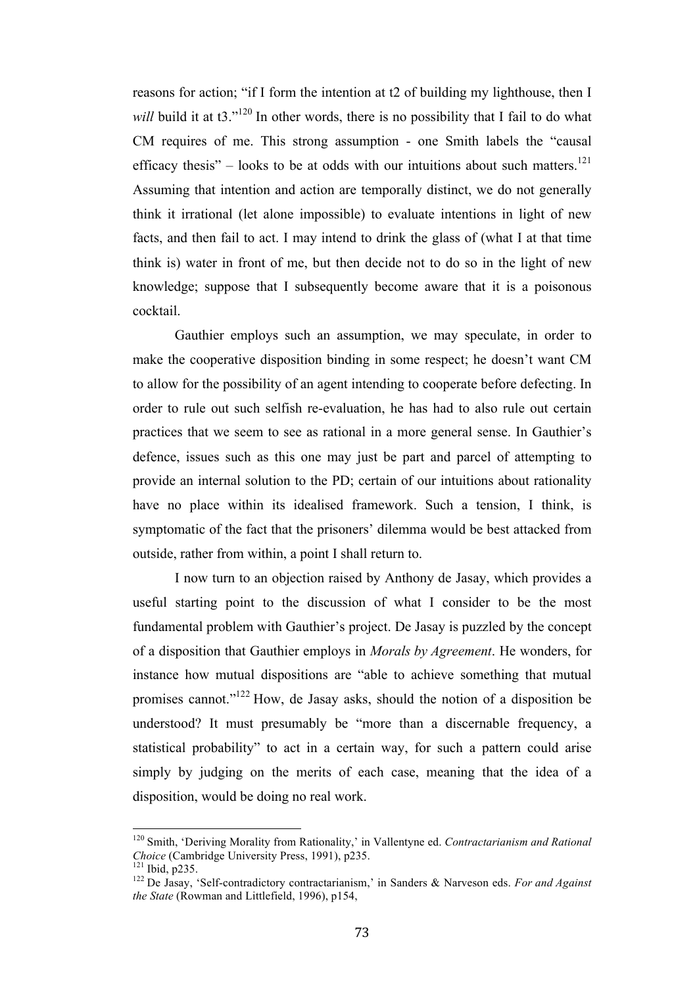reasons for action; "if I form the intention at t2 of building my lighthouse, then I *will* build it at t3.<sup>"120</sup> In other words, there is no possibility that I fail to do what CM requires of me. This strong assumption - one Smith labels the "causal efficacy thesis" – looks to be at odds with our intuitions about such matters.<sup>121</sup> Assuming that intention and action are temporally distinct, we do not generally think it irrational (let alone impossible) to evaluate intentions in light of new facts, and then fail to act. I may intend to drink the glass of (what I at that time think is) water in front of me, but then decide not to do so in the light of new knowledge; suppose that I subsequently become aware that it is a poisonous cocktail.

Gauthier employs such an assumption, we may speculate, in order to make the cooperative disposition binding in some respect; he doesn't want CM to allow for the possibility of an agent intending to cooperate before defecting. In order to rule out such selfish re-evaluation, he has had to also rule out certain practices that we seem to see as rational in a more general sense. In Gauthier's defence, issues such as this one may just be part and parcel of attempting to provide an internal solution to the PD; certain of our intuitions about rationality have no place within its idealised framework. Such a tension, I think, is symptomatic of the fact that the prisoners' dilemma would be best attacked from outside, rather from within, a point I shall return to.

I now turn to an objection raised by Anthony de Jasay, which provides a useful starting point to the discussion of what I consider to be the most fundamental problem with Gauthier's project. De Jasay is puzzled by the concept of a disposition that Gauthier employs in *Morals by Agreement*. He wonders, for instance how mutual dispositions are "able to achieve something that mutual promises cannot."122 How, de Jasay asks, should the notion of a disposition be understood? It must presumably be "more than a discernable frequency, a statistical probability" to act in a certain way, for such a pattern could arise simply by judging on the merits of each case, meaning that the idea of a disposition, would be doing no real work.

<sup>&</sup>lt;sup>120</sup> Smith, 'Deriving Morality from Rationality,' in Vallentyne ed. *Contractarianism and Rational Choice* (Cambridge University Press, 1991), p235.

*Choice* (Cambridge University Press, 1991), p235. <sup>121</sup> Ibid, p235. <sup>122</sup> De Jasay, 'Self-contradictory contractarianism,' in Sanders & Narveson eds. *For and Against the State* (Rowman and Littlefield, 1996), p154,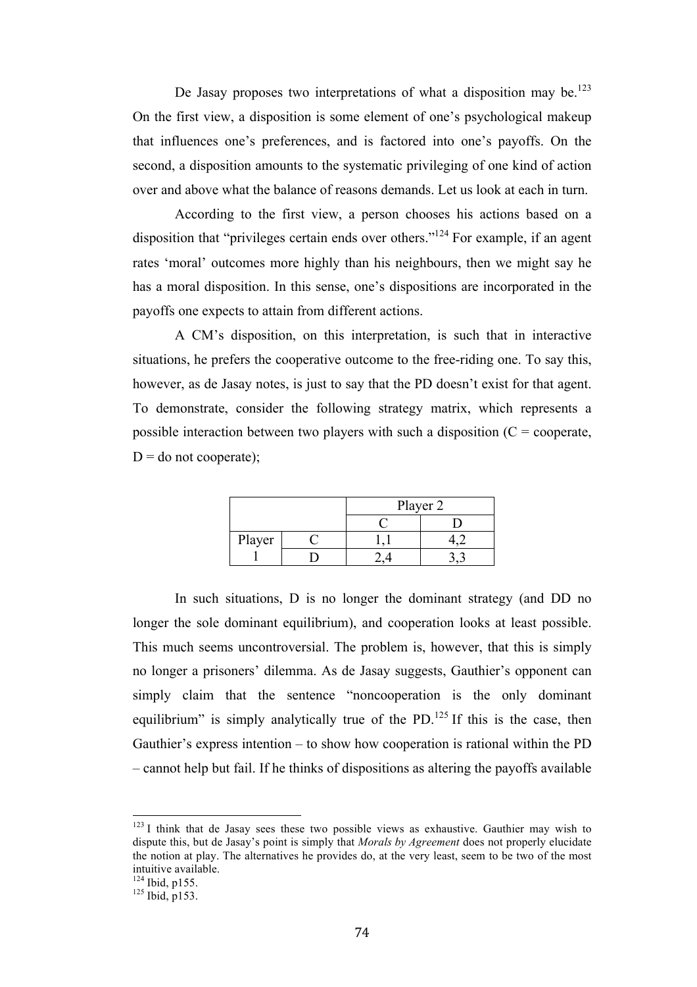De Jasay proposes two interpretations of what a disposition may be.<sup>123</sup> On the first view, a disposition is some element of one's psychological makeup that influences one's preferences, and is factored into one's payoffs. On the second, a disposition amounts to the systematic privileging of one kind of action over and above what the balance of reasons demands. Let us look at each in turn.

According to the first view, a person chooses his actions based on a disposition that "privileges certain ends over others."124 For example, if an agent rates 'moral' outcomes more highly than his neighbours, then we might say he has a moral disposition. In this sense, one's dispositions are incorporated in the payoffs one expects to attain from different actions.

A CM's disposition, on this interpretation, is such that in interactive situations, he prefers the cooperative outcome to the free-riding one. To say this, however, as de Jasay notes, is just to say that the PD doesn't exist for that agent. To demonstrate, consider the following strategy matrix, which represents a possible interaction between two players with such a disposition  $(C =$  cooperate,  $D =$  do not cooperate);

|        |  | Player 2 |  |
|--------|--|----------|--|
|        |  |          |  |
| Player |  |          |  |
|        |  |          |  |

In such situations, D is no longer the dominant strategy (and DD no longer the sole dominant equilibrium), and cooperation looks at least possible. This much seems uncontroversial. The problem is, however, that this is simply no longer a prisoners' dilemma. As de Jasay suggests, Gauthier's opponent can simply claim that the sentence "noncooperation is the only dominant equilibrium" is simply analytically true of the PD.<sup>125</sup> If this is the case, then Gauthier's express intention – to show how cooperation is rational within the PD – cannot help but fail. If he thinks of dispositions as altering the payoffs available

 $123$  I think that de Jasay sees these two possible views as exhaustive. Gauthier may wish to dispute this, but de Jasay's point is simply that *Morals by Agreement* does not properly elucidate the notion at play. The alternatives he provides do, at the very least, seem to be two of the most intuitive available.

 $\frac{124}{125}$  Ibid, p155.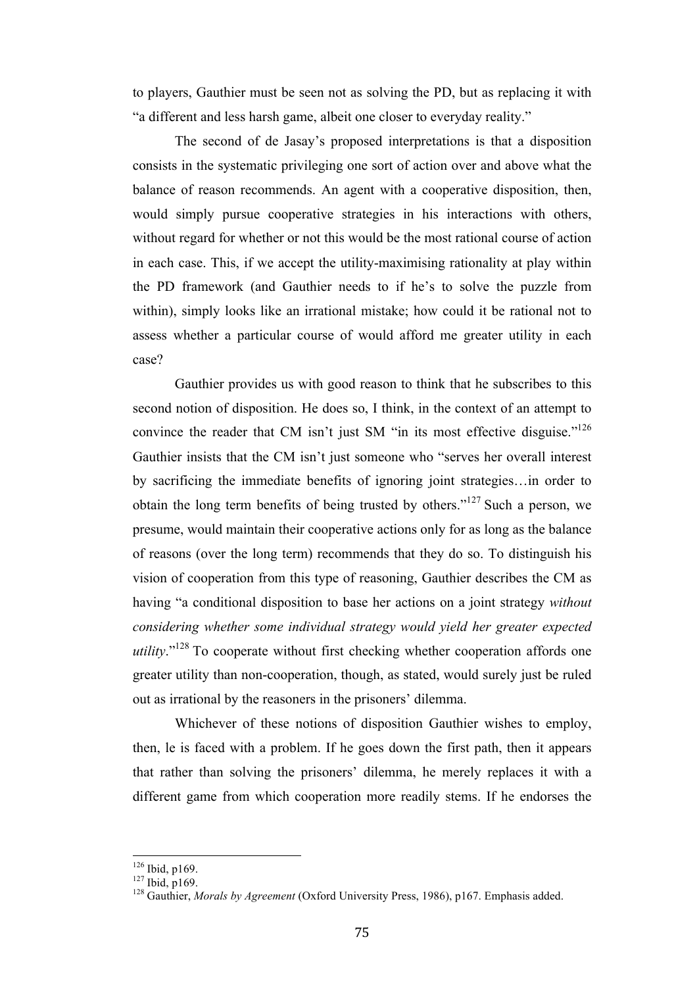to players, Gauthier must be seen not as solving the PD, but as replacing it with "a different and less harsh game, albeit one closer to everyday reality."

The second of de Jasay's proposed interpretations is that a disposition consists in the systematic privileging one sort of action over and above what the balance of reason recommends. An agent with a cooperative disposition, then, would simply pursue cooperative strategies in his interactions with others, without regard for whether or not this would be the most rational course of action in each case. This, if we accept the utility-maximising rationality at play within the PD framework (and Gauthier needs to if he's to solve the puzzle from within), simply looks like an irrational mistake; how could it be rational not to assess whether a particular course of would afford me greater utility in each case?

Gauthier provides us with good reason to think that he subscribes to this second notion of disposition. He does so, I think, in the context of an attempt to convince the reader that CM isn't just SM "in its most effective disguise."<sup>126</sup> Gauthier insists that the CM isn't just someone who "serves her overall interest by sacrificing the immediate benefits of ignoring joint strategies…in order to obtain the long term benefits of being trusted by others."<sup>127</sup> Such a person, we presume, would maintain their cooperative actions only for as long as the balance of reasons (over the long term) recommends that they do so. To distinguish his vision of cooperation from this type of reasoning, Gauthier describes the CM as having "a conditional disposition to base her actions on a joint strategy *without considering whether some individual strategy would yield her greater expected utility*."128 To cooperate without first checking whether cooperation affords one greater utility than non-cooperation, though, as stated, would surely just be ruled out as irrational by the reasoners in the prisoners' dilemma.

Whichever of these notions of disposition Gauthier wishes to employ, then, le is faced with a problem. If he goes down the first path, then it appears that rather than solving the prisoners' dilemma, he merely replaces it with a different game from which cooperation more readily stems. If he endorses the

<sup>&</sup>lt;sup>126</sup> Ibid, p169.<br><sup>127</sup> Ibid, p169.<br><sup>128</sup> Gauthier, *Morals by Agreement* (Oxford University Press, 1986), p167. Emphasis added.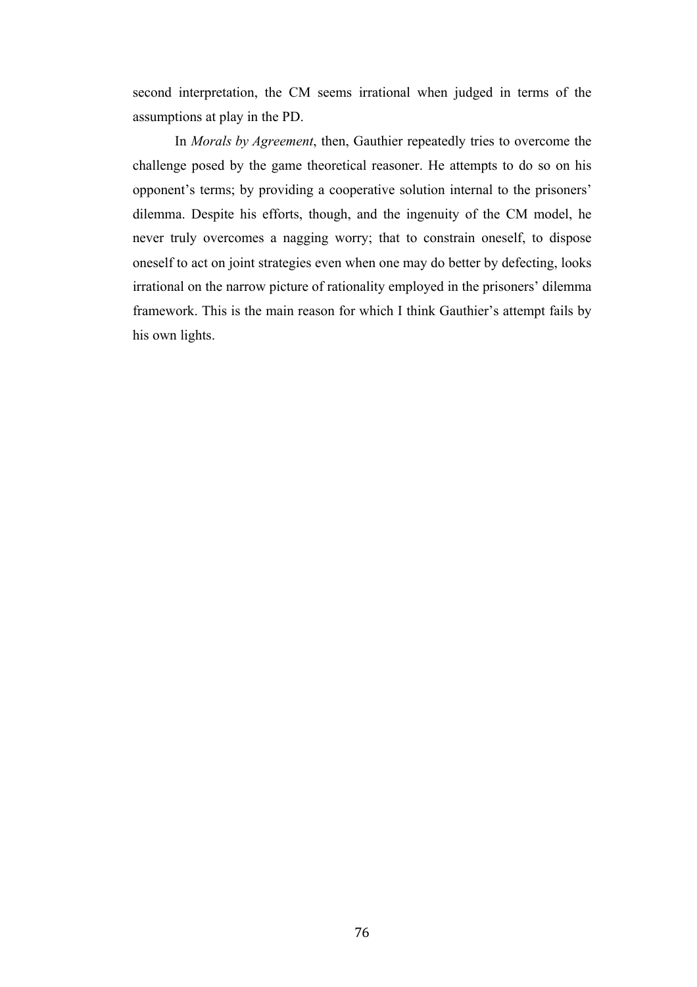second interpretation, the CM seems irrational when judged in terms of the assumptions at play in the PD.

In *Morals by Agreement*, then, Gauthier repeatedly tries to overcome the challenge posed by the game theoretical reasoner. He attempts to do so on his opponent's terms; by providing a cooperative solution internal to the prisoners' dilemma. Despite his efforts, though, and the ingenuity of the CM model, he never truly overcomes a nagging worry; that to constrain oneself, to dispose oneself to act on joint strategies even when one may do better by defecting, looks irrational on the narrow picture of rationality employed in the prisoners' dilemma framework. This is the main reason for which I think Gauthier's attempt fails by his own lights.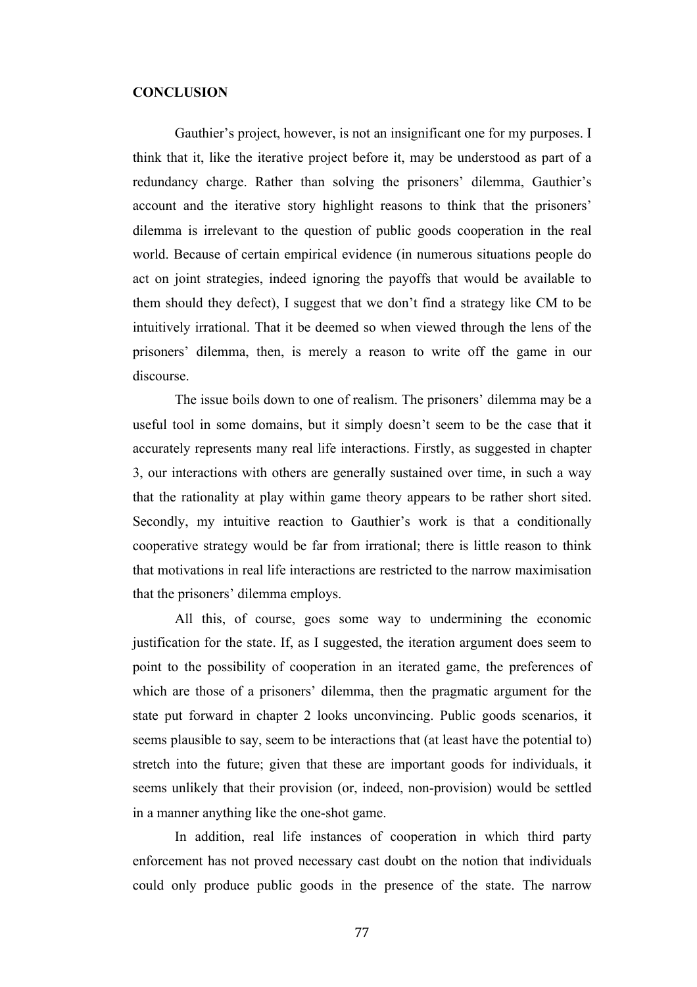## **CONCLUSION**

Gauthier's project, however, is not an insignificant one for my purposes. I think that it, like the iterative project before it, may be understood as part of a redundancy charge. Rather than solving the prisoners' dilemma, Gauthier's account and the iterative story highlight reasons to think that the prisoners' dilemma is irrelevant to the question of public goods cooperation in the real world. Because of certain empirical evidence (in numerous situations people do act on joint strategies, indeed ignoring the payoffs that would be available to them should they defect), I suggest that we don't find a strategy like CM to be intuitively irrational. That it be deemed so when viewed through the lens of the prisoners' dilemma, then, is merely a reason to write off the game in our discourse.

The issue boils down to one of realism. The prisoners' dilemma may be a useful tool in some domains, but it simply doesn't seem to be the case that it accurately represents many real life interactions. Firstly, as suggested in chapter 3, our interactions with others are generally sustained over time, in such a way that the rationality at play within game theory appears to be rather short sited. Secondly, my intuitive reaction to Gauthier's work is that a conditionally cooperative strategy would be far from irrational; there is little reason to think that motivations in real life interactions are restricted to the narrow maximisation that the prisoners' dilemma employs.

All this, of course, goes some way to undermining the economic justification for the state. If, as I suggested, the iteration argument does seem to point to the possibility of cooperation in an iterated game, the preferences of which are those of a prisoners' dilemma, then the pragmatic argument for the state put forward in chapter 2 looks unconvincing. Public goods scenarios, it seems plausible to say, seem to be interactions that (at least have the potential to) stretch into the future; given that these are important goods for individuals, it seems unlikely that their provision (or, indeed, non-provision) would be settled in a manner anything like the one-shot game.

In addition, real life instances of cooperation in which third party enforcement has not proved necessary cast doubt on the notion that individuals could only produce public goods in the presence of the state. The narrow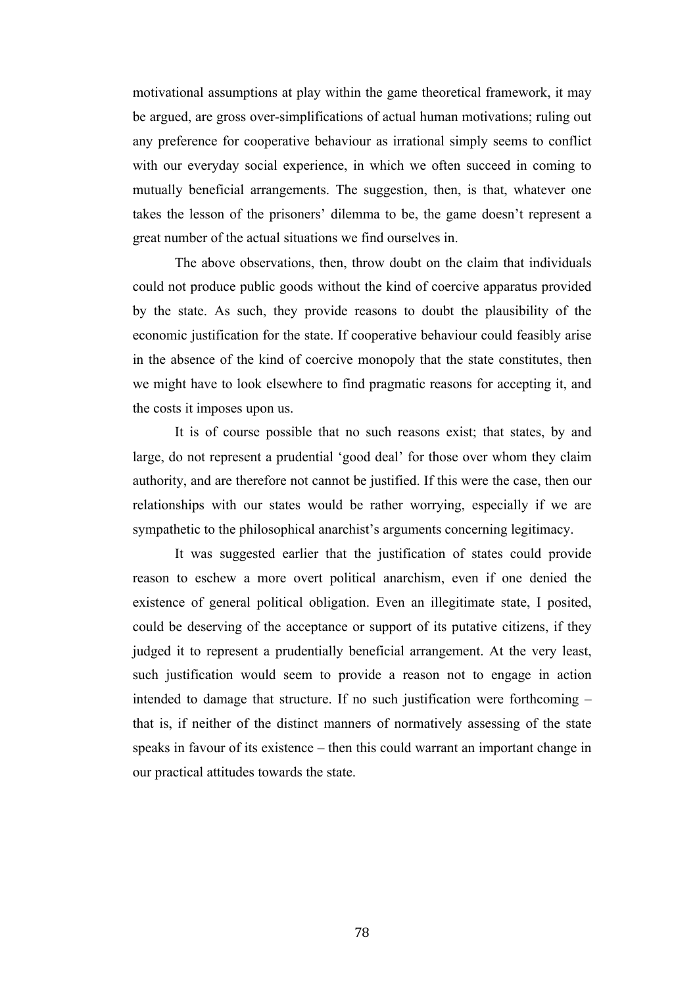motivational assumptions at play within the game theoretical framework, it may be argued, are gross over-simplifications of actual human motivations; ruling out any preference for cooperative behaviour as irrational simply seems to conflict with our everyday social experience, in which we often succeed in coming to mutually beneficial arrangements. The suggestion, then, is that, whatever one takes the lesson of the prisoners' dilemma to be, the game doesn't represent a great number of the actual situations we find ourselves in.

The above observations, then, throw doubt on the claim that individuals could not produce public goods without the kind of coercive apparatus provided by the state. As such, they provide reasons to doubt the plausibility of the economic justification for the state. If cooperative behaviour could feasibly arise in the absence of the kind of coercive monopoly that the state constitutes, then we might have to look elsewhere to find pragmatic reasons for accepting it, and the costs it imposes upon us.

It is of course possible that no such reasons exist; that states, by and large, do not represent a prudential 'good deal' for those over whom they claim authority, and are therefore not cannot be justified. If this were the case, then our relationships with our states would be rather worrying, especially if we are sympathetic to the philosophical anarchist's arguments concerning legitimacy.

It was suggested earlier that the justification of states could provide reason to eschew a more overt political anarchism, even if one denied the existence of general political obligation. Even an illegitimate state, I posited, could be deserving of the acceptance or support of its putative citizens, if they judged it to represent a prudentially beneficial arrangement. At the very least, such justification would seem to provide a reason not to engage in action intended to damage that structure. If no such justification were forthcoming – that is, if neither of the distinct manners of normatively assessing of the state speaks in favour of its existence – then this could warrant an important change in our practical attitudes towards the state.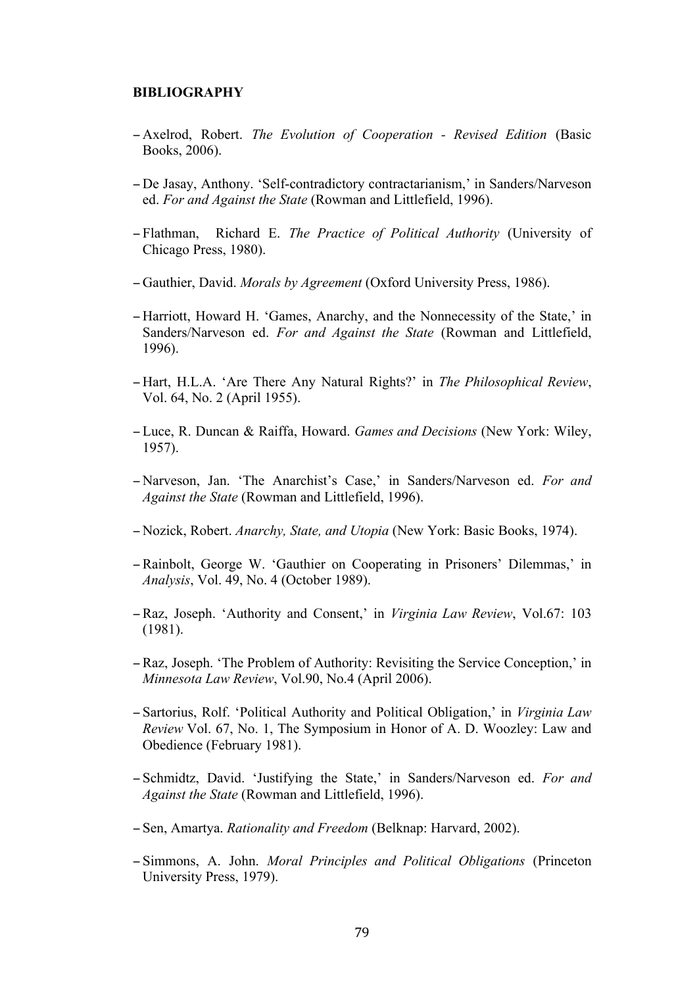## **BIBLIOGRAPHY**

- − Axelrod, Robert. *The Evolution of Cooperation - Revised Edition* (Basic Books, 2006).
- − De Jasay, Anthony. 'Self-contradictory contractarianism,' in Sanders/Narveson ed. *For and Against the State* (Rowman and Littlefield, 1996).
- − Flathman, Richard E. *The Practice of Political Authority* (University of Chicago Press, 1980).
- − Gauthier, David. *Morals by Agreement* (Oxford University Press, 1986).
- − Harriott, Howard H. 'Games, Anarchy, and the Nonnecessity of the State,' in Sanders/Narveson ed. *For and Against the State* (Rowman and Littlefield, 1996).
- − Hart, H.L.A. 'Are There Any Natural Rights?' in *The Philosophical Review*, Vol. 64, No. 2 (April 1955).
- − Luce, R. Duncan & Raiffa, Howard. *Games and Decisions* (New York: Wiley, 1957).
- − Narveson, Jan. 'The Anarchist's Case,' in Sanders/Narveson ed. *For and Against the State* (Rowman and Littlefield, 1996).
- − Nozick, Robert. *Anarchy, State, and Utopia* (New York: Basic Books, 1974).
- −Rainbolt, George W. 'Gauthier on Cooperating in Prisoners' Dilemmas,' in *Analysis*, Vol. 49, No. 4 (October 1989).
- −Raz, Joseph. 'Authority and Consent,' in *Virginia Law Review*, Vol.67: 103 (1981).
- −Raz, Joseph. 'The Problem of Authority: Revisiting the Service Conception,' in *Minnesota Law Review*, Vol.90, No.4 (April 2006).
- − Sartorius, Rolf. 'Political Authority and Political Obligation,' in *Virginia Law Review* Vol. 67, No. 1, The Symposium in Honor of A. D. Woozley: Law and Obedience (February 1981).
- − Schmidtz, David. 'Justifying the State,' in Sanders/Narveson ed. *For and Against the State* (Rowman and Littlefield, 1996).
- − Sen, Amartya. *Rationality and Freedom* (Belknap: Harvard, 2002).
- − Simmons, A. John. *Moral Principles and Political Obligations* (Princeton University Press, 1979).